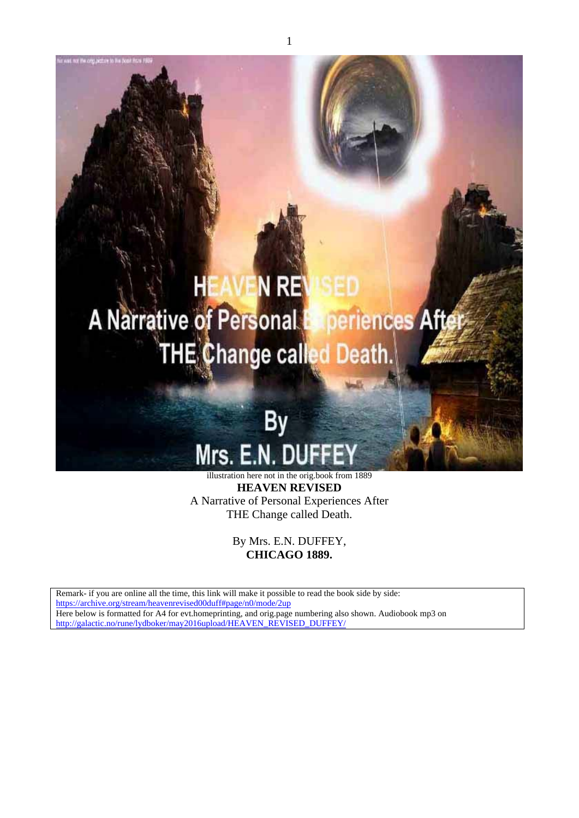

## EAVEN REVISED H A Narrative of Personal & periences After **THE Change called Death.**

# By Mrs. E.N. DU

illustration here not in the orig.book from 1889 **HEAVEN REVISED**  A Narrative of Personal Experiences After THE Change called Death.

> By Mrs. E.N. DUFFEY, **CHICAGO 1889.**

Remark- if you are online all the time, this link will make it possible to read the book side by side: <https://archive.org/stream/heavenrevised00duff#page/n0/mode/2up> Here below is formatted for A4 for evt.homeprinting, and orig.page numbering also shown. Audiobook mp3 on [http://galactic.no/rune/lydboker/may2016upload/HEAVEN\\_REVISED\\_DUFFEY/](http://galactic.no/rune/lydboker/may2016upload/HEAVEN_REVISED_DUFFEY/)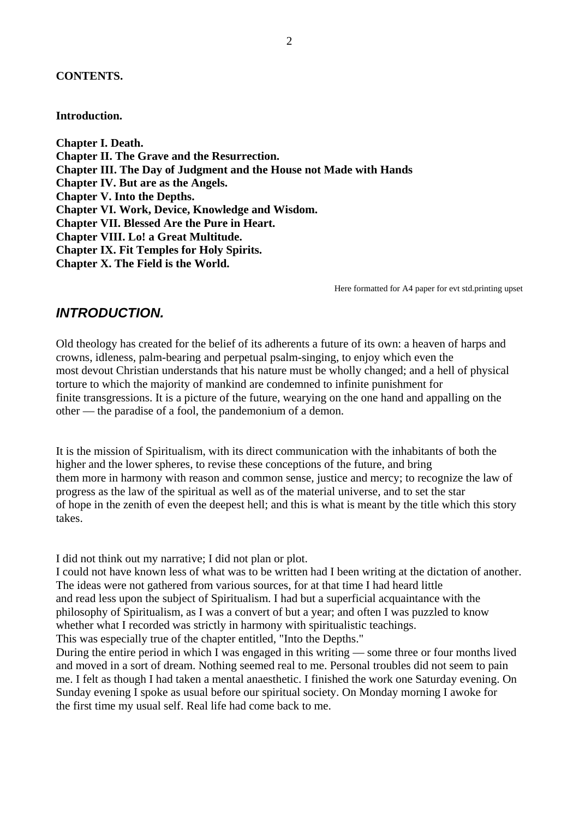#### **CONTENTS.**

#### **Introduction.**

**Chapter I. Death. Chapter II. The Grave and the Resurrection. Chapter III. The Day of Judgment and the House not Made with Hands Chapter IV. But are as the Angels. Chapter V. Into the Depths. Chapter VI. Work, Device, Knowledge and Wisdom. Chapter VII. Blessed Are the Pure in Heart. Chapter VIII. Lo! a Great Multitude. Chapter IX. Fit Temples for Holy Spirits. Chapter X. The Field is the World.** 

Here formatted for A4 paper for evt std.printing upset

### *INTRODUCTION.*

Old theology has created for the belief of its adherents a future of its own: a heaven of harps and crowns, idleness, palm-bearing and perpetual psalm-singing, to enjoy which even the most devout Christian understands that his nature must be wholly changed; and a hell of physical torture to which the majority of mankind are condemned to infinite punishment for finite transgressions. It is a picture of the future, wearying on the one hand and appalling on the other — the paradise of a fool, the pandemonium of a demon.

It is the mission of Spiritualism, with its direct communication with the inhabitants of both the higher and the lower spheres, to revise these conceptions of the future, and bring them more in harmony with reason and common sense, justice and mercy; to recognize the law of progress as the law of the spiritual as well as of the material universe, and to set the star of hope in the zenith of even the deepest hell; and this is what is meant by the title which this story takes.

I did not think out my narrative; I did not plan or plot.

I could not have known less of what was to be written had I been writing at the dictation of another. The ideas were not gathered from various sources, for at that time I had heard little and read less upon the subject of Spiritualism. I had but a superficial acquaintance with the philosophy of Spiritualism, as I was a convert of but a year; and often I was puzzled to know whether what I recorded was strictly in harmony with spiritualistic teachings. This was especially true of the chapter entitled, "Into the Depths."

During the entire period in which I was engaged in this writing — some three or four months lived and moved in a sort of dream. Nothing seemed real to me. Personal troubles did not seem to pain me. I felt as though I had taken a mental anaesthetic. I finished the work one Saturday evening. On Sunday evening I spoke as usual before our spiritual society. On Monday morning I awoke for the first time my usual self. Real life had come back to me.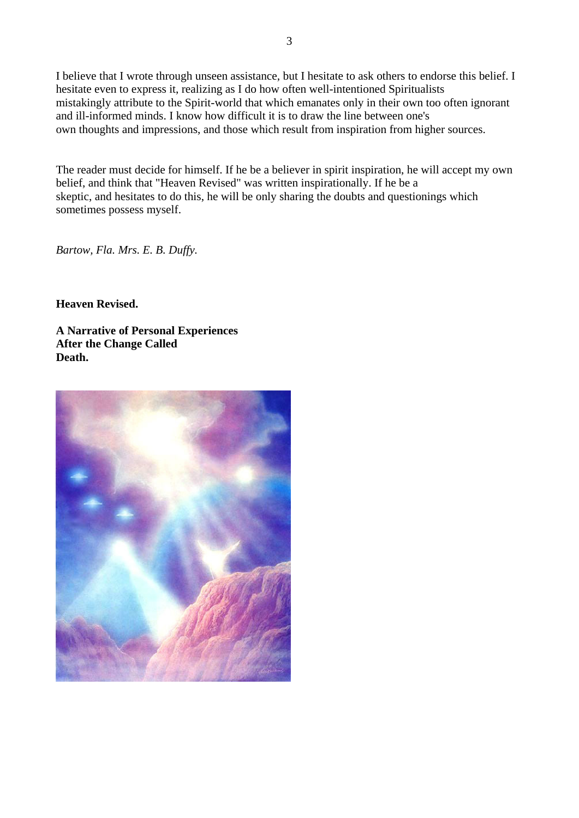I believe that I wrote through unseen assistance, but I hesitate to ask others to endorse this belief. I hesitate even to express it, realizing as I do how often well-intentioned Spiritualists mistakingly attribute to the Spirit-world that which emanates only in their own too often ignorant and ill-informed minds. I know how difficult it is to draw the line between one's own thoughts and impressions, and those which result from inspiration from higher sources.

The reader must decide for himself. If he be a believer in spirit inspiration, he will accept my own belief, and think that "Heaven Revised" was written inspirationally. If he be a skeptic, and hesitates to do this, he will be only sharing the doubts and questionings which sometimes possess myself.

*Bartow, Fla. Mrs. E. B. Duffy.* 

**Heaven Revised.** 

**A Narrative of Personal Experiences After the Change Called Death.** 

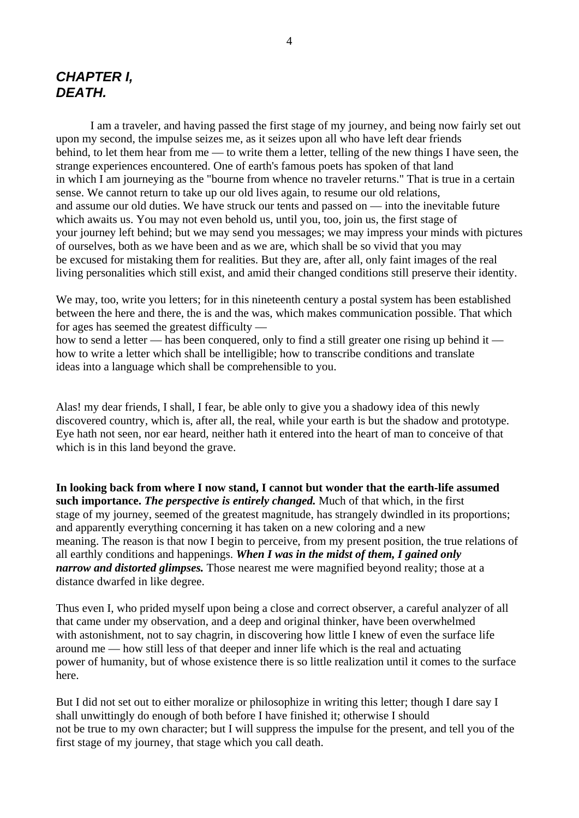### *CHAPTER I, DEATH.*

I am a traveler, and having passed the first stage of my journey, and being now fairly set out upon my second, the impulse seizes me, as it seizes upon all who have left dear friends behind, to let them hear from me — to write them a letter, telling of the new things I have seen, the strange experiences encountered. One of earth's famous poets has spoken of that land in which I am journeying as the "bourne from whence no traveler returns." That is true in a certain sense. We cannot return to take up our old lives again, to resume our old relations, and assume our old duties. We have struck our tents and passed on — into the inevitable future which awaits us. You may not even behold us, until you, too, join us, the first stage of your journey left behind; but we may send you messages; we may impress your minds with pictures of ourselves, both as we have been and as we are, which shall be so vivid that you may be excused for mistaking them for realities. But they are, after all, only faint images of the real living personalities which still exist, and amid their changed conditions still preserve their identity.

We may, too, write you letters; for in this nineteenth century a postal system has been established between the here and there, the is and the was, which makes communication possible. That which for ages has seemed the greatest difficulty —

how to send a letter — has been conquered, only to find a still greater one rising up behind it how to write a letter which shall be intelligible; how to transcribe conditions and translate ideas into a language which shall be comprehensible to you.

Alas! my dear friends, I shall, I fear, be able only to give you a shadowy idea of this newly discovered country, which is, after all, the real, while your earth is but the shadow and prototype. Eye hath not seen, nor ear heard, neither hath it entered into the heart of man to conceive of that which is in this land beyond the grave.

**In looking back from where I now stand, I cannot but wonder that the earth-life assumed such importance.** *The perspective is entirely changed.* Much of that which, in the first stage of my journey, seemed of the greatest magnitude, has strangely dwindled in its proportions; and apparently everything concerning it has taken on a new coloring and a new meaning. The reason is that now I begin to perceive, from my present position, the true relations of all earthly conditions and happenings. *When I was in the midst of them, I gained only narrow and distorted glimpses.* Those nearest me were magnified beyond reality; those at a distance dwarfed in like degree.

Thus even I, who prided myself upon being a close and correct observer, a careful analyzer of all that came under my observation, and a deep and original thinker, have been overwhelmed with astonishment, not to say chagrin, in discovering how little I knew of even the surface life around me — how still less of that deeper and inner life which is the real and actuating power of humanity, but of whose existence there is so little realization until it comes to the surface here.

But I did not set out to either moralize or philosophize in writing this letter; though I dare say I shall unwittingly do enough of both before I have finished it; otherwise I should not be true to my own character; but I will suppress the impulse for the present, and tell you of the first stage of my journey, that stage which you call death.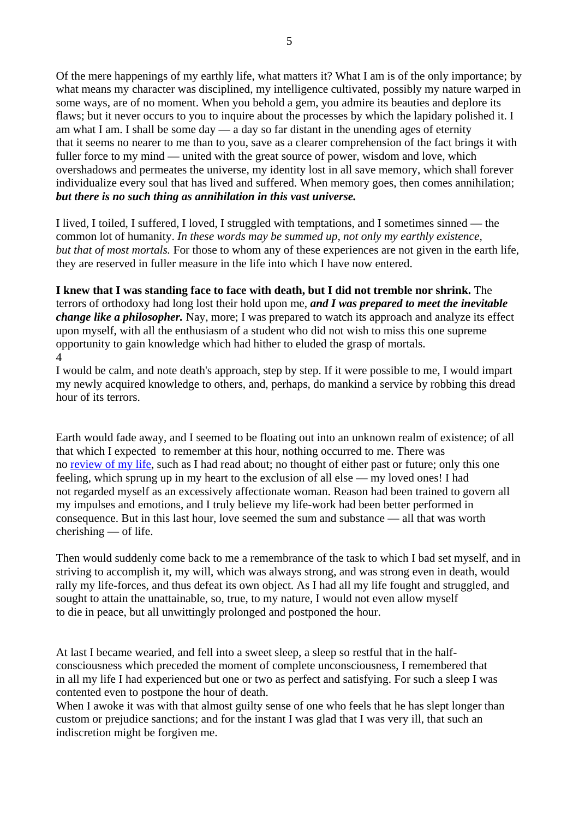Of the mere happenings of my earthly life, what matters it? What I am is of the only importance; by what means my character was disciplined, my intelligence cultivated, possibly my nature warped in some ways, are of no moment. When you behold a gem, you admire its beauties and deplore its flaws; but it never occurs to you to inquire about the processes by which the lapidary polished it. I am what I am. I shall be some day  $\frac{dy}{dx}$  a day so far distant in the unending ages of eternity that it seems no nearer to me than to you, save as a clearer comprehension of the fact brings it with fuller force to my mind — united with the great source of power, wisdom and love, which overshadows and permeates the universe, my identity lost in all save memory, which shall forever individualize every soul that has lived and suffered. When memory goes, then comes annihilation; *but there is no such thing as annihilation in this vast universe.* 

I lived, I toiled, I suffered, I loved, I struggled with temptations, and I sometimes sinned — the common lot of humanity. *In these words may be summed up, not only my earthly existence, but that of most mortals.* For those to whom any of these experiences are not given in the earth life, they are reserved in fuller measure in the life into which I have now entered.

**I knew that I was standing face to face with death, but I did not tremble nor shrink.** The terrors of orthodoxy had long lost their hold upon me, *and I was prepared to meet the inevitable change like a philosopher.* Nay, more; I was prepared to watch its approach and analyze its effect upon myself, with all the enthusiasm of a student who did not wish to miss this one supreme opportunity to gain knowledge which had hither to eluded the grasp of mortals. 4

I would be calm, and note death's approach, step by step. If it were possible to me, I would impart my newly acquired knowledge to others, and, perhaps, do mankind a service by robbing this dread hour of its terrors.

Earth would fade away, and I seemed to be floating out into an unknown realm of existence; of all that which I expected to remember at this hour, nothing occurred to me. There was no [review of my life,](https://www.google.no/search?q=who+was+medium+mrs.duffey&ie=utf-8&oe=utf-8&client=firefox-b&gfe_rd=cr&ei=kesSWdriOYqA8Qe9_ZOoDA#q=review+of+life+%2B+nde) such as I had read about; no thought of either past or future; only this one feeling, which sprung up in my heart to the exclusion of all else — my loved ones! I had not regarded myself as an excessively affectionate woman. Reason had been trained to govern all my impulses and emotions, and I truly believe my life-work had been better performed in consequence. But in this last hour, love seemed the sum and substance — all that was worth cherishing — of life.

Then would suddenly come back to me a remembrance of the task to which I bad set myself, and in striving to accomplish it, my will, which was always strong, and was strong even in death, would rally my life-forces, and thus defeat its own object. As I had all my life fought and struggled, and sought to attain the unattainable, so, true, to my nature, I would not even allow myself to die in peace, but all unwittingly prolonged and postponed the hour.

At last I became wearied, and fell into a sweet sleep, a sleep so restful that in the halfconsciousness which preceded the moment of complete unconsciousness, I remembered that in all my life I had experienced but one or two as perfect and satisfying. For such a sleep I was contented even to postpone the hour of death.

When I awoke it was with that almost guilty sense of one who feels that he has slept longer than custom or prejudice sanctions; and for the instant I was glad that I was very ill, that such an indiscretion might be forgiven me.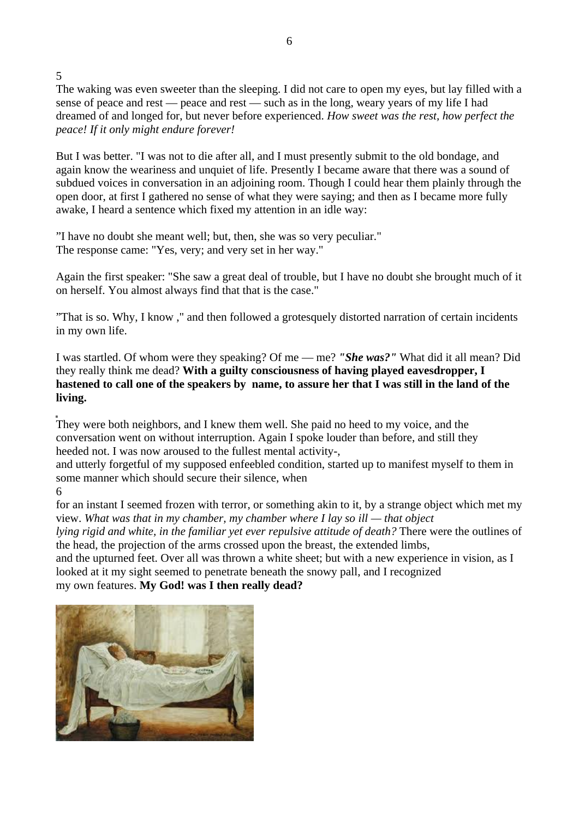5

The waking was even sweeter than the sleeping. I did not care to open my eyes, but lay filled with a sense of peace and rest — peace and rest — such as in the long, weary years of my life I had dreamed of and longed for, but never before experienced. *How sweet was the rest, how perfect the peace! If it only might endure forever!* 

But I was better. "I was not to die after all, and I must presently submit to the old bondage, and again know the weariness and unquiet of life. Presently I became aware that there was a sound of subdued voices in conversation in an adjoining room. Though I could hear them plainly through the open door, at first I gathered no sense of what they were saying; and then as I became more fully awake, I heard a sentence which fixed my attention in an idle way:

"I have no doubt she meant well; but, then, she was so very peculiar." The response came: "Yes, very; and very set in her way."

Again the first speaker: "She saw a great deal of trouble, but I have no doubt she brought much of it on herself. You almost always find that that is the case."

"That is so. Why, I know ," and then followed a grotesquely distorted narration of certain incidents in my own life.

I was startled. Of whom were they speaking? Of me — me? *"She was?"* What did it all mean? Did they really think me dead? **With a guilty consciousness of having played eavesdropper, I hastened to call one of the speakers by name, to assure her that I was still in the land of the living.** 

They were both neighbors, and I knew them well. She paid no heed to my voice, and the conversation went on without interruption. Again I spoke louder than before, and still they heeded not. I was now aroused to the fullest mental activity-,

and utterly forgetful of my supposed enfeebled condition, started up to manifest myself to them in some manner which should secure their silence, when

6

for an instant I seemed frozen with terror, or something akin to it, by a strange object which met my view. *What was that in my chamber, my chamber where I lay so ill — that object lying rigid and white, in the familiar yet ever repulsive attitude of death?* There were the outlines of

the head, the projection of the arms crossed upon the breast, the extended limbs,

and the upturned feet. Over all was thrown a white sheet; but with a new experience in vision, as I looked at it my sight seemed to penetrate beneath the snowy pall, and I recognized

my own features. **My God! was I then really dead?** 

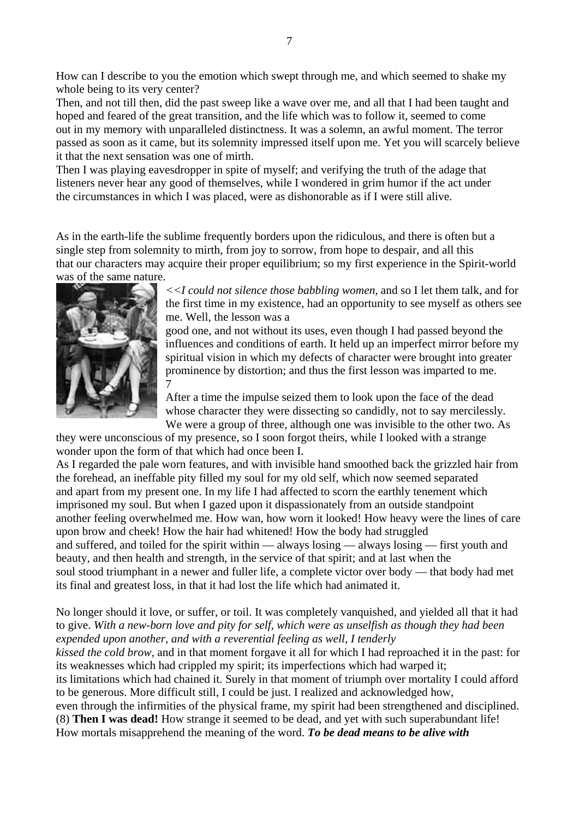How can I describe to you the emotion which swept through me, and which seemed to shake my whole being to its very center?

Then, and not till then, did the past sweep like a wave over me, and all that I had been taught and hoped and feared of the great transition, and the life which was to follow it, seemed to come out in my memory with unparalleled distinctness. It was a solemn, an awful moment. The terror passed as soon as it came, but its solemnity impressed itself upon me. Yet you will scarcely believe it that the next sensation was one of mirth.

Then I was playing eavesdropper in spite of myself; and verifying the truth of the adage that listeners never hear any good of themselves, while I wondered in grim humor if the act under the circumstances in which I was placed, were as dishonorable as if I were still alive.

As in the earth-life the sublime frequently borders upon the ridiculous, and there is often but a single step from solemnity to mirth, from joy to sorrow, from hope to despair, and all this that our characters may acquire their proper equilibrium; so my first experience in the Spirit-world was of the same nature.



*<<I could not silence those babbling women,* and so I let them talk, and for the first time in my existence, had an opportunity to see myself as others see me. Well, the lesson was a

good one, and not without its uses, even though I had passed beyond the influences and conditions of earth. It held up an imperfect mirror before my spiritual vision in which my defects of character were brought into greater prominence by distortion; and thus the first lesson was imparted to me. 7

After a time the impulse seized them to look upon the face of the dead whose character they were dissecting so candidly, not to say mercilessly. We were a group of three, although one was invisible to the other two. As

wonder upon the form of that which had once been I. they were unconscious of my presence, so I soon forgot theirs, while I looked with a strange

As I regarded the pale worn features, and with invisible hand smoothed back the grizzled hair from the forehead, an ineffable pity filled my soul for my old self, which now seemed separated and apart from my present one. In my life I had affected to scorn the earthly tenement which imprisoned my soul. But when I gazed upon it dispassionately from an outside standpoint another feeling overwhelmed me. How wan, how worn it looked! How heavy were the lines of care upon brow and cheek! How the hair had whitened! How the body had struggled and suffered, and toiled for the spirit within — always losing — always losing — first youth and beauty, and then health and strength, in the service of that spirit; and at last when the soul stood triumphant in a newer and fuller life, a complete victor over body — that body had met its final and greatest loss, in that it had lost the life which had animated it.

No longer should it love, or suffer, or toil. It was completely vanquished, and yielded all that it had to give. *With a new-born love and pity for self, which were as unselfish as though they had been expended upon another, and with a reverential feeling as well, I tenderly* 

*kissed the cold brow,* and in that moment forgave it all for which I had reproached it in the past: for its weaknesses which had crippled my spirit; its imperfections which had warped it;

its limitations which had chained it. Surely in that moment of triumph over mortality I could afford to be generous. More difficult still, I could be just. I realized and acknowledged how,

even through the infirmities of the physical frame, my spirit had been strengthened and disciplined. (8) **Then I was dead!** How strange it seemed to be dead, and yet with such superabundant life!

How mortals misapprehend the meaning of the word. *To be dead means to be alive with*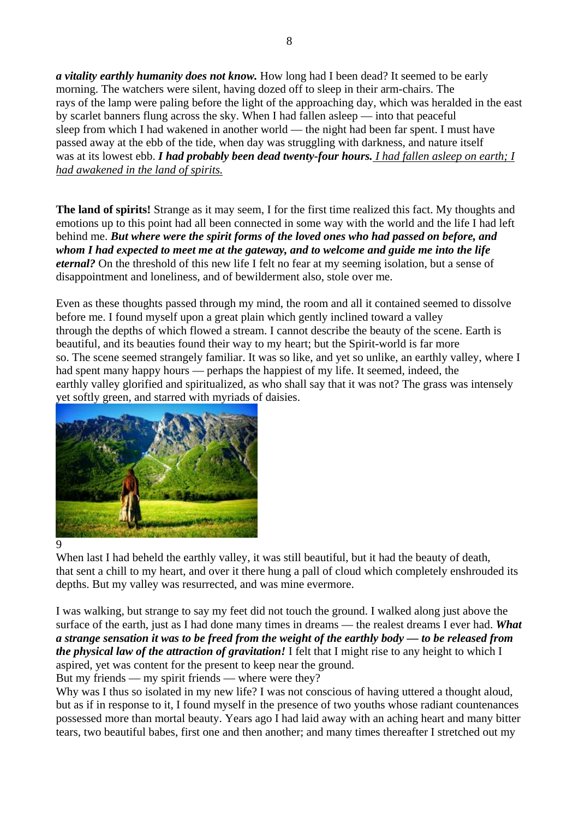*a vitality earthly humanity does not know.* How long had I been dead? It seemed to be early morning. The watchers were silent, having dozed off to sleep in their arm-chairs. The rays of the lamp were paling before the light of the approaching day, which was heralded in the east by scarlet banners flung across the sky. When I had fallen asleep — into that peaceful sleep from which I had wakened in another world — the night had been far spent. I must have passed away at the ebb of the tide, when day was struggling with darkness, and nature itself was at its lowest ebb. *I had probably been dead twenty-four hours. I had fallen asleep on earth; I had awakened in the land of spirits.* 

**The land of spirits!** Strange as it may seem, I for the first time realized this fact. My thoughts and emotions up to this point had all been connected in some way with the world and the life I had left behind me. *But where were the spirit forms of the loved ones who had passed on before, and whom I had expected to meet me at the gateway, and to welcome and guide me into the life eternal?* On the threshold of this new life I felt no fear at my seeming isolation, but a sense of disappointment and loneliness, and of bewilderment also, stole over me.

Even as these thoughts passed through my mind, the room and all it contained seemed to dissolve before me. I found myself upon a great plain which gently inclined toward a valley through the depths of which flowed a stream. I cannot describe the beauty of the scene. Earth is beautiful, and its beauties found their way to my heart; but the Spirit-world is far more so. The scene seemed strangely familiar. It was so like, and yet so unlike, an earthly valley, where I had spent many happy hours — perhaps the happiest of my life. It seemed, indeed, the earthly valley glorified and spiritualized, as who shall say that it was not? The grass was intensely yet softly green, and starred with myriads of daisies.



### 9

When last I had beheld the earthly valley, it was still beautiful, but it had the beauty of death, that sent a chill to my heart, and over it there hung a pall of cloud which completely enshrouded its depths. But my valley was resurrected, and was mine evermore.

I was walking, but strange to say my feet did not touch the ground. I walked along just above the surface of the earth, just as I had done many times in dreams — the realest dreams I ever had. *What a strange sensation it was to be freed from the weight of the earthly body — to be released from the physical law of the attraction of gravitation!* I felt that I might rise to any height to which I aspired, yet was content for the present to keep near the ground.

But my friends — my spirit friends — where were they?

Why was I thus so isolated in my new life? I was not conscious of having uttered a thought aloud, but as if in response to it, I found myself in the presence of two youths whose radiant countenances possessed more than mortal beauty. Years ago I had laid away with an aching heart and many bitter tears, two beautiful babes, first one and then another; and many times thereafter I stretched out my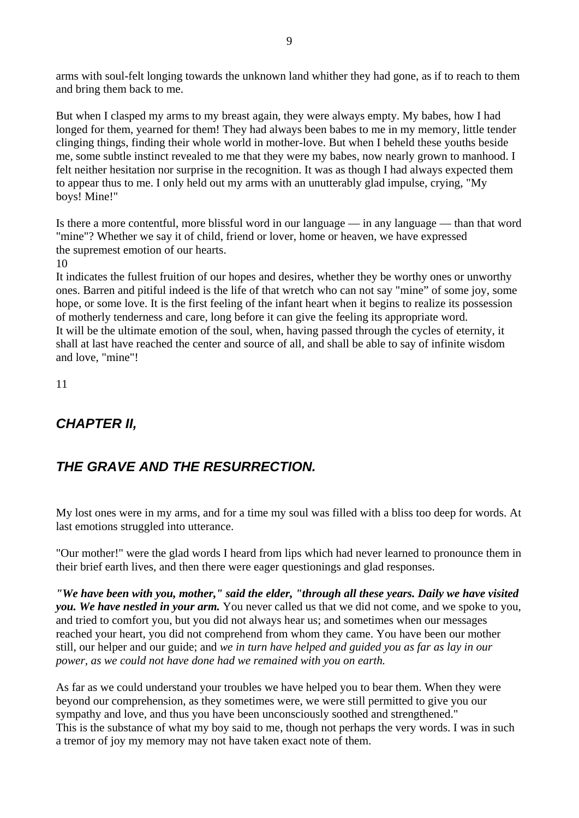arms with soul-felt longing towards the unknown land whither they had gone, as if to reach to them and bring them back to me.

But when I clasped my arms to my breast again, they were always empty. My babes, how I had longed for them, yearned for them! They had always been babes to me in my memory, little tender clinging things, finding their whole world in mother-love. But when I beheld these youths beside me, some subtle instinct revealed to me that they were my babes, now nearly grown to manhood. I felt neither hesitation nor surprise in the recognition. It was as though I had always expected them to appear thus to me. I only held out my arms with an unutterably glad impulse, crying, "My boys! Mine!"

Is there a more contentful, more blissful word in our language — in any language — than that word "mine"? Whether we say it of child, friend or lover, home or heaven, we have expressed the supremest emotion of our hearts.

10

It indicates the fullest fruition of our hopes and desires, whether they be worthy ones or unworthy ones. Barren and pitiful indeed is the life of that wretch who can not say "mine" of some joy, some hope, or some love. It is the first feeling of the infant heart when it begins to realize its possession of motherly tenderness and care, long before it can give the feeling its appropriate word. It will be the ultimate emotion of the soul, when, having passed through the cycles of eternity, it shall at last have reached the center and source of all, and shall be able to say of infinite wisdom and love, "mine"!

11

### *CHAPTER II,*

### *THE GRAVE AND THE RESURRECTION.*

My lost ones were in my arms, and for a time my soul was filled with a bliss too deep for words. At last emotions struggled into utterance.

"Our mother!" were the glad words I heard from lips which had never learned to pronounce them in their brief earth lives, and then there were eager questionings and glad responses.

*"We have been with you, mother," said the elder, "through all these years. Daily we have visited you. We have nestled in your arm.* You never called us that we did not come, and we spoke to you, and tried to comfort you, but you did not always hear us; and sometimes when our messages reached your heart, you did not comprehend from whom they came. You have been our mother still, our helper and our guide; and *we in turn have helped and guided you as far as lay in our power, as we could not have done had we remained with you on earth.* 

As far as we could understand your troubles we have helped you to bear them. When they were beyond our comprehension, as they sometimes were, we were still permitted to give you our sympathy and love, and thus you have been unconsciously soothed and strengthened." This is the substance of what my boy said to me, though not perhaps the very words. I was in such a tremor of joy my memory may not have taken exact note of them.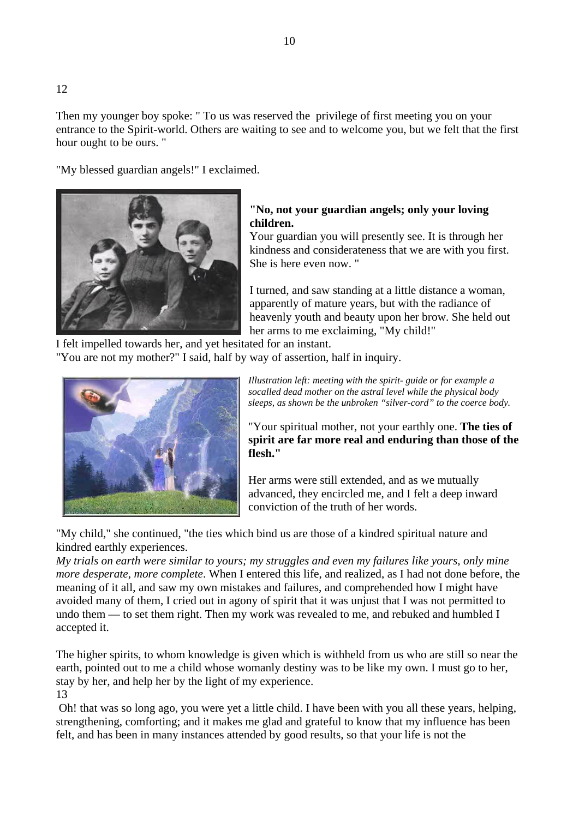Then my younger boy spoke: " To us was reserved the privilege of first meeting you on your entrance to the Spirit-world. Others are waiting to see and to welcome you, but we felt that the first hour ought to be ours. "

"My blessed guardian angels!" I exclaimed.



### **"No, not your guardian angels; only your loving children.**

Your guardian you will presently see. It is through her kindness and considerateness that we are with you first. She is here even now. "

I turned, and saw standing at a little distance a woman, apparently of mature years, but with the radiance of heavenly youth and beauty upon her brow. She held out her arms to me exclaiming, "My child!"

I felt impelled towards her, and yet hesitated for an instant.

"You are not my mother?" I said, half by way of assertion, half in inquiry.



*Illustration left: meeting with the spirit- guide or for example a socalled dead mother on the astral level while the physical body sleeps, as shown be the unbroken "silver-cord" to the coerce body.* 

"Your spiritual mother, not your earthly one. **The ties of spirit are far more real and enduring than those of the flesh."** 

Her arms were still extended, and as we mutually advanced, they encircled me, and I felt a deep inward conviction of the truth of her words.

"My child," she continued, "the ties which bind us are those of a kindred spiritual nature and kindred earthly experiences.

*My trials on earth were similar to yours; my struggles and even my failures like yours, only mine more desperate, more complete*. When I entered this life, and realized, as I had not done before, the meaning of it all, and saw my own mistakes and failures, and comprehended how I might have avoided many of them, I cried out in agony of spirit that it was unjust that I was not permitted to undo them — to set them right. Then my work was revealed to me, and rebuked and humbled I accepted it.

The higher spirits, to whom knowledge is given which is withheld from us who are still so near the earth, pointed out to me a child whose womanly destiny was to be like my own. I must go to her, stay by her, and help her by the light of my experience.

13

 Oh! that was so long ago, you were yet a little child. I have been with you all these years, helping, strengthening, comforting; and it makes me glad and grateful to know that my influence has been felt, and has been in many instances attended by good results, so that your life is not the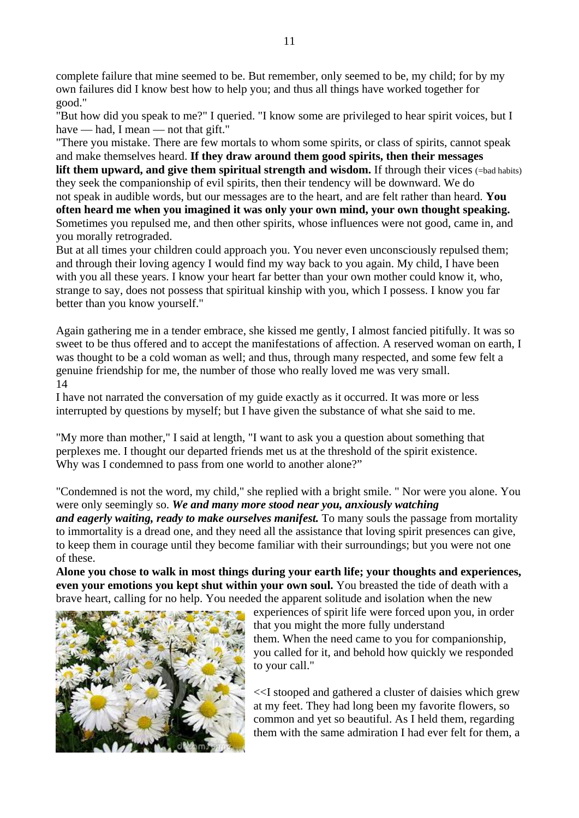complete failure that mine seemed to be. But remember, only seemed to be, my child; for by my own failures did I know best how to help you; and thus all things have worked together for good."

"But how did you speak to me?" I queried. "I know some are privileged to hear spirit voices, but I have — had, I mean — not that gift."

"There you mistake. There are few mortals to whom some spirits, or class of spirits, cannot speak and make themselves heard. **If they draw around them good spirits, then their messages lift them upward, and give them spiritual strength and wisdom.** If through their vices (=bad habits) they seek the companionship of evil spirits, then their tendency will be downward. We do not speak in audible words, but our messages are to the heart, and are felt rather than heard. **You often heard me when you imagined it was only your own mind, your own thought speaking.**  Sometimes you repulsed me, and then other spirits, whose influences were not good, came in, and you morally retrograded.

But at all times your children could approach you. You never even unconsciously repulsed them; and through their loving agency I would find my way back to you again. My child, I have been with you all these years. I know your heart far better than your own mother could know it, who, strange to say, does not possess that spiritual kinship with you, which I possess. I know you far better than you know yourself."

Again gathering me in a tender embrace, she kissed me gently, I almost fancied pitifully. It was so sweet to be thus offered and to accept the manifestations of affection. A reserved woman on earth, I was thought to be a cold woman as well; and thus, through many respected, and some few felt a genuine friendship for me, the number of those who really loved me was very small. 14

I have not narrated the conversation of my guide exactly as it occurred. It was more or less interrupted by questions by myself; but I have given the substance of what she said to me.

"My more than mother," I said at length, "I want to ask you a question about something that perplexes me. I thought our departed friends met us at the threshold of the spirit existence. Why was I condemned to pass from one world to another alone?"

"Condemned is not the word, my child," she replied with a bright smile. " Nor were you alone. You were only seemingly so. *We and many more stood near you, anxiously watching and eagerly waiting, ready to make ourselves manifest.* To many souls the passage from mortality to immortality is a dread one, and they need all the assistance that loving spirit presences can give, to keep them in courage until they become familiar with their surroundings; but you were not one of these.

**Alone you chose to walk in most things during your earth life; your thoughts and experiences, even your emotions you kept shut within your own soul.** You breasted the tide of death with a brave heart, calling for no help. You needed the apparent solitude and isolation when the new



experiences of spirit life were forced upon you, in order that you might the more fully understand them. When the need came to you for companionship, you called for it, and behold how quickly we responded to your call."

<<I stooped and gathered a cluster of daisies which grew at my feet. They had long been my favorite flowers, so common and yet so beautiful. As I held them, regarding them with the same admiration I had ever felt for them, a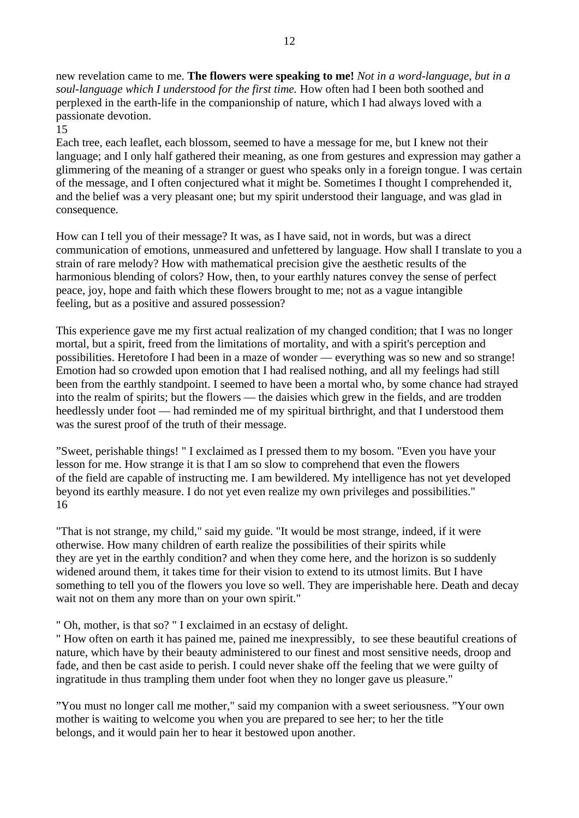new revelation came to me. **The flowers were speaking to me!** *Not in a word-language, but in a soul-language which I understood for the first time.* How often had I been both soothed and perplexed in the earth-life in the companionship of nature, which I had always loved with a passionate devotion.

15

Each tree, each leaflet, each blossom, seemed to have a message for me, but I knew not their language; and I only half gathered their meaning, as one from gestures and expression may gather a glimmering of the meaning of a stranger or guest who speaks only in a foreign tongue. I was certain of the message, and I often conjectured what it might be. Sometimes I thought I comprehended it, and the belief was a very pleasant one; but my spirit understood their language, and was glad in consequence.

How can I tell you of their message? It was, as I have said, not in words, but was a direct communication of emotions, unmeasured and unfettered by language. How shall I translate to you a strain of rare melody? How with mathematical precision give the aesthetic results of the harmonious blending of colors? How, then, to your earthly natures convey the sense of perfect peace, joy, hope and faith which these flowers brought to me; not as a vague intangible feeling, but as a positive and assured possession?

This experience gave me my first actual realization of my changed condition; that I was no longer mortal, but a spirit, freed from the limitations of mortality, and with a spirit's perception and possibilities. Heretofore I had been in a maze of wonder — everything was so new and so strange! Emotion had so crowded upon emotion that I had realised nothing, and all my feelings had still been from the earthly standpoint. I seemed to have been a mortal who, by some chance had strayed into the realm of spirits; but the flowers — the daisies which grew in the fields, and are trodden heedlessly under foot — had reminded me of my spiritual birthright, and that I understood them was the surest proof of the truth of their message.

"Sweet, perishable things! " I exclaimed as I pressed them to my bosom. "Even you have your lesson for me. How strange it is that I am so slow to comprehend that even the flowers of the field are capable of instructing me. I am bewildered. My intelligence has not yet developed beyond its earthly measure. I do not yet even realize my own privileges and possibilities." 16

"That is not strange, my child," said my guide. "It would be most strange, indeed, if it were otherwise. How many children of earth realize the possibilities of their spirits while they are yet in the earthly condition? and when they come here, and the horizon is so suddenly widened around them, it takes time for their vision to extend to its utmost limits. But I have something to tell you of the flowers you love so well. They are imperishable here. Death and decay wait not on them any more than on your own spirit."

" Oh, mother, is that so? " I exclaimed in an ecstasy of delight.

" How often on earth it has pained me, pained me inexpressibly, to see these beautiful creations of nature, which have by their beauty administered to our finest and most sensitive needs, droop and fade, and then be cast aside to perish. I could never shake off the feeling that we were guilty of ingratitude in thus trampling them under foot when they no longer gave us pleasure."

"You must no longer call me mother," said my companion with a sweet seriousness. "Your own mother is waiting to welcome you when you are prepared to see her; to her the title belongs, and it would pain her to hear it bestowed upon another.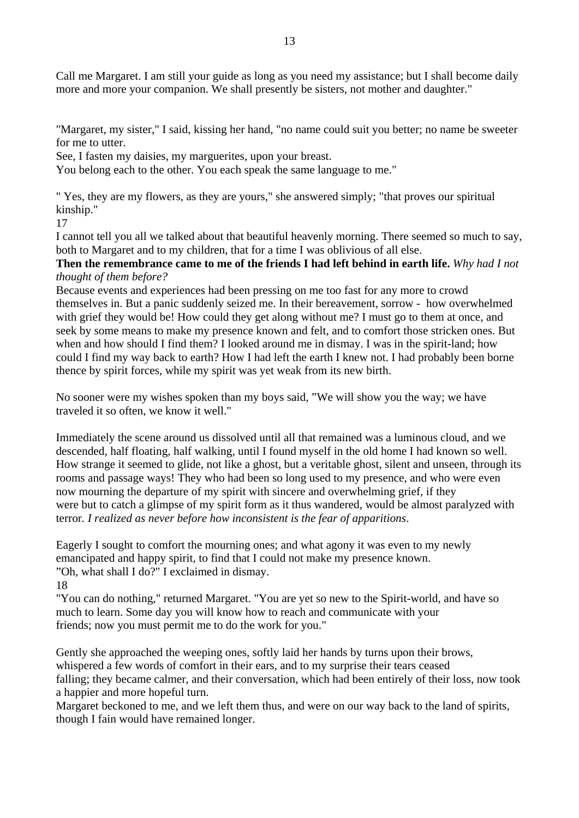Call me Margaret. I am still your guide as long as you need my assistance; but I shall become daily more and more your companion. We shall presently be sisters, not mother and daughter."

"Margaret, my sister," I said, kissing her hand, "no name could suit you better; no name be sweeter for me to utter.

See, I fasten my daisies, my marguerites, upon your breast.

You belong each to the other. You each speak the same language to me."

" Yes, they are my flowers, as they are yours," she answered simply; "that proves our spiritual kinship."

17

I cannot tell you all we talked about that beautiful heavenly morning. There seemed so much to say, both to Margaret and to my children, that for a time I was oblivious of all else.

### **Then the remembrance came to me of the friends I had left behind in earth life.** *Why had I not thought of them before?*

Because events and experiences had been pressing on me too fast for any more to crowd themselves in. But a panic suddenly seized me. In their bereavement, sorrow - how overwhelmed with grief they would be! How could they get along without me? I must go to them at once, and seek by some means to make my presence known and felt, and to comfort those stricken ones. But when and how should I find them? I looked around me in dismay. I was in the spirit-land; how could I find my way back to earth? How I had left the earth I knew not. I had probably been borne thence by spirit forces, while my spirit was yet weak from its new birth.

No sooner were my wishes spoken than my boys said, "We will show you the way; we have traveled it so often, we know it well."

Immediately the scene around us dissolved until all that remained was a luminous cloud, and we descended, half floating, half walking, until I found myself in the old home I had known so well. How strange it seemed to glide, not like a ghost, but a veritable ghost, silent and unseen, through its rooms and passage ways! They who had been so long used to my presence, and who were even now mourning the departure of my spirit with sincere and overwhelming grief, if they were but to catch a glimpse of my spirit form as it thus wandered, would be almost paralyzed with terror*. I realized as never before how inconsistent is the fear of apparitions*.

Eagerly I sought to comfort the mourning ones; and what agony it was even to my newly emancipated and happy spirit, to find that I could not make my presence known. "Oh, what shall I do?" I exclaimed in dismay.

18

"You can do nothing," returned Margaret. "You are yet so new to the Spirit-world, and have so much to learn. Some day you will know how to reach and communicate with your friends; now you must permit me to do the work for you."

Gently she approached the weeping ones, softly laid her hands by turns upon their brows, whispered a few words of comfort in their ears, and to my surprise their tears ceased falling; they became calmer, and their conversation, which had been entirely of their loss, now took a happier and more hopeful turn.

Margaret beckoned to me, and we left them thus, and were on our way back to the land of spirits, though I fain would have remained longer.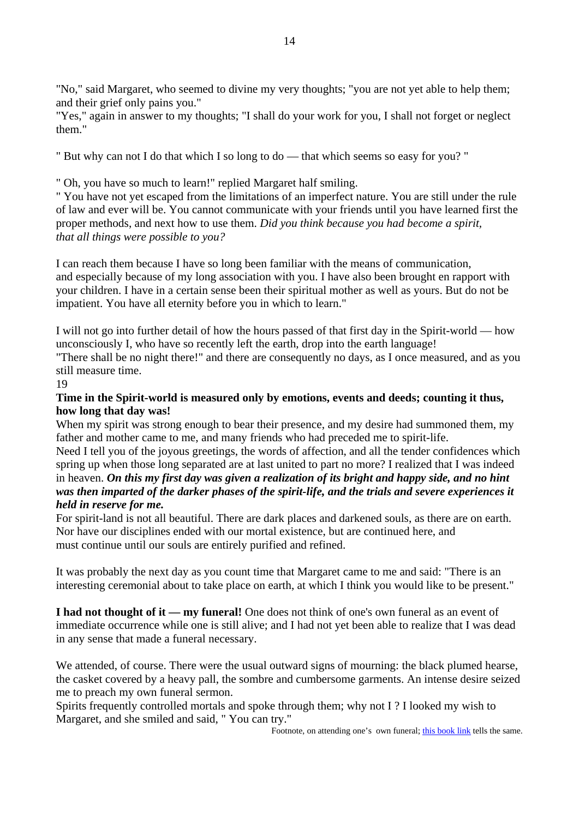"No," said Margaret, who seemed to divine my very thoughts; "you are not yet able to help them; and their grief only pains you."

"Yes," again in answer to my thoughts; "I shall do your work for you, I shall not forget or neglect them."

" But why can not I do that which I so long to do — that which seems so easy for you? "

" Oh, you have so much to learn!" replied Margaret half smiling.

" You have not yet escaped from the limitations of an imperfect nature. You are still under the rule of law and ever will be. You cannot communicate with your friends until you have learned first the proper methods, and next how to use them. *Did you think because you had become a spirit, that all things were possible to you?*

I can reach them because I have so long been familiar with the means of communication, and especially because of my long association with you. I have also been brought en rapport with your children. I have in a certain sense been their spiritual mother as well as yours. But do not be impatient. You have all eternity before you in which to learn."

I will not go into further detail of how the hours passed of that first day in the Spirit-world — how unconsciously I, who have so recently left the earth, drop into the earth language!

"There shall be no night there!" and there are consequently no days, as I once measured, and as you still measure time.

#### 19

### **Time in the Spirit-world is measured only by emotions, events and deeds; counting it thus, how long that day was!**

When my spirit was strong enough to bear their presence, and my desire had summoned them, my father and mother came to me, and many friends who had preceded me to spirit-life.

Need I tell you of the joyous greetings, the words of affection, and all the tender confidences which spring up when those long separated are at last united to part no more? I realized that I was indeed in heaven. *On this my first day was given a realization of its bright and happy side, and no hint was then imparted of the darker phases of the spirit-life, and the trials and severe experiences it held in reserve for me.*

For spirit-land is not all beautiful. There are dark places and darkened souls, as there are on earth. Nor have our disciplines ended with our mortal existence, but are continued here, and must continue until our souls are entirely purified and refined.

It was probably the next day as you count time that Margaret came to me and said: "There is an interesting ceremonial about to take place on earth, at which I think you would like to be present."

**I had not thought of it — my funeral!** One does not think of one's own funeral as an event of immediate occurrence while one is still alive; and I had not yet been able to realize that I was dead in any sense that made a funeral necessary.

We attended, of course. There were the usual outward signs of mourning: the black plumed hearse, the casket covered by a heavy pall, the sombre and cumbersome garments. An intense desire seized me to preach my own funeral sermon.

Spirits frequently controlled mortals and spoke through them; why not I ? I looked my wish to Margaret, and she smiled and said, " You can try."

Footnote, on attending one's own funeral; [this book link](http://www.galactic.no/rune/summerland_bonomo_ref.htm) tells the same.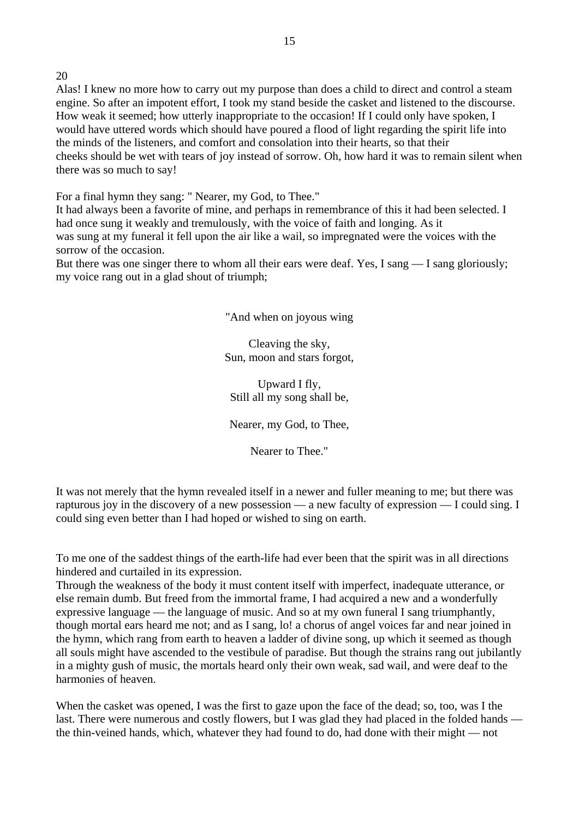Alas! I knew no more how to carry out my purpose than does a child to direct and control a steam engine. So after an impotent effort, I took my stand beside the casket and listened to the discourse. How weak it seemed; how utterly inappropriate to the occasion! If I could only have spoken, I would have uttered words which should have poured a flood of light regarding the spirit life into the minds of the listeners, and comfort and consolation into their hearts, so that their cheeks should be wet with tears of joy instead of sorrow. Oh, how hard it was to remain silent when there was so much to say!

For a final hymn they sang: " Nearer, my God, to Thee."

It had always been a favorite of mine, and perhaps in remembrance of this it had been selected. I had once sung it weakly and tremulously, with the voice of faith and longing. As it was sung at my funeral it fell upon the air like a wail, so impregnated were the voices with the sorrow of the occasion.

But there was one singer there to whom all their ears were deaf. Yes, I sang — I sang gloriously; my voice rang out in a glad shout of triumph;

"And when on joyous wing

Cleaving the sky, Sun, moon and stars forgot,

Upward I fly, Still all my song shall be,

Nearer, my God, to Thee,

Nearer to Thee."

It was not merely that the hymn revealed itself in a newer and fuller meaning to me; but there was rapturous joy in the discovery of a new possession — a new faculty of expression — I could sing. I could sing even better than I had hoped or wished to sing on earth.

To me one of the saddest things of the earth-life had ever been that the spirit was in all directions hindered and curtailed in its expression.

Through the weakness of the body it must content itself with imperfect, inadequate utterance, or else remain dumb. But freed from the immortal frame, I had acquired a new and a wonderfully expressive language — the language of music. And so at my own funeral I sang triumphantly, though mortal ears heard me not; and as I sang, lo! a chorus of angel voices far and near joined in the hymn, which rang from earth to heaven a ladder of divine song, up which it seemed as though all souls might have ascended to the vestibule of paradise. But though the strains rang out jubilantly in a mighty gush of music, the mortals heard only their own weak, sad wail, and were deaf to the harmonies of heaven.

When the casket was opened, I was the first to gaze upon the face of the dead; so, too, was I the last. There were numerous and costly flowers, but I was glad they had placed in the folded hands the thin-veined hands, which, whatever they had found to do, had done with their might — not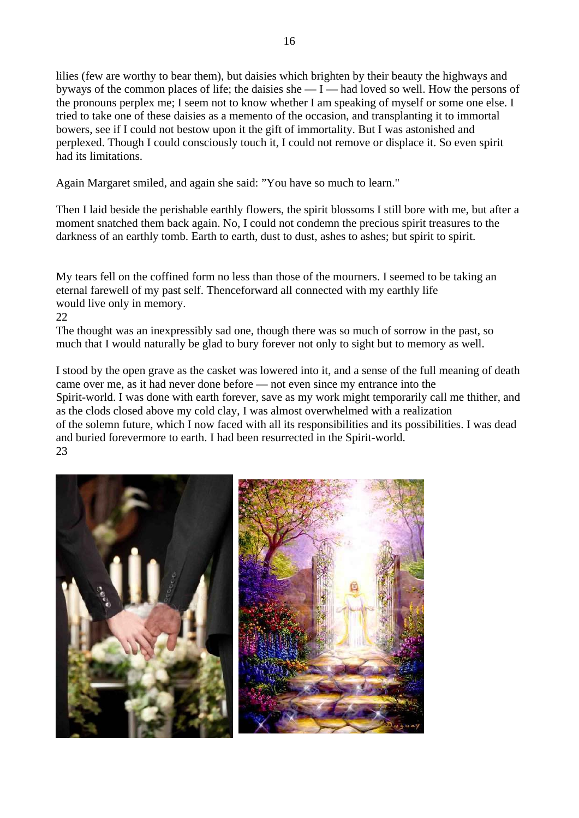lilies (few are worthy to bear them), but daisies which brighten by their beauty the highways and byways of the common places of life; the daisies she  $-I$  — had loved so well. How the persons of the pronouns perplex me; I seem not to know whether I am speaking of myself or some one else. I tried to take one of these daisies as a memento of the occasion, and transplanting it to immortal bowers, see if I could not bestow upon it the gift of immortality. But I was astonished and perplexed. Though I could consciously touch it, I could not remove or displace it. So even spirit had its limitations.

Again Margaret smiled, and again she said: "You have so much to learn."

Then I laid beside the perishable earthly flowers, the spirit blossoms I still bore with me, but after a moment snatched them back again. No, I could not condemn the precious spirit treasures to the darkness of an earthly tomb. Earth to earth, dust to dust, ashes to ashes; but spirit to spirit.

My tears fell on the coffined form no less than those of the mourners. I seemed to be taking an eternal farewell of my past self. Thenceforward all connected with my earthly life would live only in memory.

22

The thought was an inexpressibly sad one, though there was so much of sorrow in the past, so much that I would naturally be glad to bury forever not only to sight but to memory as well.

I stood by the open grave as the casket was lowered into it, and a sense of the full meaning of death came over me, as it had never done before — not even since my entrance into the Spirit-world. I was done with earth forever, save as my work might temporarily call me thither, and as the clods closed above my cold clay, I was almost overwhelmed with a realization of the solemn future, which I now faced with all its responsibilities and its possibilities. I was dead and buried forevermore to earth. I had been resurrected in the Spirit-world. 23

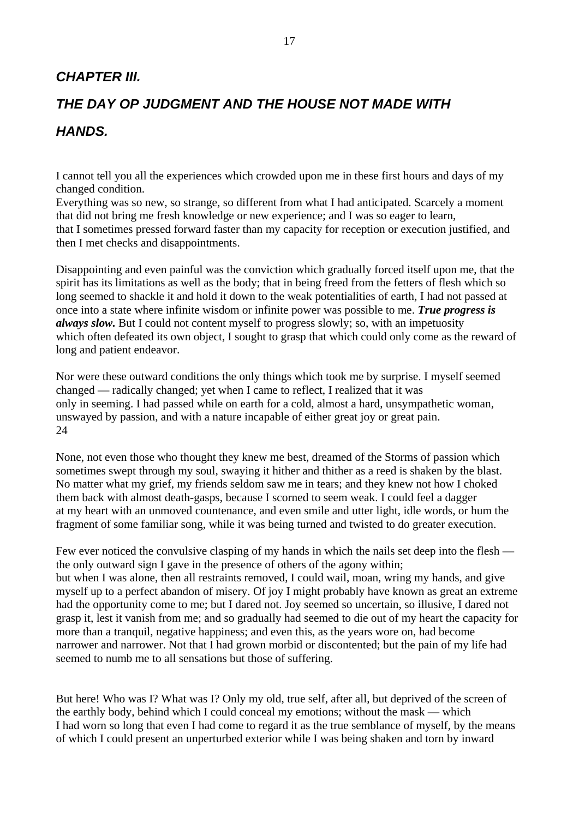### *CHAPTER III.*

### *THE DAY OP JUDGMENT AND THE HOUSE NOT MADE WITH*

### *HANDS.*

I cannot tell you all the experiences which crowded upon me in these first hours and days of my changed condition.

Everything was so new, so strange, so different from what I had anticipated. Scarcely a moment that did not bring me fresh knowledge or new experience; and I was so eager to learn, that I sometimes pressed forward faster than my capacity for reception or execution justified, and then I met checks and disappointments.

Disappointing and even painful was the conviction which gradually forced itself upon me, that the spirit has its limitations as well as the body; that in being freed from the fetters of flesh which so long seemed to shackle it and hold it down to the weak potentialities of earth, I had not passed at once into a state where infinite wisdom or infinite power was possible to me. *True progress is always slow.* But I could not content myself to progress slowly; so, with an impetuosity which often defeated its own object, I sought to grasp that which could only come as the reward of long and patient endeavor.

Nor were these outward conditions the only things which took me by surprise. I myself seemed changed — radically changed; yet when I came to reflect, I realized that it was only in seeming. I had passed while on earth for a cold, almost a hard, unsympathetic woman, unswayed by passion, and with a nature incapable of either great joy or great pain. 24

None, not even those who thought they knew me best, dreamed of the Storms of passion which sometimes swept through my soul, swaying it hither and thither as a reed is shaken by the blast. No matter what my grief, my friends seldom saw me in tears; and they knew not how I choked them back with almost death-gasps, because I scorned to seem weak. I could feel a dagger at my heart with an unmoved countenance, and even smile and utter light, idle words, or hum the fragment of some familiar song, while it was being turned and twisted to do greater execution.

Few ever noticed the convulsive clasping of my hands in which the nails set deep into the flesh the only outward sign I gave in the presence of others of the agony within; but when I was alone, then all restraints removed, I could wail, moan, wring my hands, and give myself up to a perfect abandon of misery. Of joy I might probably have known as great an extreme had the opportunity come to me; but I dared not. Joy seemed so uncertain, so illusive, I dared not grasp it, lest it vanish from me; and so gradually had seemed to die out of my heart the capacity for more than a tranquil, negative happiness; and even this, as the years wore on, had become narrower and narrower. Not that I had grown morbid or discontented; but the pain of my life had seemed to numb me to all sensations but those of suffering.

But here! Who was I? What was I? Only my old, true self, after all, but deprived of the screen of the earthly body, behind which I could conceal my emotions; without the mask — which I had worn so long that even I had come to regard it as the true semblance of myself, by the means of which I could present an unperturbed exterior while I was being shaken and torn by inward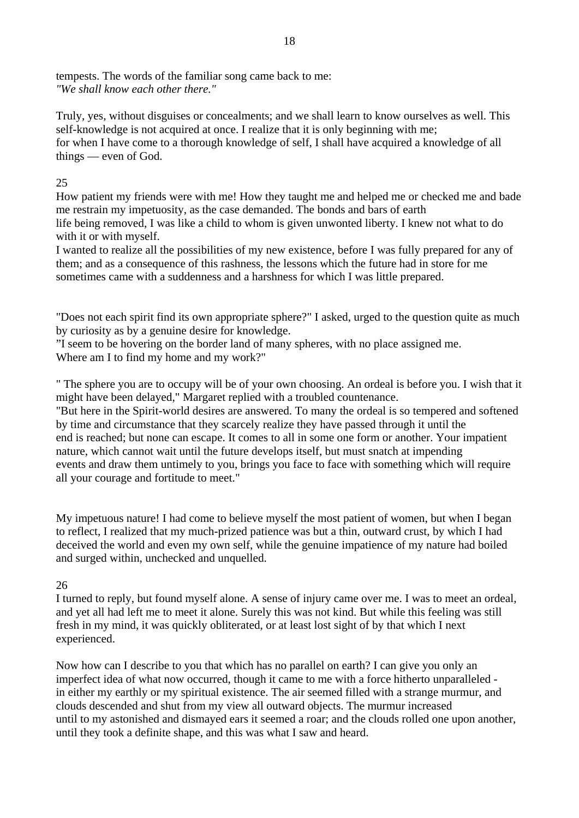tempests. The words of the familiar song came back to me: *"We shall know each other there."* 

Truly, yes, without disguises or concealments; and we shall learn to know ourselves as well. This self-knowledge is not acquired at once. I realize that it is only beginning with me; for when I have come to a thorough knowledge of self, I shall have acquired a knowledge of all things — even of God.

### 25

How patient my friends were with me! How they taught me and helped me or checked me and bade me restrain my impetuosity, as the case demanded. The bonds and bars of earth life being removed, I was like a child to whom is given unwonted liberty. I knew not what to do with it or with myself.

I wanted to realize all the possibilities of my new existence, before I was fully prepared for any of them; and as a consequence of this rashness, the lessons which the future had in store for me sometimes came with a suddenness and a harshness for which I was little prepared.

"Does not each spirit find its own appropriate sphere?" I asked, urged to the question quite as much by curiosity as by a genuine desire for knowledge.

"I seem to be hovering on the border land of many spheres, with no place assigned me. Where am I to find my home and my work?"

" The sphere you are to occupy will be of your own choosing. An ordeal is before you. I wish that it might have been delayed," Margaret replied with a troubled countenance.

"But here in the Spirit-world desires are answered. To many the ordeal is so tempered and softened by time and circumstance that they scarcely realize they have passed through it until the end is reached; but none can escape. It comes to all in some one form or another. Your impatient nature, which cannot wait until the future develops itself, but must snatch at impending events and draw them untimely to you, brings you face to face with something which will require all your courage and fortitude to meet."

My impetuous nature! I had come to believe myself the most patient of women, but when I began to reflect, I realized that my much-prized patience was but a thin, outward crust, by which I had deceived the world and even my own self, while the genuine impatience of my nature had boiled and surged within, unchecked and unquelled.

### 26

I turned to reply, but found myself alone. A sense of injury came over me. I was to meet an ordeal, and yet all had left me to meet it alone. Surely this was not kind. But while this feeling was still fresh in my mind, it was quickly obliterated, or at least lost sight of by that which I next experienced.

Now how can I describe to you that which has no parallel on earth? I can give you only an imperfect idea of what now occurred, though it came to me with a force hitherto unparalleled in either my earthly or my spiritual existence. The air seemed filled with a strange murmur, and clouds descended and shut from my view all outward objects. The murmur increased until to my astonished and dismayed ears it seemed a roar; and the clouds rolled one upon another, until they took a definite shape, and this was what I saw and heard.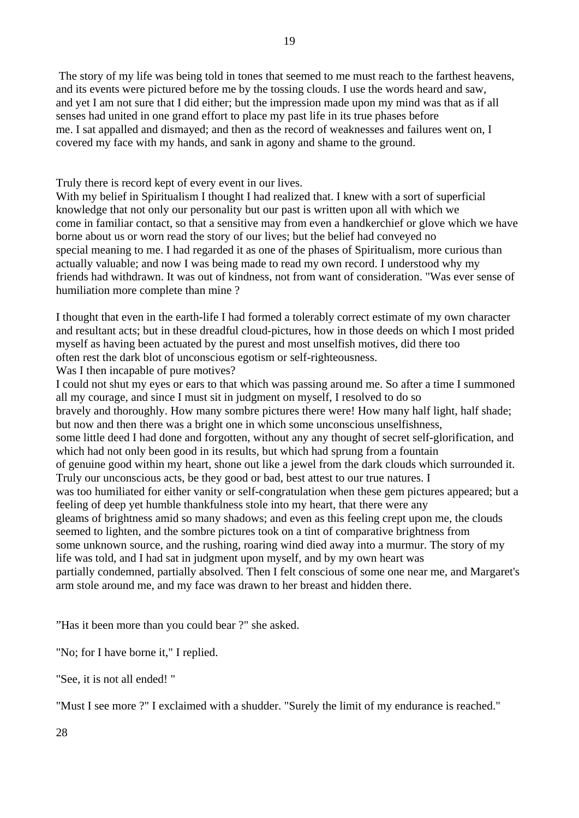The story of my life was being told in tones that seemed to me must reach to the farthest heavens, and its events were pictured before me by the tossing clouds. I use the words heard and saw, and yet I am not sure that I did either; but the impression made upon my mind was that as if all senses had united in one grand effort to place my past life in its true phases before me. I sat appalled and dismayed; and then as the record of weaknesses and failures went on, I covered my face with my hands, and sank in agony and shame to the ground.

Truly there is record kept of every event in our lives.

With my belief in Spiritualism I thought I had realized that. I knew with a sort of superficial knowledge that not only our personality but our past is written upon all with which we come in familiar contact, so that a sensitive may from even a handkerchief or glove which we have borne about us or worn read the story of our lives; but the belief had conveyed no special meaning to me. I had regarded it as one of the phases of Spiritualism, more curious than actually valuable; and now I was being made to read my own record. I understood why my friends had withdrawn. It was out of kindness, not from want of consideration. "Was ever sense of humiliation more complete than mine ?

I thought that even in the earth-life I had formed a tolerably correct estimate of my own character and resultant acts; but in these dreadful cloud-pictures, how in those deeds on which I most prided myself as having been actuated by the purest and most unselfish motives, did there too often rest the dark blot of unconscious egotism or self-righteousness.

Was I then incapable of pure motives?

I could not shut my eyes or ears to that which was passing around me. So after a time I summoned all my courage, and since I must sit in judgment on myself, I resolved to do so bravely and thoroughly. How many sombre pictures there were! How many half light, half shade; but now and then there was a bright one in which some unconscious unselfishness, some little deed I had done and forgotten, without any any thought of secret self-glorification, and which had not only been good in its results, but which had sprung from a fountain of genuine good within my heart, shone out like a jewel from the dark clouds which surrounded it. Truly our unconscious acts, be they good or bad, best attest to our true natures. I was too humiliated for either vanity or self-congratulation when these gem pictures appeared; but a feeling of deep yet humble thankfulness stole into my heart, that there were any gleams of brightness amid so many shadows; and even as this feeling crept upon me, the clouds seemed to lighten, and the sombre pictures took on a tint of comparative brightness from some unknown source, and the rushing, roaring wind died away into a murmur. The story of my life was told, and I had sat in judgment upon myself, and by my own heart was partially condemned, partially absolved. Then I felt conscious of some one near me, and Margaret's arm stole around me, and my face was drawn to her breast and hidden there.

"Has it been more than you could bear ?" she asked.

"No; for I have borne it," I replied.

"See, it is not all ended! "

"Must I see more ?" I exclaimed with a shudder. "Surely the limit of my endurance is reached."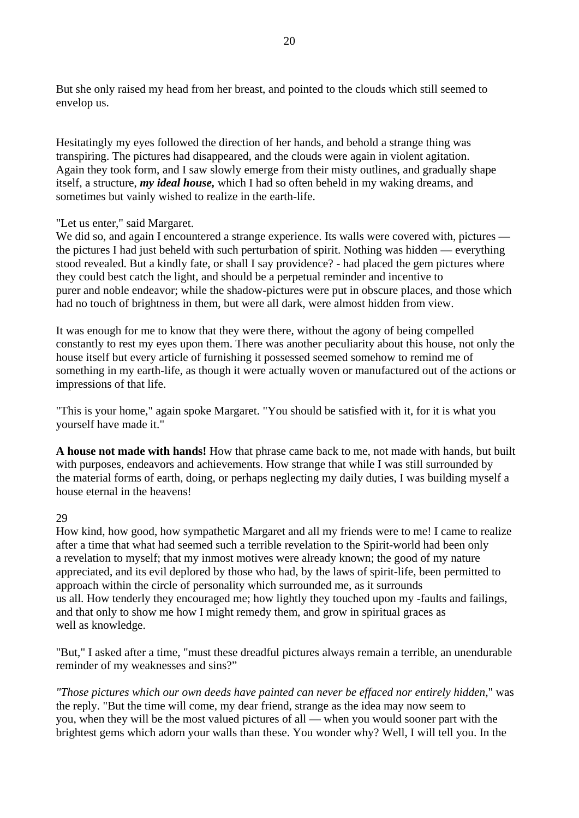But she only raised my head from her breast, and pointed to the clouds which still seemed to envelop us.

Hesitatingly my eyes followed the direction of her hands, and behold a strange thing was transpiring. The pictures had disappeared, and the clouds were again in violent agitation. Again they took form, and I saw slowly emerge from their misty outlines, and gradually shape itself, a structure, *my ideal house,* which I had so often beheld in my waking dreams, and sometimes but vainly wished to realize in the earth-life.

#### "Let us enter," said Margaret.

We did so, and again I encountered a strange experience. Its walls were covered with, pictures the pictures I had just beheld with such perturbation of spirit. Nothing was hidden — everything stood revealed. But a kindly fate, or shall I say providence? - had placed the gem pictures where they could best catch the light, and should be a perpetual reminder and incentive to purer and noble endeavor; while the shadow-pictures were put in obscure places, and those which had no touch of brightness in them, but were all dark, were almost hidden from view.

It was enough for me to know that they were there, without the agony of being compelled constantly to rest my eyes upon them. There was another peculiarity about this house, not only the house itself but every article of furnishing it possessed seemed somehow to remind me of something in my earth-life, as though it were actually woven or manufactured out of the actions or impressions of that life.

"This is your home," again spoke Margaret. "You should be satisfied with it, for it is what you yourself have made it."

**A house not made with hands!** How that phrase came back to me, not made with hands, but built with purposes, endeavors and achievements. How strange that while I was still surrounded by the material forms of earth, doing, or perhaps neglecting my daily duties, I was building myself a house eternal in the heavens!

#### 29

How kind, how good, how sympathetic Margaret and all my friends were to me! I came to realize after a time that what had seemed such a terrible revelation to the Spirit-world had been only a revelation to myself; that my inmost motives were already known; the good of my nature appreciated, and its evil deplored by those who had, by the laws of spirit-life, been permitted to approach within the circle of personality which surrounded me, as it surrounds us all. How tenderly they encouraged me; how lightly they touched upon my -faults and failings, and that only to show me how I might remedy them, and grow in spiritual graces as well as knowledge.

"But," I asked after a time, "must these dreadful pictures always remain a terrible, an unendurable reminder of my weaknesses and sins?"

*"Those pictures which our own deeds have painted can never be effaced nor entirely hidden,*" was the reply. "But the time will come, my dear friend, strange as the idea may now seem to you, when they will be the most valued pictures of all — when you would sooner part with the brightest gems which adorn your walls than these. You wonder why? Well, I will tell you. In the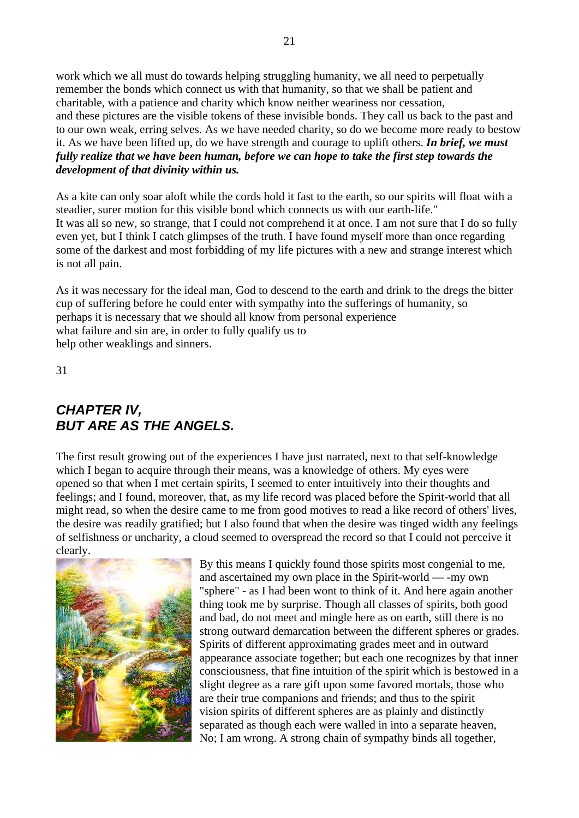work which we all must do towards helping struggling humanity, we all need to perpetually remember the bonds which connect us with that humanity, so that we shall be patient and charitable, with a patience and charity which know neither weariness nor cessation, and these pictures are the visible tokens of these invisible bonds. They call us back to the past and to our own weak, erring selves. As we have needed charity, so do we become more ready to bestow it. As we have been lifted up, do we have strength and courage to uplift others. *In brief, we must fully realize that we have been human, before we can hope to take the first step towards the development of that divinity within us.* 

As a kite can only soar aloft while the cords hold it fast to the earth, so our spirits will float with a steadier, surer motion for this visible bond which connects us with our earth-life." It was all so new, so strange, that I could not comprehend it at once. I am not sure that I do so fully even yet, but I think I catch glimpses of the truth. I have found myself more than once regarding some of the darkest and most forbidding of my life pictures with a new and strange interest which is not all pain.

As it was necessary for the ideal man, God to descend to the earth and drink to the dregs the bitter cup of suffering before he could enter with sympathy into the sufferings of humanity, so perhaps it is necessary that we should all know from personal experience what failure and sin are, in order to fully qualify us to help other weaklings and sinners.

31

### *CHAPTER IV, BUT ARE AS THE ANGELS.*

The first result growing out of the experiences I have just narrated, next to that self-knowledge which I began to acquire through their means, was a knowledge of others. My eyes were opened so that when I met certain spirits, I seemed to enter intuitively into their thoughts and feelings; and I found, moreover, that, as my life record was placed before the Spirit-world that all might read, so when the desire came to me from good motives to read a like record of others' lives, the desire was readily gratified; but I also found that when the desire was tinged width any feelings of selfishness or uncharity, a cloud seemed to overspread the record so that I could not perceive it clearly.



By this means I quickly found those spirits most congenial to me, and ascertained my own place in the Spirit-world — -my own "sphere" - as I had been wont to think of it. And here again another thing took me by surprise. Though all classes of spirits, both good and bad, do not meet and mingle here as on earth, still there is no strong outward demarcation between the different spheres or grades. Spirits of different approximating grades meet and in outward appearance associate together; but each one recognizes by that inner consciousness, that fine intuition of the spirit which is bestowed in a slight degree as a rare gift upon some favored mortals, those who are their true companions and friends; and thus to the spirit vision spirits of different spheres are as plainly and distinctly separated as though each were walled in into a separate heaven, No; I am wrong. A strong chain of sympathy binds all together,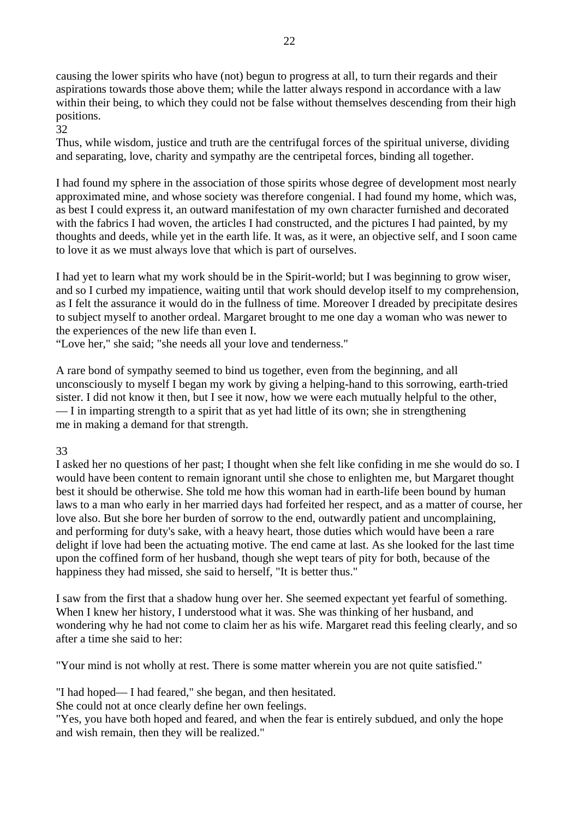causing the lower spirits who have (not) begun to progress at all, to turn their regards and their aspirations towards those above them; while the latter always respond in accordance with a law within their being, to which they could not be false without themselves descending from their high positions.

#### 32

Thus, while wisdom, justice and truth are the centrifugal forces of the spiritual universe, dividing and separating, love, charity and sympathy are the centripetal forces, binding all together.

I had found my sphere in the association of those spirits whose degree of development most nearly approximated mine, and whose society was therefore congenial. I had found my home, which was, as best I could express it, an outward manifestation of my own character furnished and decorated with the fabrics I had woven, the articles I had constructed, and the pictures I had painted, by my thoughts and deeds, while yet in the earth life. It was, as it were, an objective self, and I soon came to love it as we must always love that which is part of ourselves.

I had yet to learn what my work should be in the Spirit-world; but I was beginning to grow wiser, and so I curbed my impatience, waiting until that work should develop itself to my comprehension, as I felt the assurance it would do in the fullness of time. Moreover I dreaded by precipitate desires to subject myself to another ordeal. Margaret brought to me one day a woman who was newer to the experiences of the new life than even I.

"Love her," she said; "she needs all your love and tenderness."

A rare bond of sympathy seemed to bind us together, even from the beginning, and all unconsciously to myself I began my work by giving a helping-hand to this sorrowing, earth-tried sister. I did not know it then, but I see it now, how we were each mutually helpful to the other, — I in imparting strength to a spirit that as yet had little of its own; she in strengthening me in making a demand for that strength.

### 33

I asked her no questions of her past; I thought when she felt like confiding in me she would do so. I would have been content to remain ignorant until she chose to enlighten me, but Margaret thought best it should be otherwise. She told me how this woman had in earth-life been bound by human laws to a man who early in her married days had forfeited her respect, and as a matter of course, her love also. But she bore her burden of sorrow to the end, outwardly patient and uncomplaining, and performing for duty's sake, with a heavy heart, those duties which would have been a rare delight if love had been the actuating motive. The end came at last. As she looked for the last time upon the coffined form of her husband, though she wept tears of pity for both, because of the happiness they had missed, she said to herself, "It is better thus."

I saw from the first that a shadow hung over her. She seemed expectant yet fearful of something. When I knew her history, I understood what it was. She was thinking of her husband, and wondering why he had not come to claim her as his wife. Margaret read this feeling clearly, and so after a time she said to her:

"Your mind is not wholly at rest. There is some matter wherein you are not quite satisfied."

"I had hoped— I had feared," she began, and then hesitated.

She could not at once clearly define her own feelings.

"Yes, you have both hoped and feared, and when the fear is entirely subdued, and only the hope and wish remain, then they will be realized."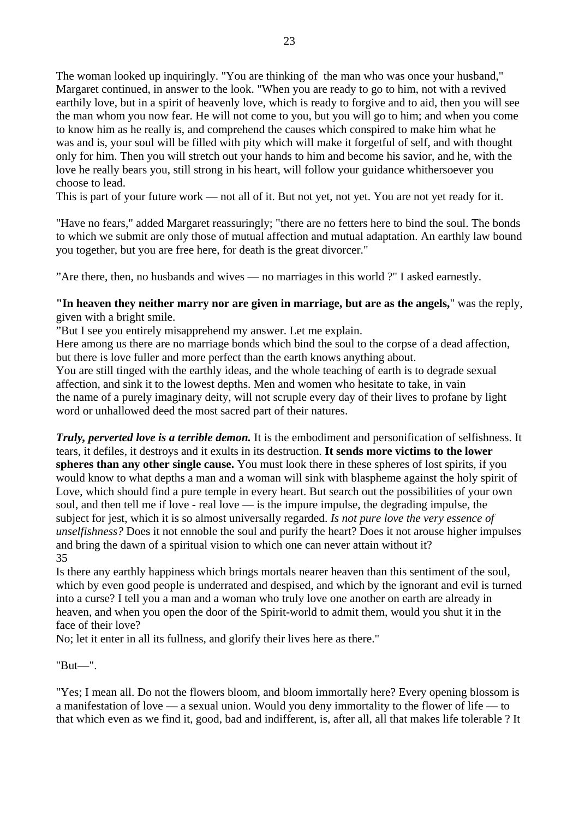The woman looked up inquiringly. "You are thinking of the man who was once your husband," Margaret continued, in answer to the look. "When you are ready to go to him, not with a revived earthily love, but in a spirit of heavenly love, which is ready to forgive and to aid, then you will see the man whom you now fear. He will not come to you, but you will go to him; and when you come to know him as he really is, and comprehend the causes which conspired to make him what he was and is, your soul will be filled with pity which will make it forgetful of self, and with thought only for him. Then you will stretch out your hands to him and become his savior, and he, with the love he really bears you, still strong in his heart, will follow your guidance whithersoever you choose to lead.

This is part of your future work — not all of it. But not yet, not yet. You are not yet ready for it.

"Have no fears," added Margaret reassuringly; "there are no fetters here to bind the soul. The bonds to which we submit are only those of mutual affection and mutual adaptation. An earthly law bound you together, but you are free here, for death is the great divorcer."

"Are there, then, no husbands and wives — no marriages in this world ?" I asked earnestly.

**"In heaven they neither marry nor are given in marriage, but are as the angels,**" was the reply, given with a bright smile.

"But I see you entirely misapprehend my answer. Let me explain.

Here among us there are no marriage bonds which bind the soul to the corpse of a dead affection, but there is love fuller and more perfect than the earth knows anything about.

You are still tinged with the earthly ideas, and the whole teaching of earth is to degrade sexual affection, and sink it to the lowest depths. Men and women who hesitate to take, in vain the name of a purely imaginary deity, will not scruple every day of their lives to profane by light word or unhallowed deed the most sacred part of their natures.

*Truly, perverted love is a terrible demon.* It is the embodiment and personification of selfishness. It tears, it defiles, it destroys and it exults in its destruction. **It sends more victims to the lower spheres than any other single cause.** You must look there in these spheres of lost spirits, if you would know to what depths a man and a woman will sink with blaspheme against the holy spirit of Love, which should find a pure temple in every heart. But search out the possibilities of your own soul, and then tell me if love - real love — is the impure impulse, the degrading impulse, the subject for jest, which it is so almost universally regarded. *Is not pure love the very essence of unselfishness?* Does it not ennoble the soul and purify the heart? Does it not arouse higher impulses and bring the dawn of a spiritual vision to which one can never attain without it? 35

Is there any earthly happiness which brings mortals nearer heaven than this sentiment of the soul, which by even good people is underrated and despised, and which by the ignorant and evil is turned into a curse? I tell you a man and a woman who truly love one another on earth are already in heaven, and when you open the door of the Spirit-world to admit them, would you shut it in the face of their love?

No; let it enter in all its fullness, and glorify their lives here as there."

"But—".

"Yes; I mean all. Do not the flowers bloom, and bloom immortally here? Every opening blossom is a manifestation of love — a sexual union. Would you deny immortality to the flower of life — to that which even as we find it, good, bad and indifferent, is, after all, all that makes life tolerable ? It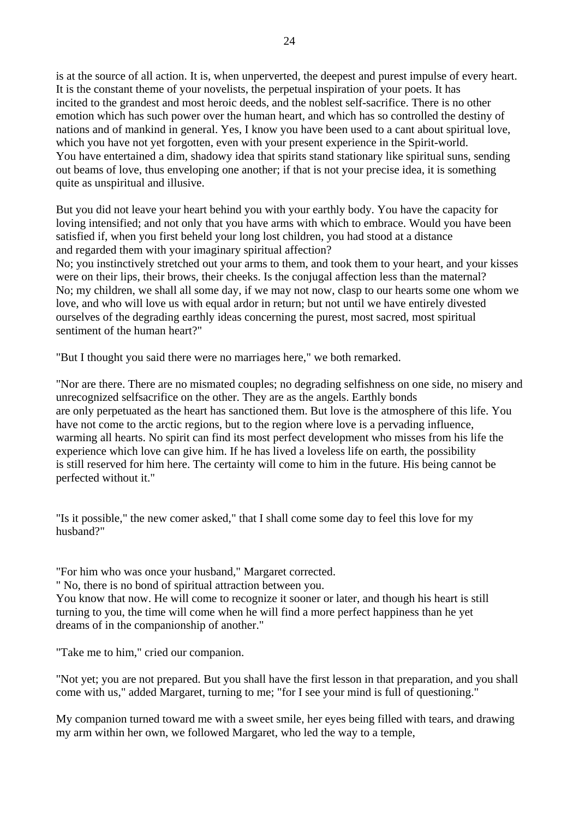is at the source of all action. It is, when unperverted, the deepest and purest impulse of every heart. It is the constant theme of your novelists, the perpetual inspiration of your poets. It has incited to the grandest and most heroic deeds, and the noblest self-sacrifice. There is no other emotion which has such power over the human heart, and which has so controlled the destiny of nations and of mankind in general. Yes, I know you have been used to a cant about spiritual love, which you have not yet forgotten, even with your present experience in the Spirit-world. You have entertained a dim, shadowy idea that spirits stand stationary like spiritual suns, sending out beams of love, thus enveloping one another; if that is not your precise idea, it is something quite as unspiritual and illusive.

But you did not leave your heart behind you with your earthly body. You have the capacity for loving intensified; and not only that you have arms with which to embrace. Would you have been satisfied if, when you first beheld your long lost children, you had stood at a distance and regarded them with your imaginary spiritual affection?

No; you instinctively stretched out your arms to them, and took them to your heart, and your kisses were on their lips, their brows, their cheeks. Is the conjugal affection less than the maternal? No; my children, we shall all some day, if we may not now, clasp to our hearts some one whom we love, and who will love us with equal ardor in return; but not until we have entirely divested ourselves of the degrading earthly ideas concerning the purest, most sacred, most spiritual sentiment of the human heart?"

"But I thought you said there were no marriages here," we both remarked.

"Nor are there. There are no mismated couples; no degrading selfishness on one side, no misery and unrecognized selfsacrifice on the other. They are as the angels. Earthly bonds are only perpetuated as the heart has sanctioned them. But love is the atmosphere of this life. You have not come to the arctic regions, but to the region where love is a pervading influence, warming all hearts. No spirit can find its most perfect development who misses from his life the experience which love can give him. If he has lived a loveless life on earth, the possibility is still reserved for him here. The certainty will come to him in the future. His being cannot be perfected without it."

"Is it possible," the new comer asked," that I shall come some day to feel this love for my husband?"

"For him who was once your husband," Margaret corrected.

" No, there is no bond of spiritual attraction between you.

You know that now. He will come to recognize it sooner or later, and though his heart is still turning to you, the time will come when he will find a more perfect happiness than he yet dreams of in the companionship of another."

"Take me to him," cried our companion.

"Not yet; you are not prepared. But you shall have the first lesson in that preparation, and you shall come with us," added Margaret, turning to me; "for I see your mind is full of questioning."

My companion turned toward me with a sweet smile, her eyes being filled with tears, and drawing my arm within her own, we followed Margaret, who led the way to a temple,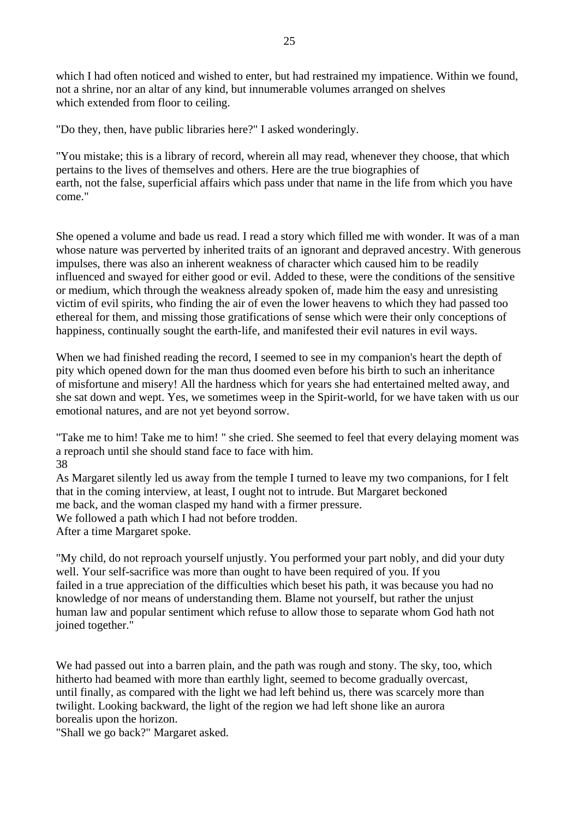which I had often noticed and wished to enter, but had restrained my impatience. Within we found, not a shrine, nor an altar of any kind, but innumerable volumes arranged on shelves which extended from floor to ceiling.

"Do they, then, have public libraries here?" I asked wonderingly.

"You mistake; this is a library of record, wherein all may read, whenever they choose, that which pertains to the lives of themselves and others. Here are the true biographies of earth, not the false, superficial affairs which pass under that name in the life from which you have come."

She opened a volume and bade us read. I read a story which filled me with wonder. It was of a man whose nature was perverted by inherited traits of an ignorant and depraved ancestry. With generous impulses, there was also an inherent weakness of character which caused him to be readily influenced and swayed for either good or evil. Added to these, were the conditions of the sensitive or medium, which through the weakness already spoken of, made him the easy and unresisting victim of evil spirits, who finding the air of even the lower heavens to which they had passed too ethereal for them, and missing those gratifications of sense which were their only conceptions of happiness, continually sought the earth-life, and manifested their evil natures in evil ways.

When we had finished reading the record, I seemed to see in my companion's heart the depth of pity which opened down for the man thus doomed even before his birth to such an inheritance of misfortune and misery! All the hardness which for years she had entertained melted away, and she sat down and wept. Yes, we sometimes weep in the Spirit-world, for we have taken with us our emotional natures, and are not yet beyond sorrow.

"Take me to him! Take me to him! " she cried. She seemed to feel that every delaying moment was a reproach until she should stand face to face with him. 38

As Margaret silently led us away from the temple I turned to leave my two companions, for I felt that in the coming interview, at least, I ought not to intrude. But Margaret beckoned me back, and the woman clasped my hand with a firmer pressure.

We followed a path which I had not before trodden.

After a time Margaret spoke.

"My child, do not reproach yourself unjustly. You performed your part nobly, and did your duty well. Your self-sacrifice was more than ought to have been required of you. If you failed in a true appreciation of the difficulties which beset his path, it was because you had no knowledge of nor means of understanding them. Blame not yourself, but rather the unjust human law and popular sentiment which refuse to allow those to separate whom God hath not joined together."

We had passed out into a barren plain, and the path was rough and stony. The sky, too, which hitherto had beamed with more than earthly light, seemed to become gradually overcast, until finally, as compared with the light we had left behind us, there was scarcely more than twilight. Looking backward, the light of the region we had left shone like an aurora borealis upon the horizon.

"Shall we go back?" Margaret asked.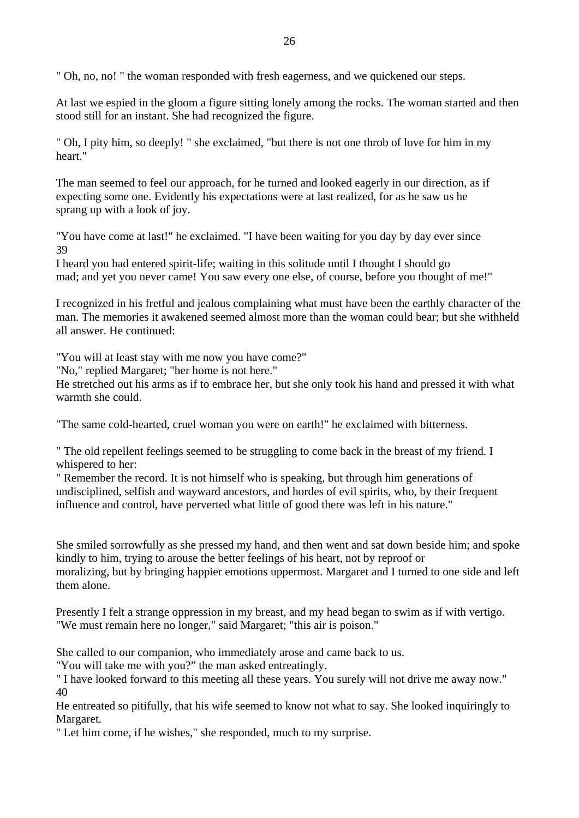" Oh, no, no! " the woman responded with fresh eagerness, and we quickened our steps.

At last we espied in the gloom a figure sitting lonely among the rocks. The woman started and then stood still for an instant. She had recognized the figure.

" Oh, I pity him, so deeply! " she exclaimed, "but there is not one throb of love for him in my heart."

The man seemed to feel our approach, for he turned and looked eagerly in our direction, as if expecting some one. Evidently his expectations were at last realized, for as he saw us he sprang up with a look of joy.

"You have come at last!" he exclaimed. "I have been waiting for you day by day ever since 39

I heard you had entered spirit-life; waiting in this solitude until I thought I should go mad; and yet you never came! You saw every one else, of course, before you thought of me!"

I recognized in his fretful and jealous complaining what must have been the earthly character of the man. The memories it awakened seemed almost more than the woman could bear; but she withheld all answer. He continued:

"You will at least stay with me now you have come?"

"No," replied Margaret; "her home is not here."

He stretched out his arms as if to embrace her, but she only took his hand and pressed it with what warmth she could.

"The same cold-hearted, cruel woman you were on earth!" he exclaimed with bitterness.

" The old repellent feelings seemed to be struggling to come back in the breast of my friend. I whispered to her:

" Remember the record. It is not himself who is speaking, but through him generations of undisciplined, selfish and wayward ancestors, and hordes of evil spirits, who, by their frequent influence and control, have perverted what little of good there was left in his nature."

She smiled sorrowfully as she pressed my hand, and then went and sat down beside him; and spoke kindly to him, trying to arouse the better feelings of his heart, not by reproof or moralizing, but by bringing happier emotions uppermost. Margaret and I turned to one side and left them alone.

Presently I felt a strange oppression in my breast, and my head began to swim as if with vertigo. "We must remain here no longer," said Margaret; "this air is poison."

She called to our companion, who immediately arose and came back to us.

"You will take me with you?" the man asked entreatingly.

" I have looked forward to this meeting all these years. You surely will not drive me away now." 40

He entreated so pitifully, that his wife seemed to know not what to say. She looked inquiringly to Margaret.

" Let him come, if he wishes," she responded, much to my surprise.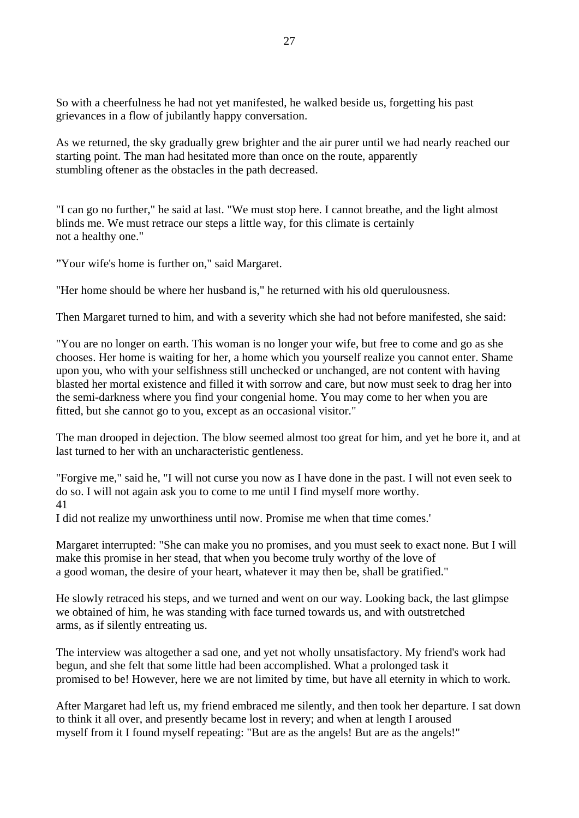So with a cheerfulness he had not yet manifested, he walked beside us, forgetting his past grievances in a flow of jubilantly happy conversation.

As we returned, the sky gradually grew brighter and the air purer until we had nearly reached our starting point. The man had hesitated more than once on the route, apparently stumbling oftener as the obstacles in the path decreased.

"I can go no further," he said at last. "We must stop here. I cannot breathe, and the light almost blinds me. We must retrace our steps a little way, for this climate is certainly not a healthy one."

"Your wife's home is further on," said Margaret.

"Her home should be where her husband is," he returned with his old querulousness.

Then Margaret turned to him, and with a severity which she had not before manifested, she said:

"You are no longer on earth. This woman is no longer your wife, but free to come and go as she chooses. Her home is waiting for her, a home which you yourself realize you cannot enter. Shame upon you, who with your selfishness still unchecked or unchanged, are not content with having blasted her mortal existence and filled it with sorrow and care, but now must seek to drag her into the semi-darkness where you find your congenial home. You may come to her when you are fitted, but she cannot go to you, except as an occasional visitor."

The man drooped in dejection. The blow seemed almost too great for him, and yet he bore it, and at last turned to her with an uncharacteristic gentleness.

"Forgive me," said he, "I will not curse you now as I have done in the past. I will not even seek to do so. I will not again ask you to come to me until I find myself more worthy. 41

I did not realize my unworthiness until now. Promise me when that time comes.'

Margaret interrupted: "She can make you no promises, and you must seek to exact none. But I will make this promise in her stead, that when you become truly worthy of the love of a good woman, the desire of your heart, whatever it may then be, shall be gratified."

He slowly retraced his steps, and we turned and went on our way. Looking back, the last glimpse we obtained of him, he was standing with face turned towards us, and with outstretched arms, as if silently entreating us.

The interview was altogether a sad one, and yet not wholly unsatisfactory. My friend's work had begun, and she felt that some little had been accomplished. What a prolonged task it promised to be! However, here we are not limited by time, but have all eternity in which to work.

After Margaret had left us, my friend embraced me silently, and then took her departure. I sat down to think it all over, and presently became lost in revery; and when at length I aroused myself from it I found myself repeating: "But are as the angels! But are as the angels!"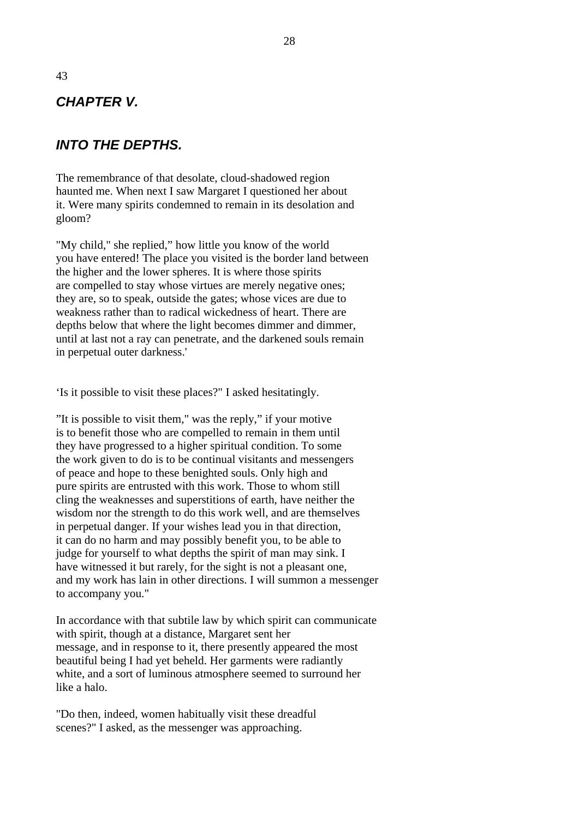### *CHAPTER V.*

43

### *INTO THE DEPTHS.*

The remembrance of that desolate, cloud-shadowed region haunted me. When next I saw Margaret I questioned her about it. Were many spirits condemned to remain in its desolation and gloom?

"My child," she replied," how little you know of the world you have entered! The place you visited is the border land between the higher and the lower spheres. It is where those spirits are compelled to stay whose virtues are merely negative ones; they are, so to speak, outside the gates; whose vices are due to weakness rather than to radical wickedness of heart. There are depths below that where the light becomes dimmer and dimmer, until at last not a ray can penetrate, and the darkened souls remain in perpetual outer darkness.'

'Is it possible to visit these places?" I asked hesitatingly.

"It is possible to visit them," was the reply," if your motive is to benefit those who are compelled to remain in them until they have progressed to a higher spiritual condition. To some the work given to do is to be continual visitants and messengers of peace and hope to these benighted souls. Only high and pure spirits are entrusted with this work. Those to whom still cling the weaknesses and superstitions of earth, have neither the wisdom nor the strength to do this work well, and are themselves in perpetual danger. If your wishes lead you in that direction, it can do no harm and may possibly benefit you, to be able to judge for yourself to what depths the spirit of man may sink. I have witnessed it but rarely, for the sight is not a pleasant one, and my work has lain in other directions. I will summon a messenger to accompany you."

In accordance with that subtile law by which spirit can communicate with spirit, though at a distance, Margaret sent her message, and in response to it, there presently appeared the most beautiful being I had yet beheld. Her garments were radiantly white, and a sort of luminous atmosphere seemed to surround her like a halo.

"Do then, indeed, women habitually visit these dreadful scenes?" I asked, as the messenger was approaching.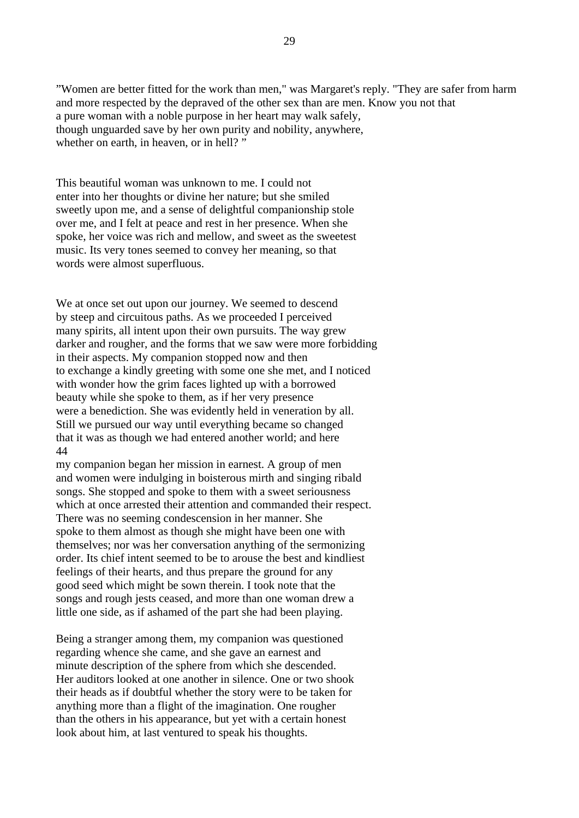"Women are better fitted for the work than men," was Margaret's reply. "They are safer from harm and more respected by the depraved of the other sex than are men. Know you not that a pure woman with a noble purpose in her heart may walk safely, though unguarded save by her own purity and nobility, anywhere, whether on earth, in heaven, or in hell?"

This beautiful woman was unknown to me. I could not enter into her thoughts or divine her nature; but she smiled sweetly upon me, and a sense of delightful companionship stole over me, and I felt at peace and rest in her presence. When she spoke, her voice was rich and mellow, and sweet as the sweetest music. Its very tones seemed to convey her meaning, so that words were almost superfluous.

We at once set out upon our journey. We seemed to descend by steep and circuitous paths. As we proceeded I perceived many spirits, all intent upon their own pursuits. The way grew darker and rougher, and the forms that we saw were more forbidding in their aspects. My companion stopped now and then to exchange a kindly greeting with some one she met, and I noticed with wonder how the grim faces lighted up with a borrowed beauty while she spoke to them, as if her very presence were a benediction. She was evidently held in veneration by all. Still we pursued our way until everything became so changed that it was as though we had entered another world; and here 44

my companion began her mission in earnest. A group of men and women were indulging in boisterous mirth and singing ribald songs. She stopped and spoke to them with a sweet seriousness which at once arrested their attention and commanded their respect. There was no seeming condescension in her manner. She spoke to them almost as though she might have been one with themselves; nor was her conversation anything of the sermonizing order. Its chief intent seemed to be to arouse the best and kindliest feelings of their hearts, and thus prepare the ground for any good seed which might be sown therein. I took note that the songs and rough jests ceased, and more than one woman drew a little one side, as if ashamed of the part she had been playing.

Being a stranger among them, my companion was questioned regarding whence she came, and she gave an earnest and minute description of the sphere from which she descended. Her auditors looked at one another in silence. One or two shook their heads as if doubtful whether the story were to be taken for anything more than a flight of the imagination. One rougher than the others in his appearance, but yet with a certain honest look about him, at last ventured to speak his thoughts.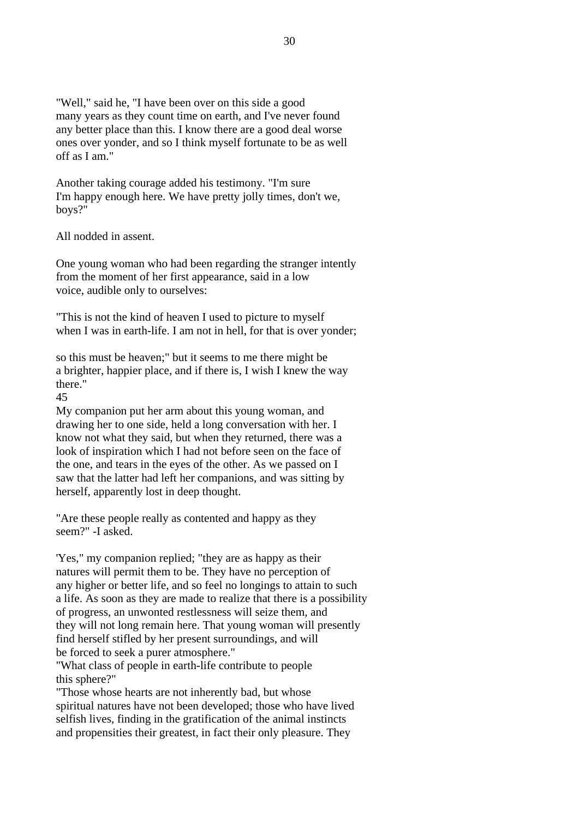"Well," said he, "I have been over on this side a good many years as they count time on earth, and I've never found any better place than this. I know there are a good deal worse ones over yonder, and so I think myself fortunate to be as well off as I am."

Another taking courage added his testimony. "I'm sure I'm happy enough here. We have pretty jolly times, don't we, boys?"

All nodded in assent.

One young woman who had been regarding the stranger intently from the moment of her first appearance, said in a low voice, audible only to ourselves:

"This is not the kind of heaven I used to picture to myself when I was in earth-life. I am not in hell, for that is over yonder;

so this must be heaven;" but it seems to me there might be a brighter, happier place, and if there is, I wish I knew the way there."

45

My companion put her arm about this young woman, and drawing her to one side, held a long conversation with her. I know not what they said, but when they returned, there was a look of inspiration which I had not before seen on the face of the one, and tears in the eyes of the other. As we passed on I saw that the latter had left her companions, and was sitting by herself, apparently lost in deep thought.

"Are these people really as contented and happy as they seem?" -I asked.

'Yes," my companion replied; "they are as happy as their natures will permit them to be. They have no perception of any higher or better life, and so feel no longings to attain to such a life. As soon as they are made to realize that there is a possibility of progress, an unwonted restlessness will seize them, and they will not long remain here. That young woman will presently find herself stifled by her present surroundings, and will be forced to seek a purer atmosphere."

"What class of people in earth-life contribute to people this sphere?"

"Those whose hearts are not inherently bad, but whose spiritual natures have not been developed; those who have lived selfish lives, finding in the gratification of the animal instincts and propensities their greatest, in fact their only pleasure. They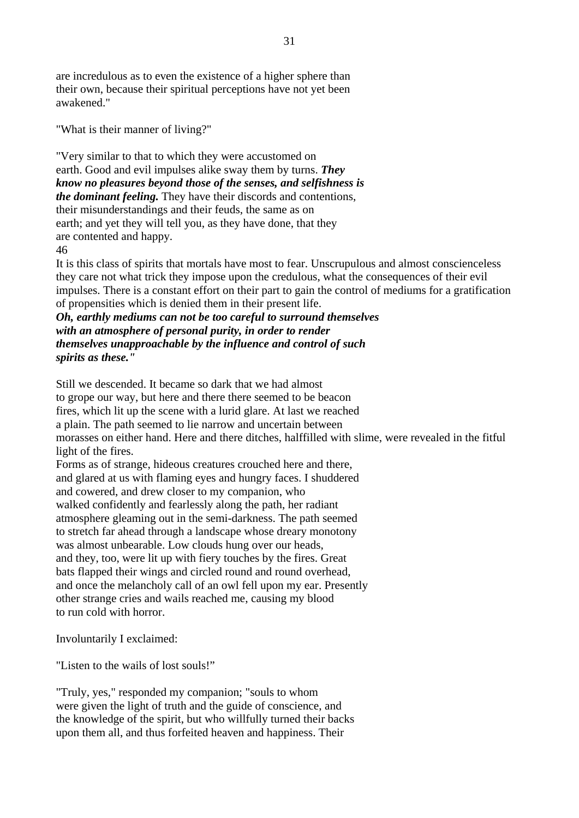are incredulous as to even the existence of a higher sphere than their own, because their spiritual perceptions have not yet been awakened."

"What is their manner of living?"

"Very similar to that to which they were accustomed on earth. Good and evil impulses alike sway them by turns. *They know no pleasures beyond those of the senses, and selfishness is the dominant feeling.* They have their discords and contentions, their misunderstandings and their feuds, the same as on earth; and yet they will tell you, as they have done, that they are contented and happy.

46

It is this class of spirits that mortals have most to fear. Unscrupulous and almost conscienceless they care not what trick they impose upon the credulous, what the consequences of their evil impulses. There is a constant effort on their part to gain the control of mediums for a gratification of propensities which is denied them in their present life.

*Oh, earthly mediums can not be too careful to surround themselves with an atmosphere of personal purity, in order to render themselves unapproachable by the influence and control of such spirits as these."* 

Still we descended. It became so dark that we had almost to grope our way, but here and there there seemed to be beacon fires, which lit up the scene with a lurid glare. At last we reached a plain. The path seemed to lie narrow and uncertain between morasses on either hand. Here and there ditches, halffilled with slime, were revealed in the fitful light of the fires. Forms as of strange, hideous creatures crouched here and there, and glared at us with flaming eyes and hungry faces. I shuddered and cowered, and drew closer to my companion, who walked confidently and fearlessly along the path, her radiant atmosphere gleaming out in the semi-darkness. The path seemed to stretch far ahead through a landscape whose dreary monotony was almost unbearable. Low clouds hung over our heads, and they, too, were lit up with fiery touches by the fires. Great bats flapped their wings and circled round and round overhead, and once the melancholy call of an owl fell upon my ear. Presently

other strange cries and wails reached me, causing my blood to run cold with horror.

Involuntarily I exclaimed:

"Listen to the wails of lost souls!"

"Truly, yes," responded my companion; "souls to whom were given the light of truth and the guide of conscience, and the knowledge of the spirit, but who willfully turned their backs upon them all, and thus forfeited heaven and happiness. Their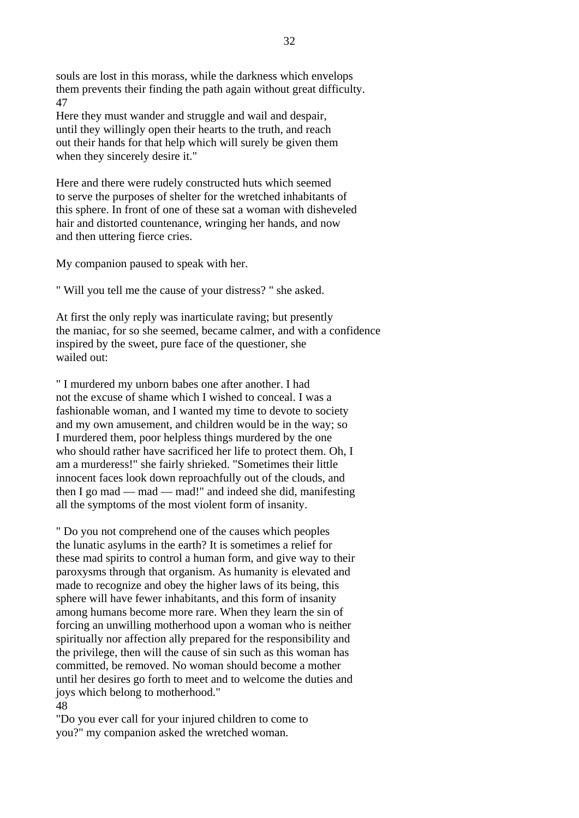souls are lost in this morass, while the darkness which envelops them prevents their finding the path again without great difficulty. 47

Here they must wander and struggle and wail and despair, until they willingly open their hearts to the truth, and reach out their hands for that help which will surely be given them when they sincerely desire it."

Here and there were rudely constructed huts which seemed to serve the purposes of shelter for the wretched inhabitants of this sphere. In front of one of these sat a woman with disheveled hair and distorted countenance, wringing her hands, and now and then uttering fierce cries.

My companion paused to speak with her.

" Will you tell me the cause of your distress? " she asked.

At first the only reply was inarticulate raving; but presently the maniac, for so she seemed, became calmer, and with a confidence inspired by the sweet, pure face of the questioner, she wailed out:

" I murdered my unborn babes one after another. I had not the excuse of shame which I wished to conceal. I was a fashionable woman, and I wanted my time to devote to society and my own amusement, and children would be in the way; so I murdered them, poor helpless things murdered by the one who should rather have sacrificed her life to protect them. Oh, I am a murderess!" she fairly shrieked. "Sometimes their little innocent faces look down reproachfully out of the clouds, and then I go mad — mad — mad!" and indeed she did, manifesting all the symptoms of the most violent form of insanity.

" Do you not comprehend one of the causes which peoples the lunatic asylums in the earth? It is sometimes a relief for these mad spirits to control a human form, and give way to their paroxysms through that organism. As humanity is elevated and made to recognize and obey the higher laws of its being, this sphere will have fewer inhabitants, and this form of insanity among humans become more rare. When they learn the sin of forcing an unwilling motherhood upon a woman who is neither spiritually nor affection ally prepared for the responsibility and the privilege, then will the cause of sin such as this woman has committed, be removed. No woman should become a mother until her desires go forth to meet and to welcome the duties and joys which belong to motherhood." 48

"Do you ever call for your injured children to come to you?" my companion asked the wretched woman.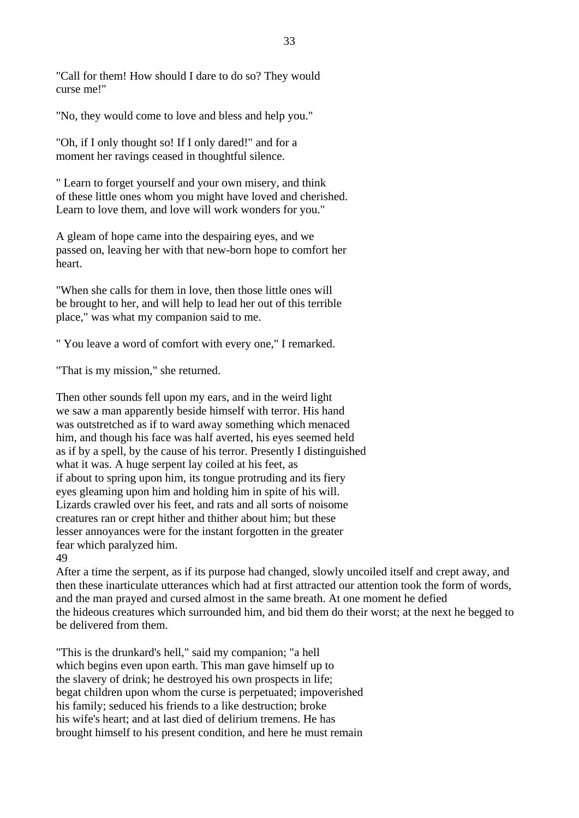"Call for them! How should I dare to do so? They would curse me!"

"No, they would come to love and bless and help you."

"Oh, if I only thought so! If I only dared!" and for a moment her ravings ceased in thoughtful silence.

" Learn to forget yourself and your own misery, and think of these little ones whom you might have loved and cherished. Learn to love them, and love will work wonders for you."

A gleam of hope came into the despairing eyes, and we passed on, leaving her with that new-born hope to comfort her heart.

"When she calls for them in love, then those little ones will be brought to her, and will help to lead her out of this terrible place," was what my companion said to me.

" You leave a word of comfort with every one," I remarked.

"That is my mission," she returned.

Then other sounds fell upon my ears, and in the weird light we saw a man apparently beside himself with terror. His hand was outstretched as if to ward away something which menaced him, and though his face was half averted, his eyes seemed held as if by a spell, by the cause of his terror. Presently I distinguished what it was. A huge serpent lay coiled at his feet, as if about to spring upon him, its tongue protruding and its fiery eyes gleaming upon him and holding him in spite of his will. Lizards crawled over his feet, and rats and all sorts of noisome creatures ran or crept hither and thither about him; but these lesser annoyances were for the instant forgotten in the greater fear which paralyzed him.

49

After a time the serpent, as if its purpose had changed, slowly uncoiled itself and crept away, and then these inarticulate utterances which had at first attracted our attention took the form of words, and the man prayed and cursed almost in the same breath. At one moment he defied the hideous creatures which surrounded him, and bid them do their worst; at the next he begged to be delivered from them.

"This is the drunkard's hell," said my companion; "a hell which begins even upon earth. This man gave himself up to the slavery of drink; he destroyed his own prospects in life; begat children upon whom the curse is perpetuated; impoverished his family; seduced his friends to a like destruction; broke his wife's heart; and at last died of delirium tremens. He has brought himself to his present condition, and here he must remain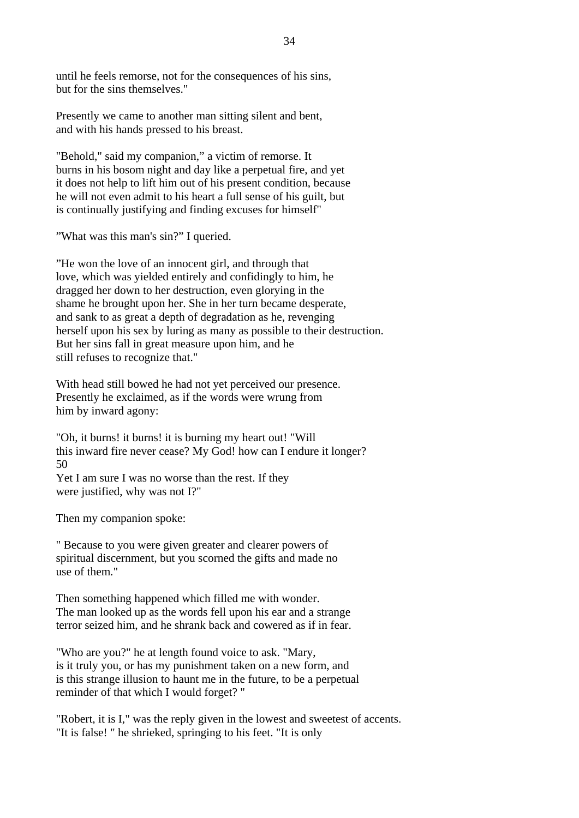until he feels remorse, not for the consequences of his sins, but for the sins themselves."

Presently we came to another man sitting silent and bent, and with his hands pressed to his breast.

"Behold," said my companion," a victim of remorse. It burns in his bosom night and day like a perpetual fire, and yet it does not help to lift him out of his present condition, because he will not even admit to his heart a full sense of his guilt, but is continually justifying and finding excuses for himself"

"What was this man's sin?" I queried.

"He won the love of an innocent girl, and through that love, which was yielded entirely and confidingly to him, he dragged her down to her destruction, even glorying in the shame he brought upon her. She in her turn became desperate, and sank to as great a depth of degradation as he, revenging herself upon his sex by luring as many as possible to their destruction. But her sins fall in great measure upon him, and he still refuses to recognize that."

With head still bowed he had not yet perceived our presence. Presently he exclaimed, as if the words were wrung from him by inward agony:

"Oh, it burns! it burns! it is burning my heart out! "Will this inward fire never cease? My God! how can I endure it longer? 50 Yet I am sure I was no worse than the rest. If they

were justified, why was not I?"

Then my companion spoke:

" Because to you were given greater and clearer powers of spiritual discernment, but you scorned the gifts and made no use of them."

Then something happened which filled me with wonder. The man looked up as the words fell upon his ear and a strange terror seized him, and he shrank back and cowered as if in fear.

"Who are you?" he at length found voice to ask. "Mary, is it truly you, or has my punishment taken on a new form, and is this strange illusion to haunt me in the future, to be a perpetual reminder of that which I would forget? "

"Robert, it is I," was the reply given in the lowest and sweetest of accents. "It is false! " he shrieked, springing to his feet. "It is only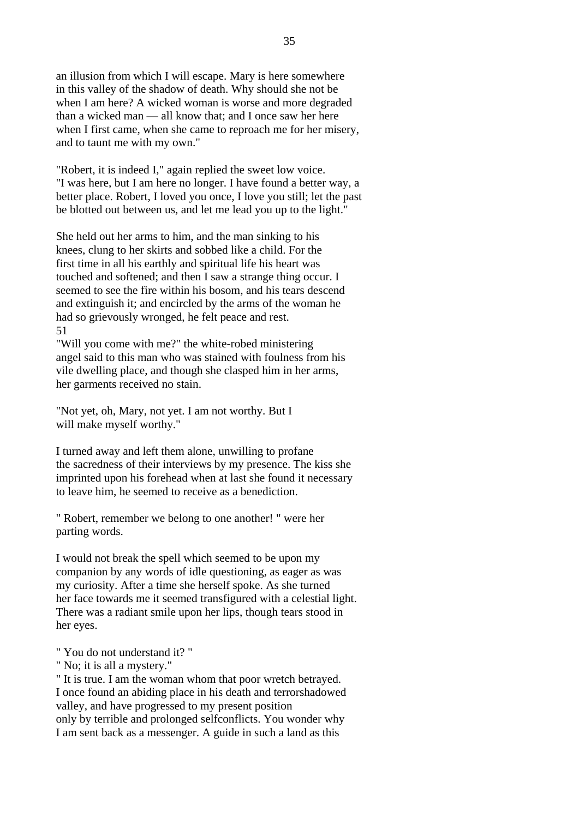an illusion from which I will escape. Mary is here somewhere in this valley of the shadow of death. Why should she not be when I am here? A wicked woman is worse and more degraded than a wicked man — all know that; and I once saw her here when I first came, when she came to reproach me for her misery, and to taunt me with my own."

"Robert, it is indeed I," again replied the sweet low voice. "I was here, but I am here no longer. I have found a better way, a better place. Robert, I loved you once, I love you still; let the past be blotted out between us, and let me lead you up to the light."

She held out her arms to him, and the man sinking to his knees, clung to her skirts and sobbed like a child. For the first time in all his earthly and spiritual life his heart was touched and softened; and then I saw a strange thing occur. I seemed to see the fire within his bosom, and his tears descend and extinguish it; and encircled by the arms of the woman he had so grievously wronged, he felt peace and rest. 51

"Will you come with me?" the white-robed ministering angel said to this man who was stained with foulness from his vile dwelling place, and though she clasped him in her arms, her garments received no stain.

"Not yet, oh, Mary, not yet. I am not worthy. But I will make myself worthy."

I turned away and left them alone, unwilling to profane the sacredness of their interviews by my presence. The kiss she imprinted upon his forehead when at last she found it necessary to leave him, he seemed to receive as a benediction.

" Robert, remember we belong to one another! " were her parting words.

I would not break the spell which seemed to be upon my companion by any words of idle questioning, as eager as was my curiosity. After a time she herself spoke. As she turned her face towards me it seemed transfigured with a celestial light. There was a radiant smile upon her lips, though tears stood in her eyes.

" You do not understand it? "

" No; it is all a mystery."

" It is true. I am the woman whom that poor wretch betrayed. I once found an abiding place in his death and terrorshadowed valley, and have progressed to my present position only by terrible and prolonged selfconflicts. You wonder why I am sent back as a messenger. A guide in such a land as this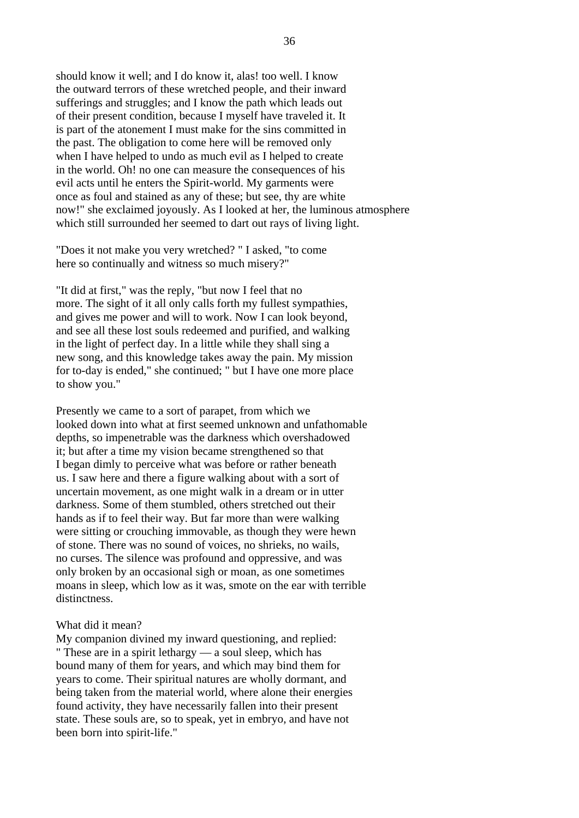should know it well; and I do know it, alas! too well. I know the outward terrors of these wretched people, and their inward sufferings and struggles; and I know the path which leads out of their present condition, because I myself have traveled it. It is part of the atonement I must make for the sins committed in the past. The obligation to come here will be removed only when I have helped to undo as much evil as I helped to create in the world. Oh! no one can measure the consequences of his evil acts until he enters the Spirit-world. My garments were once as foul and stained as any of these; but see, thy are white now!" she exclaimed joyously. As I looked at her, the luminous atmosphere which still surrounded her seemed to dart out rays of living light.

"Does it not make you very wretched? " I asked, "to come here so continually and witness so much misery?"

"It did at first," was the reply, "but now I feel that no more. The sight of it all only calls forth my fullest sympathies, and gives me power and will to work. Now I can look beyond, and see all these lost souls redeemed and purified, and walking in the light of perfect day. In a little while they shall sing a new song, and this knowledge takes away the pain. My mission for to-day is ended," she continued; " but I have one more place to show you."

Presently we came to a sort of parapet, from which we looked down into what at first seemed unknown and unfathomable depths, so impenetrable was the darkness which overshadowed it; but after a time my vision became strengthened so that I began dimly to perceive what was before or rather beneath us. I saw here and there a figure walking about with a sort of uncertain movement, as one might walk in a dream or in utter darkness. Some of them stumbled, others stretched out their hands as if to feel their way. But far more than were walking were sitting or crouching immovable, as though they were hewn of stone. There was no sound of voices, no shrieks, no wails, no curses. The silence was profound and oppressive, and was only broken by an occasional sigh or moan, as one sometimes moans in sleep, which low as it was, smote on the ear with terrible distinctness.

#### What did it mean?

My companion divined my inward questioning, and replied: " These are in a spirit lethargy — a soul sleep, which has bound many of them for years, and which may bind them for years to come. Their spiritual natures are wholly dormant, and being taken from the material world, where alone their energies found activity, they have necessarily fallen into their present state. These souls are, so to speak, yet in embryo, and have not been born into spirit-life."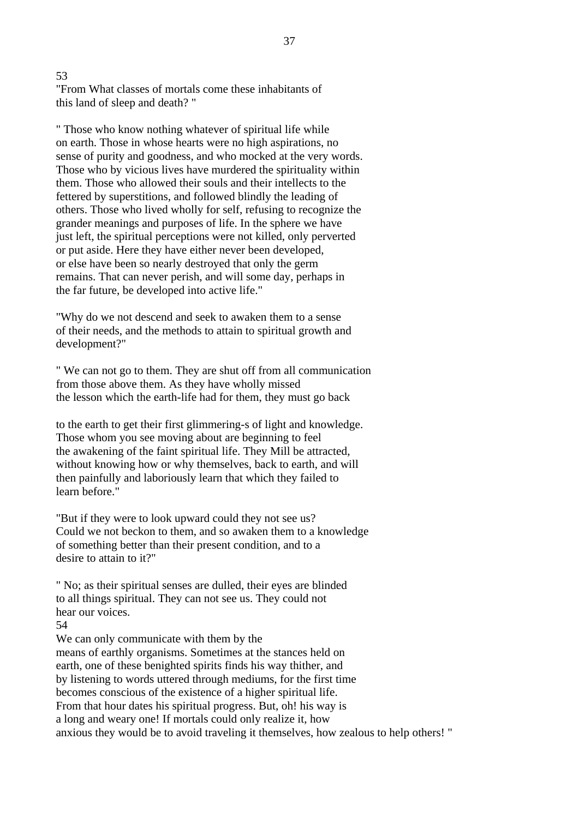"From What classes of mortals come these inhabitants of this land of sleep and death? "

" Those who know nothing whatever of spiritual life while on earth. Those in whose hearts were no high aspirations, no sense of purity and goodness, and who mocked at the very words. Those who by vicious lives have murdered the spirituality within them. Those who allowed their souls and their intellects to the fettered by superstitions, and followed blindly the leading of others. Those who lived wholly for self, refusing to recognize the grander meanings and purposes of life. In the sphere we have just left, the spiritual perceptions were not killed, only perverted or put aside. Here they have either never been developed, or else have been so nearly destroyed that only the germ remains. That can never perish, and will some day, perhaps in the far future, be developed into active life."

"Why do we not descend and seek to awaken them to a sense of their needs, and the methods to attain to spiritual growth and development?"

" We can not go to them. They are shut off from all communication from those above them. As they have wholly missed the lesson which the earth-life had for them, they must go back

to the earth to get their first glimmering-s of light and knowledge. Those whom you see moving about are beginning to feel the awakening of the faint spiritual life. They Mill be attracted, without knowing how or why themselves, back to earth, and will then painfully and laboriously learn that which they failed to learn before."

"But if they were to look upward could they not see us? Could we not beckon to them, and so awaken them to a knowledge of something better than their present condition, and to a desire to attain to it?"

" No; as their spiritual senses are dulled, their eyes are blinded to all things spiritual. They can not see us. They could not hear our voices.

54

53

We can only communicate with them by the

means of earthly organisms. Sometimes at the stances held on earth, one of these benighted spirits finds his way thither, and by listening to words uttered through mediums, for the first time becomes conscious of the existence of a higher spiritual life. From that hour dates his spiritual progress. But, oh! his way is a long and weary one! If mortals could only realize it, how anxious they would be to avoid traveling it themselves, how zealous to help others! "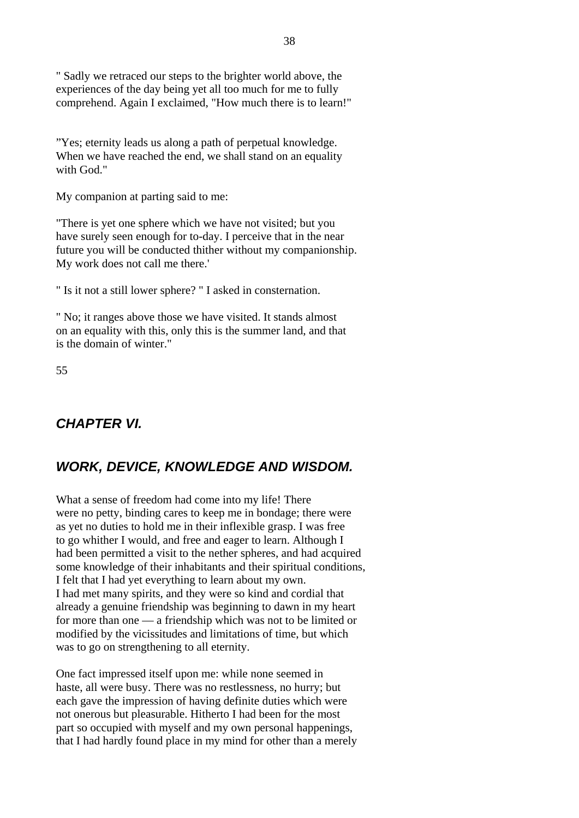" Sadly we retraced our steps to the brighter world above, the experiences of the day being yet all too much for me to fully comprehend. Again I exclaimed, "How much there is to learn!"

"Yes; eternity leads us along a path of perpetual knowledge. When we have reached the end, we shall stand on an equality with God."

My companion at parting said to me:

"There is yet one sphere which we have not visited; but you have surely seen enough for to-day. I perceive that in the near future you will be conducted thither without my companionship. My work does not call me there.'

" Is it not a still lower sphere? " I asked in consternation.

" No; it ranges above those we have visited. It stands almost on an equality with this, only this is the summer land, and that is the domain of winter."

55

# *CHAPTER VI.*

# *WORK, DEVICE, KNOWLEDGE AND WISDOM.*

What a sense of freedom had come into my life! There were no petty, binding cares to keep me in bondage; there were as yet no duties to hold me in their inflexible grasp. I was free to go whither I would, and free and eager to learn. Although I had been permitted a visit to the nether spheres, and had acquired some knowledge of their inhabitants and their spiritual conditions, I felt that I had yet everything to learn about my own. I had met many spirits, and they were so kind and cordial that already a genuine friendship was beginning to dawn in my heart for more than one — a friendship which was not to be limited or modified by the vicissitudes and limitations of time, but which was to go on strengthening to all eternity.

One fact impressed itself upon me: while none seemed in haste, all were busy. There was no restlessness, no hurry; but each gave the impression of having definite duties which were not onerous but pleasurable. Hitherto I had been for the most part so occupied with myself and my own personal happenings, that I had hardly found place in my mind for other than a merely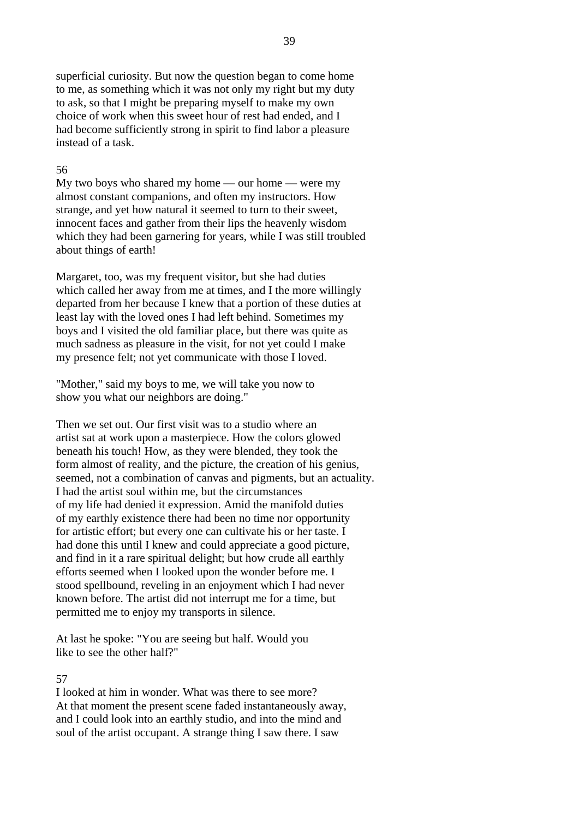superficial curiosity. But now the question began to come home to me, as something which it was not only my right but my duty to ask, so that I might be preparing myself to make my own choice of work when this sweet hour of rest had ended, and I had become sufficiently strong in spirit to find labor a pleasure instead of a task.

### 56

My two boys who shared my home — our home — were my almost constant companions, and often my instructors. How strange, and yet how natural it seemed to turn to their sweet, innocent faces and gather from their lips the heavenly wisdom which they had been garnering for years, while I was still troubled about things of earth!

Margaret, too, was my frequent visitor, but she had duties which called her away from me at times, and I the more willingly departed from her because I knew that a portion of these duties at least lay with the loved ones I had left behind. Sometimes my boys and I visited the old familiar place, but there was quite as much sadness as pleasure in the visit, for not yet could I make my presence felt; not yet communicate with those I loved.

"Mother," said my boys to me, we will take you now to show you what our neighbors are doing."

Then we set out. Our first visit was to a studio where an artist sat at work upon a masterpiece. How the colors glowed beneath his touch! How, as they were blended, they took the form almost of reality, and the picture, the creation of his genius, seemed, not a combination of canvas and pigments, but an actuality. I had the artist soul within me, but the circumstances of my life had denied it expression. Amid the manifold duties of my earthly existence there had been no time nor opportunity for artistic effort; but every one can cultivate his or her taste. I had done this until I knew and could appreciate a good picture, and find in it a rare spiritual delight; but how crude all earthly efforts seemed when I looked upon the wonder before me. I stood spellbound, reveling in an enjoyment which I had never known before. The artist did not interrupt me for a time, but permitted me to enjoy my transports in silence.

At last he spoke: "You are seeing but half. Would you like to see the other half?"

## 57

I looked at him in wonder. What was there to see more? At that moment the present scene faded instantaneously away, and I could look into an earthly studio, and into the mind and soul of the artist occupant. A strange thing I saw there. I saw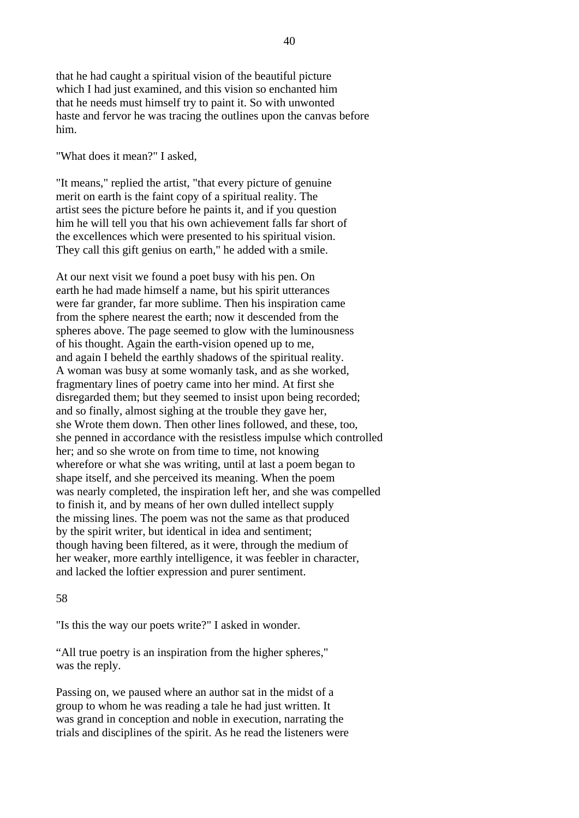that he had caught a spiritual vision of the beautiful picture which I had just examined, and this vision so enchanted him that he needs must himself try to paint it. So with unwonted haste and fervor he was tracing the outlines upon the canvas before him.

"What does it mean?" I asked,

"It means," replied the artist, "that every picture of genuine merit on earth is the faint copy of a spiritual reality. The artist sees the picture before he paints it, and if you question him he will tell you that his own achievement falls far short of the excellences which were presented to his spiritual vision. They call this gift genius on earth," he added with a smile.

At our next visit we found a poet busy with his pen. On earth he had made himself a name, but his spirit utterances were far grander, far more sublime. Then his inspiration came from the sphere nearest the earth; now it descended from the spheres above. The page seemed to glow with the luminousness of his thought. Again the earth-vision opened up to me, and again I beheld the earthly shadows of the spiritual reality. A woman was busy at some womanly task, and as she worked, fragmentary lines of poetry came into her mind. At first she disregarded them; but they seemed to insist upon being recorded; and so finally, almost sighing at the trouble they gave her, she Wrote them down. Then other lines followed, and these, too, she penned in accordance with the resistless impulse which controlled her; and so she wrote on from time to time, not knowing wherefore or what she was writing, until at last a poem began to shape itself, and she perceived its meaning. When the poem was nearly completed, the inspiration left her, and she was compelled to finish it, and by means of her own dulled intellect supply the missing lines. The poem was not the same as that produced by the spirit writer, but identical in idea and sentiment; though having been filtered, as it were, through the medium of her weaker, more earthly intelligence, it was feebler in character, and lacked the loftier expression and purer sentiment.

### 58

"Is this the way our poets write?" I asked in wonder.

"All true poetry is an inspiration from the higher spheres," was the reply.

Passing on, we paused where an author sat in the midst of a group to whom he was reading a tale he had just written. It was grand in conception and noble in execution, narrating the trials and disciplines of the spirit. As he read the listeners were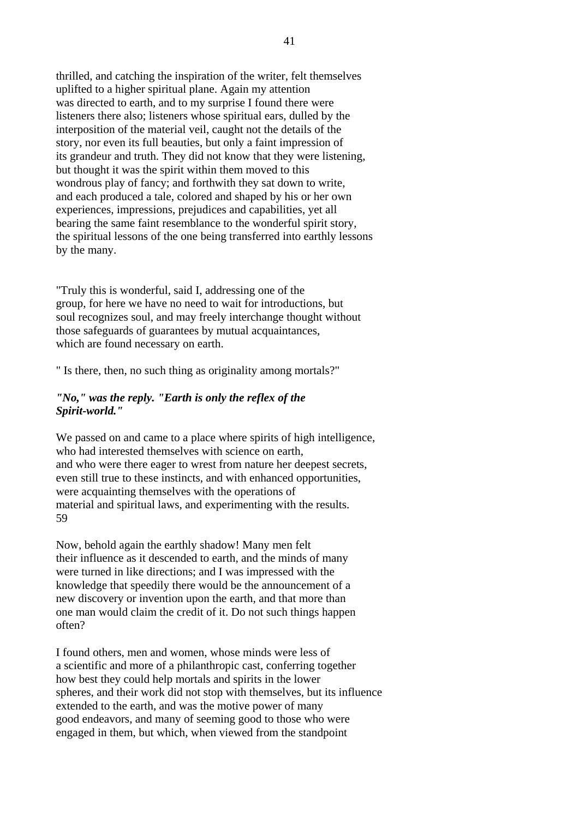thrilled, and catching the inspiration of the writer, felt themselves uplifted to a higher spiritual plane. Again my attention was directed to earth, and to my surprise I found there were listeners there also; listeners whose spiritual ears, dulled by the interposition of the material veil, caught not the details of the story, nor even its full beauties, but only a faint impression of its grandeur and truth. They did not know that they were listening, but thought it was the spirit within them moved to this wondrous play of fancy; and forthwith they sat down to write, and each produced a tale, colored and shaped by his or her own experiences, impressions, prejudices and capabilities, yet all bearing the same faint resemblance to the wonderful spirit story, the spiritual lessons of the one being transferred into earthly lessons by the many.

"Truly this is wonderful, said I, addressing one of the group, for here we have no need to wait for introductions, but soul recognizes soul, and may freely interchange thought without those safeguards of guarantees by mutual acquaintances, which are found necessary on earth.

" Is there, then, no such thing as originality among mortals?"

## *"No," was the reply. "Earth is only the reflex of the Spirit-world."*

We passed on and came to a place where spirits of high intelligence, who had interested themselves with science on earth, and who were there eager to wrest from nature her deepest secrets, even still true to these instincts, and with enhanced opportunities, were acquainting themselves with the operations of material and spiritual laws, and experimenting with the results. 59

Now, behold again the earthly shadow! Many men felt their influence as it descended to earth, and the minds of many were turned in like directions; and I was impressed with the knowledge that speedily there would be the announcement of a new discovery or invention upon the earth, and that more than one man would claim the credit of it. Do not such things happen often?

I found others, men and women, whose minds were less of a scientific and more of a philanthropic cast, conferring together how best they could help mortals and spirits in the lower spheres, and their work did not stop with themselves, but its influence extended to the earth, and was the motive power of many good endeavors, and many of seeming good to those who were engaged in them, but which, when viewed from the standpoint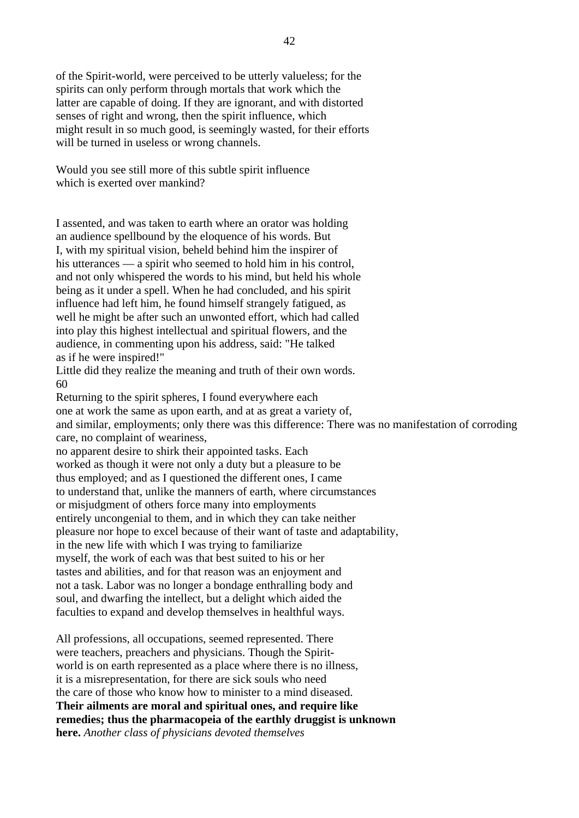of the Spirit-world, were perceived to be utterly valueless; for the spirits can only perform through mortals that work which the latter are capable of doing. If they are ignorant, and with distorted senses of right and wrong, then the spirit influence, which might result in so much good, is seemingly wasted, for their efforts will be turned in useless or wrong channels.

Would you see still more of this subtle spirit influence which is exerted over mankind?

I assented, and was taken to earth where an orator was holding an audience spellbound by the eloquence of his words. But I, with my spiritual vision, beheld behind him the inspirer of his utterances — a spirit who seemed to hold him in his control, and not only whispered the words to his mind, but held his whole being as it under a spell. When he had concluded, and his spirit influence had left him, he found himself strangely fatigued, as well he might be after such an unwonted effort, which had called into play this highest intellectual and spiritual flowers, and the audience, in commenting upon his address, said: "He talked as if he were inspired!"

Little did they realize the meaning and truth of their own words. 60

Returning to the spirit spheres, I found everywhere each one at work the same as upon earth, and at as great a variety of, and similar, employments; only there was this difference: There was no manifestation of corroding care, no complaint of weariness, no apparent desire to shirk their appointed tasks. Each

worked as though it were not only a duty but a pleasure to be thus employed; and as I questioned the different ones, I came to understand that, unlike the manners of earth, where circumstances or misjudgment of others force many into employments entirely uncongenial to them, and in which they can take neither pleasure nor hope to excel because of their want of taste and adaptability, in the new life with which I was trying to familiarize myself, the work of each was that best suited to his or her tastes and abilities, and for that reason was an enjoyment and not a task. Labor was no longer a bondage enthralling body and soul, and dwarfing the intellect, but a delight which aided the faculties to expand and develop themselves in healthful ways.

All professions, all occupations, seemed represented. There were teachers, preachers and physicians. Though the Spiritworld is on earth represented as a place where there is no illness, it is a misrepresentation, for there are sick souls who need the care of those who know how to minister to a mind diseased. **Their ailments are moral and spiritual ones, and require like remedies; thus the pharmacopeia of the earthly druggist is unknown here.** *Another class of physicians devoted themselves*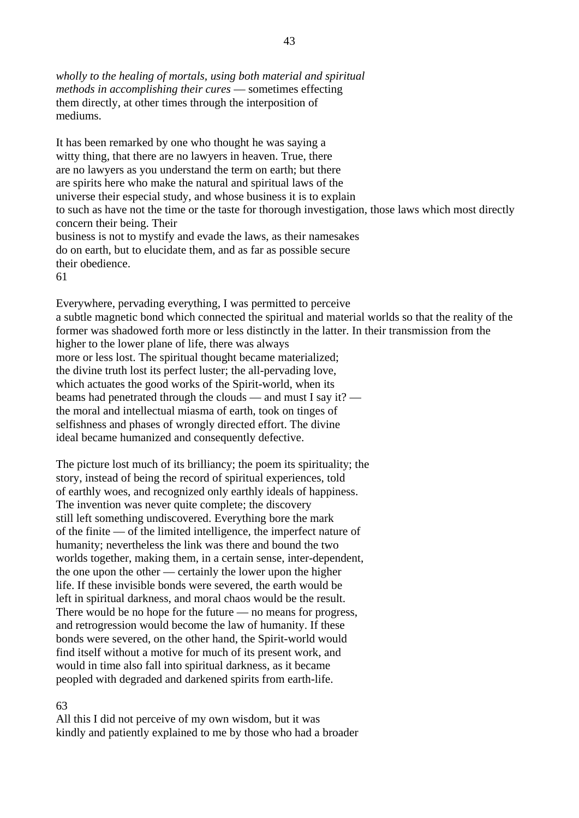*wholly to the healing of mortals, using both material and spiritual methods in accomplishing their cures* — sometimes effecting them directly, at other times through the interposition of mediums.

It has been remarked by one who thought he was saying a witty thing, that there are no lawyers in heaven. True, there are no lawyers as you understand the term on earth; but there are spirits here who make the natural and spiritual laws of the universe their especial study, and whose business it is to explain to such as have not the time or the taste for thorough investigation, those laws which most directly concern their being. Their business is not to mystify and evade the laws, as their namesakes do on earth, but to elucidate them, and as far as possible secure their obedience.

61

Everywhere, pervading everything, I was permitted to perceive a subtle magnetic bond which connected the spiritual and material worlds so that the reality of the former was shadowed forth more or less distinctly in the latter. In their transmission from the higher to the lower plane of life, there was always more or less lost. The spiritual thought became materialized; the divine truth lost its perfect luster; the all-pervading love, which actuates the good works of the Spirit-world, when its beams had penetrated through the clouds — and must I say it? the moral and intellectual miasma of earth, took on tinges of selfishness and phases of wrongly directed effort. The divine ideal became humanized and consequently defective.

The picture lost much of its brilliancy; the poem its spirituality; the story, instead of being the record of spiritual experiences, told of earthly woes, and recognized only earthly ideals of happiness. The invention was never quite complete; the discovery still left something undiscovered. Everything bore the mark of the finite — of the limited intelligence, the imperfect nature of humanity; nevertheless the link was there and bound the two worlds together, making them, in a certain sense, inter-dependent, the one upon the other — certainly the lower upon the higher life. If these invisible bonds were severed, the earth would be left in spiritual darkness, and moral chaos would be the result. There would be no hope for the future — no means for progress, and retrogression would become the law of humanity. If these bonds were severed, on the other hand, the Spirit-world would find itself without a motive for much of its present work, and would in time also fall into spiritual darkness, as it became peopled with degraded and darkened spirits from earth-life.

## 63

All this I did not perceive of my own wisdom, but it was kindly and patiently explained to me by those who had a broader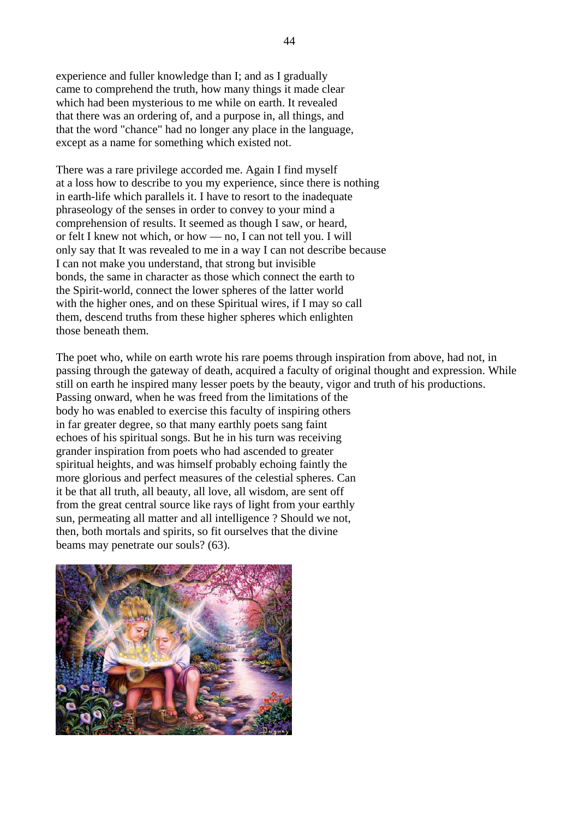experience and fuller knowledge than I; and as I gradually came to comprehend the truth, how many things it made clear which had been mysterious to me while on earth. It revealed that there was an ordering of, and a purpose in, all things, and that the word "chance" had no longer any place in the language, except as a name for something which existed not.

There was a rare privilege accorded me. Again I find myself at a loss how to describe to you my experience, since there is nothing in earth-life which parallels it. I have to resort to the inadequate phraseology of the senses in order to convey to your mind a comprehension of results. It seemed as though I saw, or heard, or felt I knew not which, or how — no, I can not tell you. I will only say that It was revealed to me in a way I can not describe because I can not make you understand, that strong but invisible bonds, the same in character as those which connect the earth to the Spirit-world, connect the lower spheres of the latter world with the higher ones, and on these Spiritual wires, if I may so call them, descend truths from these higher spheres which enlighten those beneath them.

The poet who, while on earth wrote his rare poems through inspiration from above, had not, in passing through the gateway of death, acquired a faculty of original thought and expression. While still on earth he inspired many lesser poets by the beauty, vigor and truth of his productions. Passing onward, when he was freed from the limitations of the body ho was enabled to exercise this faculty of inspiring others in far greater degree, so that many earthly poets sang faint echoes of his spiritual songs. But he in his turn was receiving grander inspiration from poets who had ascended to greater spiritual heights, and was himself probably echoing faintly the more glorious and perfect measures of the celestial spheres. Can it be that all truth, all beauty, all love, all wisdom, are sent off from the great central source like rays of light from your earthly sun, permeating all matter and all intelligence ? Should we not, then, both mortals and spirits, so fit ourselves that the divine beams may penetrate our souls? (63).

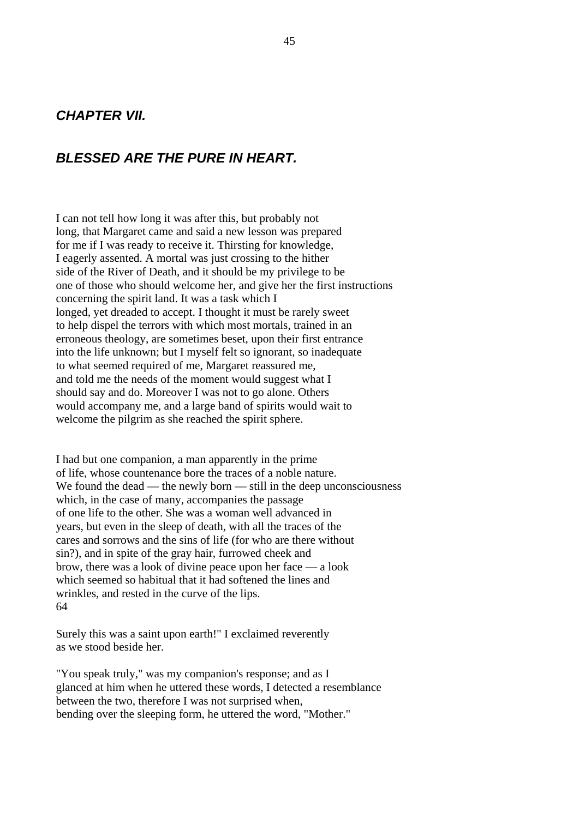## *CHAPTER VII.*

# *BLESSED ARE THE PURE IN HEART.*

I can not tell how long it was after this, but probably not long, that Margaret came and said a new lesson was prepared for me if I was ready to receive it. Thirsting for knowledge, I eagerly assented. A mortal was just crossing to the hither side of the River of Death, and it should be my privilege to be one of those who should welcome her, and give her the first instructions concerning the spirit land. It was a task which I longed, yet dreaded to accept. I thought it must be rarely sweet to help dispel the terrors with which most mortals, trained in an erroneous theology, are sometimes beset, upon their first entrance into the life unknown; but I myself felt so ignorant, so inadequate to what seemed required of me, Margaret reassured me, and told me the needs of the moment would suggest what I should say and do. Moreover I was not to go alone. Others would accompany me, and a large band of spirits would wait to welcome the pilgrim as she reached the spirit sphere.

I had but one companion, a man apparently in the prime of life, whose countenance bore the traces of a noble nature. We found the dead — the newly born — still in the deep unconsciousness which, in the case of many, accompanies the passage of one life to the other. She was a woman well advanced in years, but even in the sleep of death, with all the traces of the cares and sorrows and the sins of life (for who are there without sin?), and in spite of the gray hair, furrowed cheek and brow, there was a look of divine peace upon her face — a look which seemed so habitual that it had softened the lines and wrinkles, and rested in the curve of the lips. 64

Surely this was a saint upon earth!" I exclaimed reverently as we stood beside her.

"You speak truly," was my companion's response; and as I glanced at him when he uttered these words, I detected a resemblance between the two, therefore I was not surprised when, bending over the sleeping form, he uttered the word, "Mother."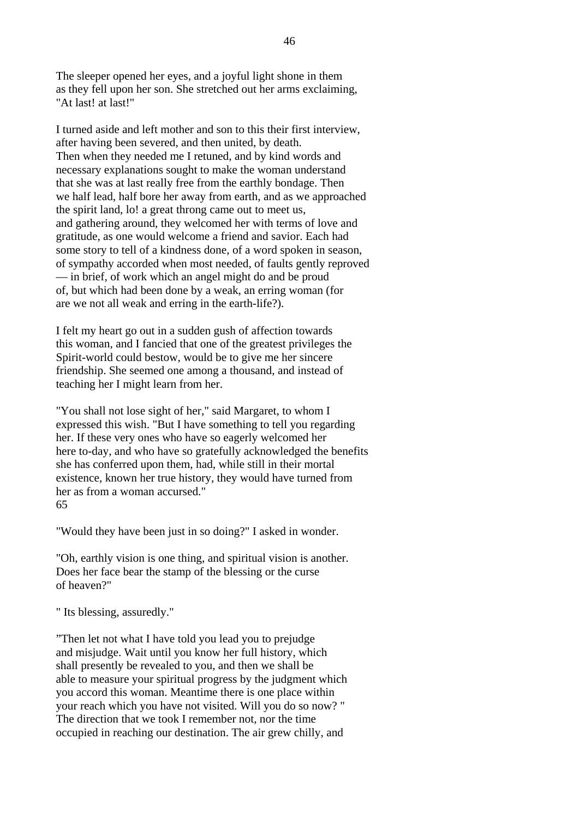The sleeper opened her eyes, and a joyful light shone in them as they fell upon her son. She stretched out her arms exclaiming, "At last! at last!"

I turned aside and left mother and son to this their first interview, after having been severed, and then united, by death. Then when they needed me I retuned, and by kind words and necessary explanations sought to make the woman understand that she was at last really free from the earthly bondage. Then we half lead, half bore her away from earth, and as we approached the spirit land, lo! a great throng came out to meet us, and gathering around, they welcomed her with terms of love and gratitude, as one would welcome a friend and savior. Each had some story to tell of a kindness done, of a word spoken in season, of sympathy accorded when most needed, of faults gently reproved — in brief, of work which an angel might do and be proud of, but which had been done by a weak, an erring woman (for are we not all weak and erring in the earth-life?).

I felt my heart go out in a sudden gush of affection towards this woman, and I fancied that one of the greatest privileges the Spirit-world could bestow, would be to give me her sincere friendship. She seemed one among a thousand, and instead of teaching her I might learn from her.

"You shall not lose sight of her," said Margaret, to whom I expressed this wish. "But I have something to tell you regarding her. If these very ones who have so eagerly welcomed her here to-day, and who have so gratefully acknowledged the benefits she has conferred upon them, had, while still in their mortal existence, known her true history, they would have turned from her as from a woman accursed." 65

"Would they have been just in so doing?" I asked in wonder.

"Oh, earthly vision is one thing, and spiritual vision is another. Does her face bear the stamp of the blessing or the curse of heaven?"

" Its blessing, assuredly."

"Then let not what I have told you lead you to prejudge and misjudge. Wait until you know her full history, which shall presently be revealed to you, and then we shall be able to measure your spiritual progress by the judgment which you accord this woman. Meantime there is one place within your reach which you have not visited. Will you do so now? " The direction that we took I remember not, nor the time occupied in reaching our destination. The air grew chilly, and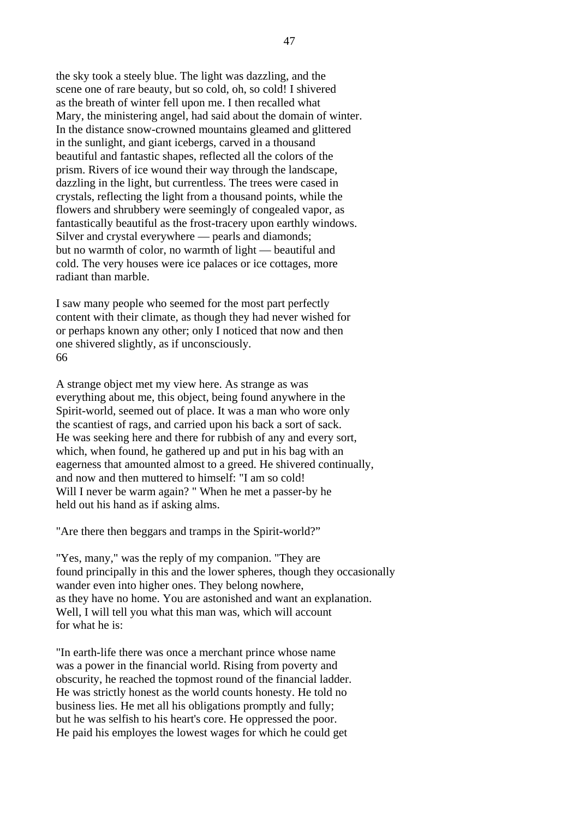the sky took a steely blue. The light was dazzling, and the scene one of rare beauty, but so cold, oh, so cold! I shivered as the breath of winter fell upon me. I then recalled what Mary, the ministering angel, had said about the domain of winter. In the distance snow-crowned mountains gleamed and glittered in the sunlight, and giant icebergs, carved in a thousand beautiful and fantastic shapes, reflected all the colors of the prism. Rivers of ice wound their way through the landscape, dazzling in the light, but currentless. The trees were cased in crystals, reflecting the light from a thousand points, while the flowers and shrubbery were seemingly of congealed vapor, as fantastically beautiful as the frost-tracery upon earthly windows. Silver and crystal everywhere — pearls and diamonds; but no warmth of color, no warmth of light — beautiful and cold. The very houses were ice palaces or ice cottages, more radiant than marble.

I saw many people who seemed for the most part perfectly content with their climate, as though they had never wished for or perhaps known any other; only I noticed that now and then one shivered slightly, as if unconsciously. 66

A strange object met my view here. As strange as was everything about me, this object, being found anywhere in the Spirit-world, seemed out of place. It was a man who wore only the scantiest of rags, and carried upon his back a sort of sack. He was seeking here and there for rubbish of any and every sort, which, when found, he gathered up and put in his bag with an eagerness that amounted almost to a greed. He shivered continually, and now and then muttered to himself: "I am so cold! Will I never be warm again? " When he met a passer-by he held out his hand as if asking alms.

"Are there then beggars and tramps in the Spirit-world?"

"Yes, many," was the reply of my companion. "They are found principally in this and the lower spheres, though they occasionally wander even into higher ones. They belong nowhere, as they have no home. You are astonished and want an explanation. Well, I will tell you what this man was, which will account for what he is:

"In earth-life there was once a merchant prince whose name was a power in the financial world. Rising from poverty and obscurity, he reached the topmost round of the financial ladder. He was strictly honest as the world counts honesty. He told no business lies. He met all his obligations promptly and fully; but he was selfish to his heart's core. He oppressed the poor. He paid his employes the lowest wages for which he could get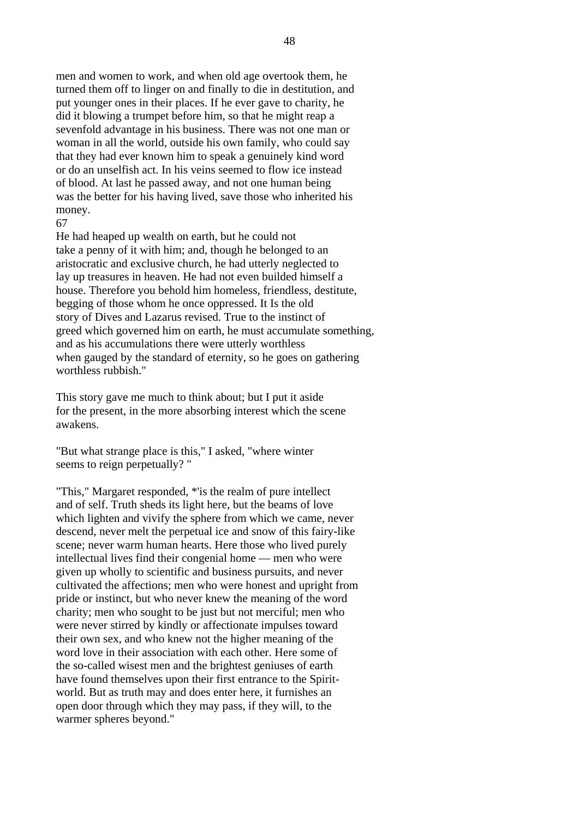men and women to work, and when old age overtook them, he turned them off to linger on and finally to die in destitution, and put younger ones in their places. If he ever gave to charity, he did it blowing a trumpet before him, so that he might reap a sevenfold advantage in his business. There was not one man or woman in all the world, outside his own family, who could say that they had ever known him to speak a genuinely kind word or do an unselfish act. In his veins seemed to flow ice instead of blood. At last he passed away, and not one human being was the better for his having lived, save those who inherited his money.

#### 67

He had heaped up wealth on earth, but he could not take a penny of it with him; and, though he belonged to an aristocratic and exclusive church, he had utterly neglected to lay up treasures in heaven. He had not even builded himself a house. Therefore you behold him homeless, friendless, destitute, begging of those whom he once oppressed. It Is the old story of Dives and Lazarus revised. True to the instinct of greed which governed him on earth, he must accumulate something, and as his accumulations there were utterly worthless when gauged by the standard of eternity, so he goes on gathering worthless rubbish."

This story gave me much to think about; but I put it aside for the present, in the more absorbing interest which the scene awakens.

"But what strange place is this," I asked, "where winter seems to reign perpetually? "

"This," Margaret responded, \*'is the realm of pure intellect and of self. Truth sheds its light here, but the beams of love which lighten and vivify the sphere from which we came, never descend, never melt the perpetual ice and snow of this fairy-like scene; never warm human hearts. Here those who lived purely intellectual lives find their congenial home — men who were given up wholly to scientific and business pursuits, and never cultivated the affections; men who were honest and upright from pride or instinct, but who never knew the meaning of the word charity; men who sought to be just but not merciful; men who were never stirred by kindly or affectionate impulses toward their own sex, and who knew not the higher meaning of the word love in their association with each other. Here some of the so-called wisest men and the brightest geniuses of earth have found themselves upon their first entrance to the Spiritworld. But as truth may and does enter here, it furnishes an open door through which they may pass, if they will, to the warmer spheres beyond."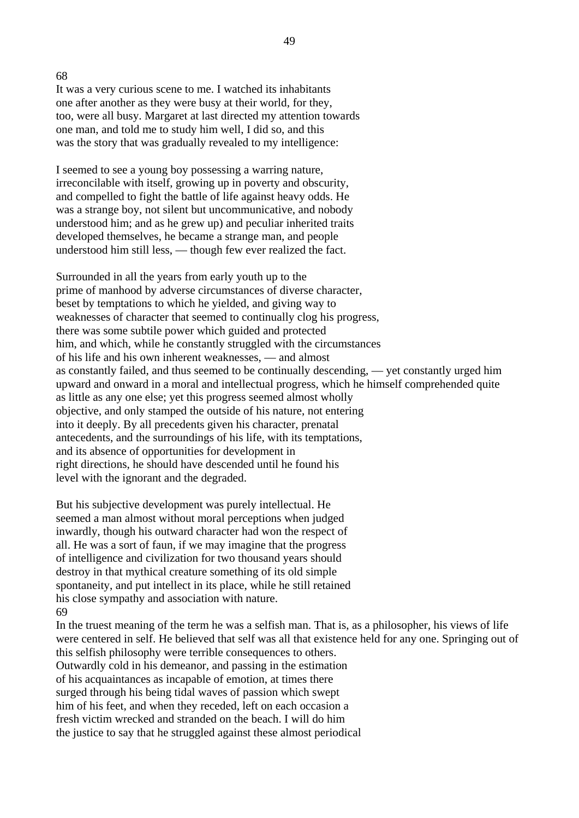68 It was a very curious scene to me. I watched its inhabitants one after another as they were busy at their world, for they, too, were all busy. Margaret at last directed my attention towards one man, and told me to study him well, I did so, and this was the story that was gradually revealed to my intelligence:

I seemed to see a young boy possessing a warring nature, irreconcilable with itself, growing up in poverty and obscurity, and compelled to fight the battle of life against heavy odds. He was a strange boy, not silent but uncommunicative, and nobody understood him; and as he grew up) and peculiar inherited traits developed themselves, he became a strange man, and people understood him still less, — though few ever realized the fact.

Surrounded in all the years from early youth up to the prime of manhood by adverse circumstances of diverse character, beset by temptations to which he yielded, and giving way to weaknesses of character that seemed to continually clog his progress, there was some subtile power which guided and protected him, and which, while he constantly struggled with the circumstances of his life and his own inherent weaknesses, — and almost as constantly failed, and thus seemed to be continually descending, — yet constantly urged him upward and onward in a moral and intellectual progress, which he himself comprehended quite as little as any one else; yet this progress seemed almost wholly objective, and only stamped the outside of his nature, not entering into it deeply. By all precedents given his character, prenatal antecedents, and the surroundings of his life, with its temptations, and its absence of opportunities for development in right directions, he should have descended until he found his level with the ignorant and the degraded.

But his subjective development was purely intellectual. He seemed a man almost without moral perceptions when judged inwardly, though his outward character had won the respect of all. He was a sort of faun, if we may imagine that the progress of intelligence and civilization for two thousand years should destroy in that mythical creature something of its old simple spontaneity, and put intellect in its place, while he still retained his close sympathy and association with nature. 69

In the truest meaning of the term he was a selfish man. That is, as a philosopher, his views of life were centered in self. He believed that self was all that existence held for any one. Springing out of this selfish philosophy were terrible consequences to others. Outwardly cold in his demeanor, and passing in the estimation of his acquaintances as incapable of emotion, at times there surged through his being tidal waves of passion which swept him of his feet, and when they receded, left on each occasion a fresh victim wrecked and stranded on the beach. I will do him the justice to say that he struggled against these almost periodical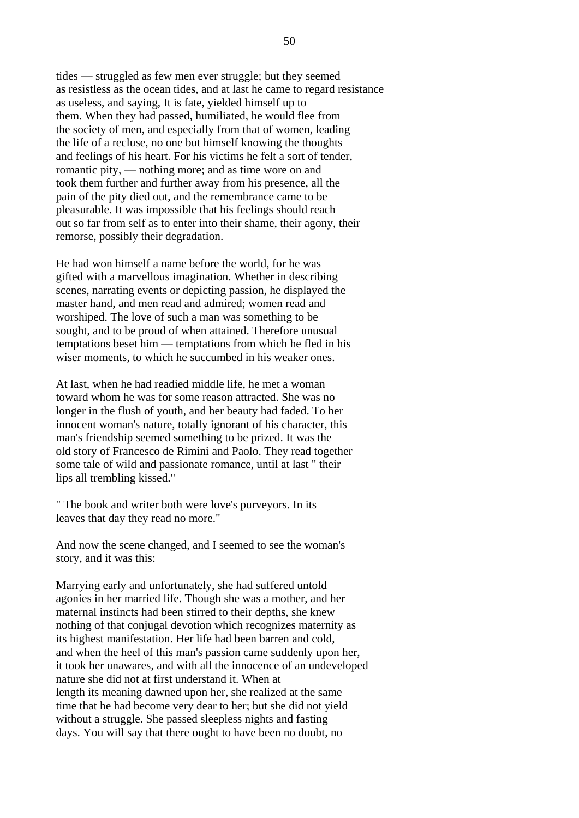tides — struggled as few men ever struggle; but they seemed as resistless as the ocean tides, and at last he came to regard resistance as useless, and saying, It is fate, yielded himself up to them. When they had passed, humiliated, he would flee from the society of men, and especially from that of women, leading the life of a recluse, no one but himself knowing the thoughts and feelings of his heart. For his victims he felt a sort of tender, romantic pity, — nothing more; and as time wore on and took them further and further away from his presence, all the pain of the pity died out, and the remembrance came to be pleasurable. It was impossible that his feelings should reach out so far from self as to enter into their shame, their agony, their remorse, possibly their degradation.

He had won himself a name before the world, for he was gifted with a marvellous imagination. Whether in describing scenes, narrating events or depicting passion, he displayed the master hand, and men read and admired; women read and worshiped. The love of such a man was something to be sought, and to be proud of when attained. Therefore unusual temptations beset him — temptations from which he fled in his wiser moments, to which he succumbed in his weaker ones.

At last, when he had readied middle life, he met a woman toward whom he was for some reason attracted. She was no longer in the flush of youth, and her beauty had faded. To her innocent woman's nature, totally ignorant of his character, this man's friendship seemed something to be prized. It was the old story of Francesco de Rimini and Paolo. They read together some tale of wild and passionate romance, until at last " their lips all trembling kissed."

" The book and writer both were love's purveyors. In its leaves that day they read no more."

And now the scene changed, and I seemed to see the woman's story, and it was this:

Marrying early and unfortunately, she had suffered untold agonies in her married life. Though she was a mother, and her maternal instincts had been stirred to their depths, she knew nothing of that conjugal devotion which recognizes maternity as its highest manifestation. Her life had been barren and cold, and when the heel of this man's passion came suddenly upon her, it took her unawares, and with all the innocence of an undeveloped nature she did not at first understand it. When at length its meaning dawned upon her, she realized at the same time that he had become very dear to her; but she did not yield without a struggle. She passed sleepless nights and fasting days. You will say that there ought to have been no doubt, no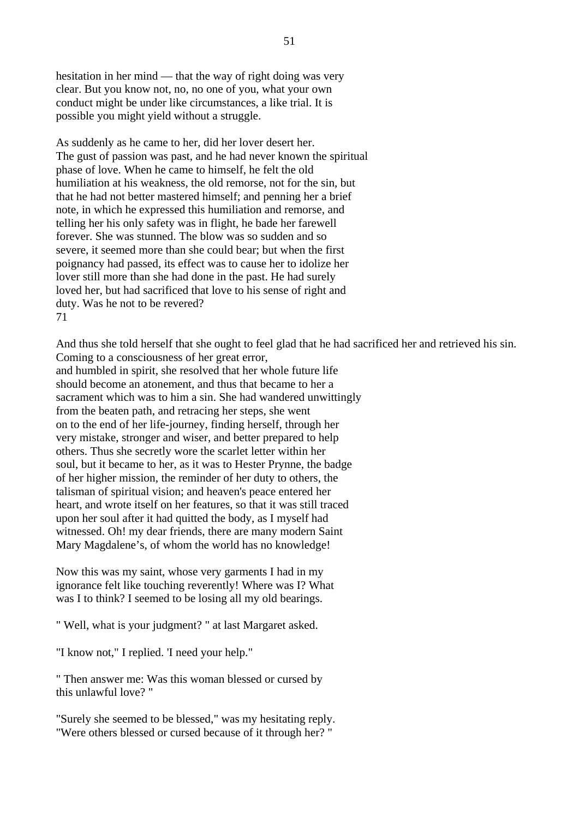hesitation in her mind — that the way of right doing was very clear. But you know not, no, no one of you, what your own conduct might be under like circumstances, a like trial. It is possible you might yield without a struggle.

As suddenly as he came to her, did her lover desert her. The gust of passion was past, and he had never known the spiritual phase of love. When he came to himself, he felt the old humiliation at his weakness, the old remorse, not for the sin, but that he had not better mastered himself; and penning her a brief note, in which he expressed this humiliation and remorse, and telling her his only safety was in flight, he bade her farewell forever. She was stunned. The blow was so sudden and so severe, it seemed more than she could bear; but when the first poignancy had passed, its effect was to cause her to idolize her lover still more than she had done in the past. He had surely loved her, but had sacrificed that love to his sense of right and duty. Was he not to be revered? 71

And thus she told herself that she ought to feel glad that he had sacrificed her and retrieved his sin. Coming to a consciousness of her great error, and humbled in spirit, she resolved that her whole future life should become an atonement, and thus that became to her a sacrament which was to him a sin. She had wandered unwittingly

from the beaten path, and retracing her steps, she went on to the end of her life-journey, finding herself, through her very mistake, stronger and wiser, and better prepared to help others. Thus she secretly wore the scarlet letter within her soul, but it became to her, as it was to Hester Prynne, the badge of her higher mission, the reminder of her duty to others, the talisman of spiritual vision; and heaven's peace entered her heart, and wrote itself on her features, so that it was still traced upon her soul after it had quitted the body, as I myself had witnessed. Oh! my dear friends, there are many modern Saint Mary Magdalene's, of whom the world has no knowledge!

Now this was my saint, whose very garments I had in my ignorance felt like touching reverently! Where was I? What was I to think? I seemed to be losing all my old bearings.

" Well, what is your judgment? " at last Margaret asked.

"I know not," I replied. 'I need your help."

" Then answer me: Was this woman blessed or cursed by this unlawful love? "

"Surely she seemed to be blessed," was my hesitating reply. "Were others blessed or cursed because of it through her? "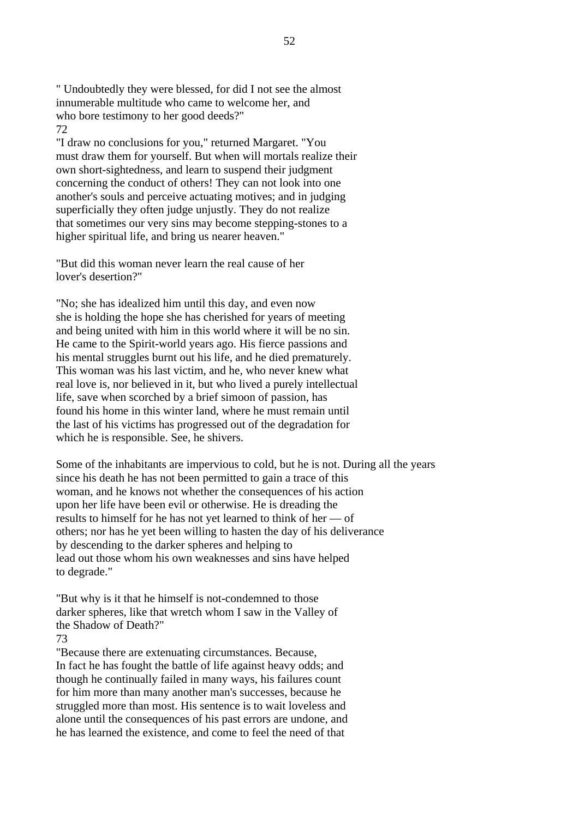" Undoubtedly they were blessed, for did I not see the almost innumerable multitude who came to welcome her, and who bore testimony to her good deeds?" 72

"I draw no conclusions for you," returned Margaret. "You must draw them for yourself. But when will mortals realize their own short-sightedness, and learn to suspend their judgment concerning the conduct of others! They can not look into one another's souls and perceive actuating motives; and in judging superficially they often judge unjustly. They do not realize that sometimes our very sins may become stepping-stones to a higher spiritual life, and bring us nearer heaven."

"But did this woman never learn the real cause of her lover's desertion?"

"No; she has idealized him until this day, and even now she is holding the hope she has cherished for years of meeting and being united with him in this world where it will be no sin. He came to the Spirit-world years ago. His fierce passions and his mental struggles burnt out his life, and he died prematurely. This woman was his last victim, and he, who never knew what real love is, nor believed in it, but who lived a purely intellectual life, save when scorched by a brief simoon of passion, has found his home in this winter land, where he must remain until the last of his victims has progressed out of the degradation for which he is responsible. See, he shivers.

Some of the inhabitants are impervious to cold, but he is not. During all the years since his death he has not been permitted to gain a trace of this woman, and he knows not whether the consequences of his action upon her life have been evil or otherwise. He is dreading the results to himself for he has not yet learned to think of her — of others; nor has he yet been willing to hasten the day of his deliverance by descending to the darker spheres and helping to lead out those whom his own weaknesses and sins have helped to degrade."

"But why is it that he himself is not-condemned to those darker spheres, like that wretch whom I saw in the Valley of the Shadow of Death?"

73

"Because there are extenuating circumstances. Because, In fact he has fought the battle of life against heavy odds; and though he continually failed in many ways, his failures count for him more than many another man's successes, because he struggled more than most. His sentence is to wait loveless and alone until the consequences of his past errors are undone, and he has learned the existence, and come to feel the need of that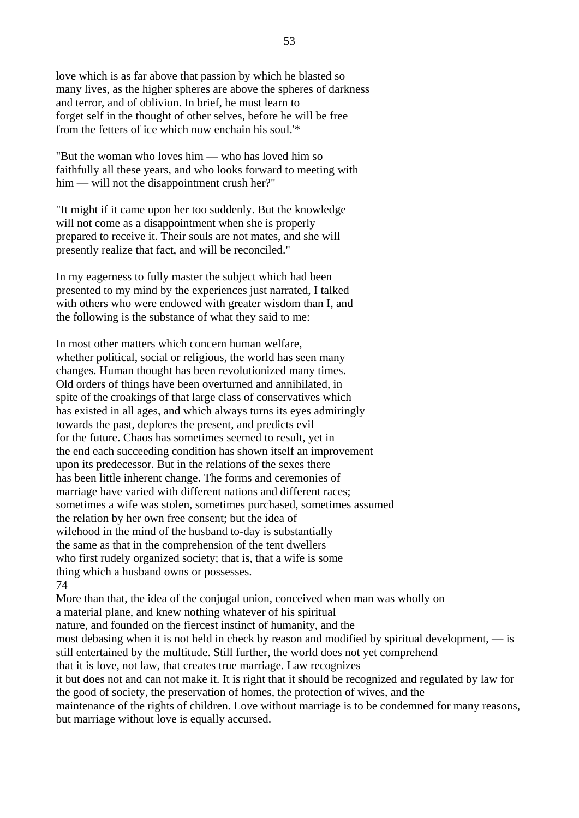love which is as far above that passion by which he blasted so many lives, as the higher spheres are above the spheres of darkness and terror, and of oblivion. In brief, he must learn to forget self in the thought of other selves, before he will be free from the fetters of ice which now enchain his soul.'\*

"But the woman who loves him — who has loved him so faithfully all these years, and who looks forward to meeting with him — will not the disappointment crush her?"

"It might if it came upon her too suddenly. But the knowledge will not come as a disappointment when she is properly prepared to receive it. Their souls are not mates, and she will presently realize that fact, and will be reconciled."

In my eagerness to fully master the subject which had been presented to my mind by the experiences just narrated, I talked with others who were endowed with greater wisdom than I, and the following is the substance of what they said to me:

In most other matters which concern human welfare, whether political, social or religious, the world has seen many changes. Human thought has been revolutionized many times. Old orders of things have been overturned and annihilated, in spite of the croakings of that large class of conservatives which has existed in all ages, and which always turns its eyes admiringly towards the past, deplores the present, and predicts evil for the future. Chaos has sometimes seemed to result, yet in the end each succeeding condition has shown itself an improvement upon its predecessor. But in the relations of the sexes there has been little inherent change. The forms and ceremonies of marriage have varied with different nations and different races; sometimes a wife was stolen, sometimes purchased, sometimes assumed the relation by her own free consent; but the idea of wifehood in the mind of the husband to-day is substantially the same as that in the comprehension of the tent dwellers who first rudely organized society; that is, that a wife is some thing which a husband owns or possesses. 74

More than that, the idea of the conjugal union, conceived when man was wholly on a material plane, and knew nothing whatever of his spiritual nature, and founded on the fiercest instinct of humanity, and the most debasing when it is not held in check by reason and modified by spiritual development, — is still entertained by the multitude. Still further, the world does not yet comprehend that it is love, not law, that creates true marriage. Law recognizes it but does not and can not make it. It is right that it should be recognized and regulated by law for the good of society, the preservation of homes, the protection of wives, and the maintenance of the rights of children. Love without marriage is to be condemned for many reasons, but marriage without love is equally accursed.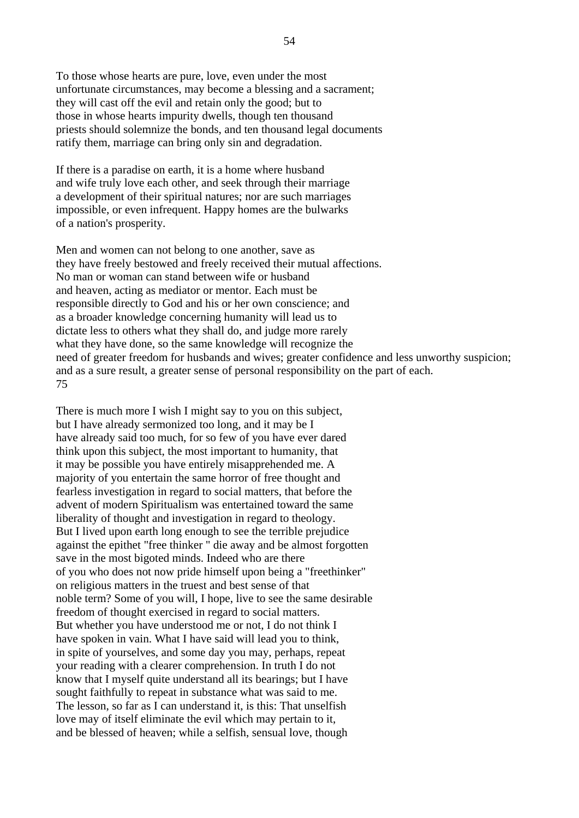To those whose hearts are pure, love, even under the most unfortunate circumstances, may become a blessing and a sacrament; they will cast off the evil and retain only the good; but to those in whose hearts impurity dwells, though ten thousand priests should solemnize the bonds, and ten thousand legal documents ratify them, marriage can bring only sin and degradation.

If there is a paradise on earth, it is a home where husband and wife truly love each other, and seek through their marriage a development of their spiritual natures; nor are such marriages impossible, or even infrequent. Happy homes are the bulwarks of a nation's prosperity.

Men and women can not belong to one another, save as they have freely bestowed and freely received their mutual affections. No man or woman can stand between wife or husband and heaven, acting as mediator or mentor. Each must be responsible directly to God and his or her own conscience; and as a broader knowledge concerning humanity will lead us to dictate less to others what they shall do, and judge more rarely what they have done, so the same knowledge will recognize the need of greater freedom for husbands and wives; greater confidence and less unworthy suspicion; and as a sure result, a greater sense of personal responsibility on the part of each. 75

There is much more I wish I might say to you on this subject, but I have already sermonized too long, and it may be I have already said too much, for so few of you have ever dared think upon this subject, the most important to humanity, that it may be possible you have entirely misapprehended me. A majority of you entertain the same horror of free thought and fearless investigation in regard to social matters, that before the advent of modern Spiritualism was entertained toward the same liberality of thought and investigation in regard to theology. But I lived upon earth long enough to see the terrible prejudice against the epithet "free thinker " die away and be almost forgotten save in the most bigoted minds. Indeed who are there of you who does not now pride himself upon being a "freethinker" on religious matters in the truest and best sense of that noble term? Some of you will, I hope, live to see the same desirable freedom of thought exercised in regard to social matters. But whether you have understood me or not, I do not think I have spoken in vain. What I have said will lead you to think, in spite of yourselves, and some day you may, perhaps, repeat your reading with a clearer comprehension. In truth I do not know that I myself quite understand all its bearings; but I have sought faithfully to repeat in substance what was said to me. The lesson, so far as I can understand it, is this: That unselfish love may of itself eliminate the evil which may pertain to it, and be blessed of heaven; while a selfish, sensual love, though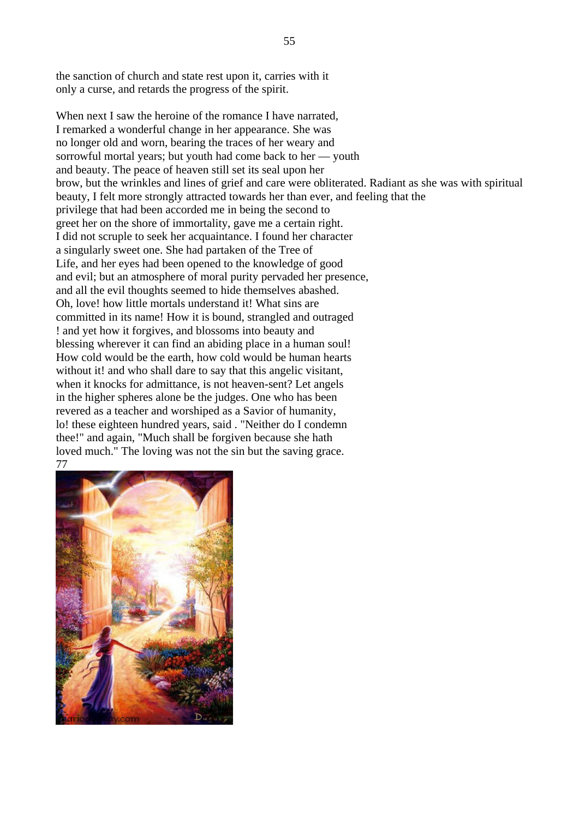the sanction of church and state rest upon it, carries with it only a curse, and retards the progress of the spirit.

When next I saw the heroine of the romance I have narrated, I remarked a wonderful change in her appearance. She was no longer old and worn, bearing the traces of her weary and sorrowful mortal years; but youth had come back to her — youth and beauty. The peace of heaven still set its seal upon her brow, but the wrinkles and lines of grief and care were obliterated. Radiant as she was with spiritual beauty, I felt more strongly attracted towards her than ever, and feeling that the privilege that had been accorded me in being the second to greet her on the shore of immortality, gave me a certain right. I did not scruple to seek her acquaintance. I found her character a singularly sweet one. She had partaken of the Tree of Life, and her eyes had been opened to the knowledge of good and evil; but an atmosphere of moral purity pervaded her presence, and all the evil thoughts seemed to hide themselves abashed. Oh, love! how little mortals understand it! What sins are committed in its name! How it is bound, strangled and outraged ! and yet how it forgives, and blossoms into beauty and blessing wherever it can find an abiding place in a human soul! How cold would be the earth, how cold would be human hearts without it! and who shall dare to say that this angelic visitant, when it knocks for admittance, is not heaven-sent? Let angels in the higher spheres alone be the judges. One who has been revered as a teacher and worshiped as a Savior of humanity, lo! these eighteen hundred years, said . "Neither do I condemn thee!" and again, "Much shall be forgiven because she hath loved much." The loving was not the sin but the saving grace. 77

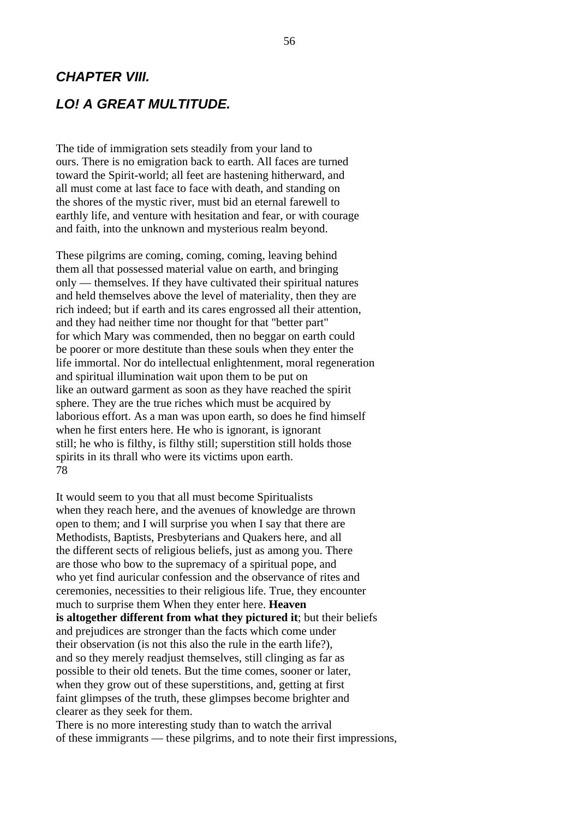# *CHAPTER VIII. LO! A GREAT MULTITUDE.*

The tide of immigration sets steadily from your land to ours. There is no emigration back to earth. All faces are turned toward the Spirit-world; all feet are hastening hitherward, and all must come at last face to face with death, and standing on the shores of the mystic river, must bid an eternal farewell to earthly life, and venture with hesitation and fear, or with courage and faith, into the unknown and mysterious realm beyond.

These pilgrims are coming, coming, coming, leaving behind them all that possessed material value on earth, and bringing only — themselves. If they have cultivated their spiritual natures and held themselves above the level of materiality, then they are rich indeed; but if earth and its cares engrossed all their attention, and they had neither time nor thought for that "better part" for which Mary was commended, then no beggar on earth could be poorer or more destitute than these souls when they enter the life immortal. Nor do intellectual enlightenment, moral regeneration and spiritual illumination wait upon them to be put on like an outward garment as soon as they have reached the spirit sphere. They are the true riches which must be acquired by laborious effort. As a man was upon earth, so does he find himself when he first enters here. He who is ignorant, is ignorant still; he who is filthy, is filthy still; superstition still holds those spirits in its thrall who were its victims upon earth. 78

It would seem to you that all must become Spiritualists when they reach here, and the avenues of knowledge are thrown open to them; and I will surprise you when I say that there are Methodists, Baptists, Presbyterians and Quakers here, and all the different sects of religious beliefs, just as among you. There are those who bow to the supremacy of a spiritual pope, and who yet find auricular confession and the observance of rites and ceremonies, necessities to their religious life. True, they encounter much to surprise them When they enter here. **Heaven is altogether different from what they pictured it**; but their beliefs and prejudices are stronger than the facts which come under their observation (is not this also the rule in the earth life?), and so they merely readjust themselves, still clinging as far as possible to their old tenets. But the time comes, sooner or later, when they grow out of these superstitions, and, getting at first faint glimpses of the truth, these glimpses become brighter and clearer as they seek for them.

There is no more interesting study than to watch the arrival of these immigrants — these pilgrims, and to note their first impressions,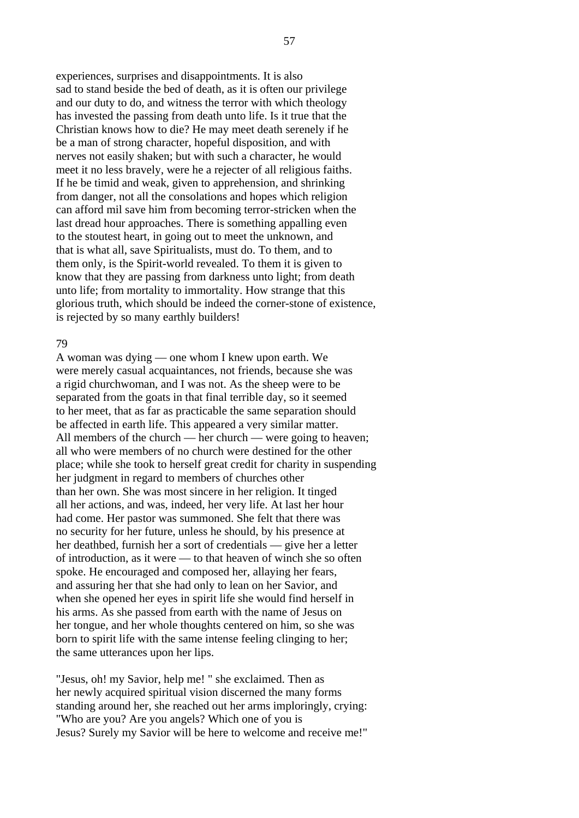experiences, surprises and disappointments. It is also sad to stand beside the bed of death, as it is often our privilege and our duty to do, and witness the terror with which theology has invested the passing from death unto life. Is it true that the Christian knows how to die? He may meet death serenely if he be a man of strong character, hopeful disposition, and with nerves not easily shaken; but with such a character, he would meet it no less bravely, were he a rejecter of all religious faiths. If he be timid and weak, given to apprehension, and shrinking from danger, not all the consolations and hopes which religion can afford mil save him from becoming terror-stricken when the last dread hour approaches. There is something appalling even to the stoutest heart, in going out to meet the unknown, and that is what all, save Spiritualists, must do. To them, and to them only, is the Spirit-world revealed. To them it is given to know that they are passing from darkness unto light; from death unto life; from mortality to immortality. How strange that this glorious truth, which should be indeed the corner-stone of existence, is rejected by so many earthly builders!

### 79

A woman was dying — one whom I knew upon earth. We were merely casual acquaintances, not friends, because she was a rigid churchwoman, and I was not. As the sheep were to be separated from the goats in that final terrible day, so it seemed to her meet, that as far as practicable the same separation should be affected in earth life. This appeared a very similar matter. All members of the church — her church — were going to heaven; all who were members of no church were destined for the other place; while she took to herself great credit for charity in suspending her judgment in regard to members of churches other than her own. She was most sincere in her religion. It tinged all her actions, and was, indeed, her very life. At last her hour had come. Her pastor was summoned. She felt that there was no security for her future, unless he should, by his presence at her deathbed, furnish her a sort of credentials — give her a letter of introduction, as it were — to that heaven of winch she so often spoke. He encouraged and composed her, allaying her fears, and assuring her that she had only to lean on her Savior, and when she opened her eyes in spirit life she would find herself in his arms. As she passed from earth with the name of Jesus on her tongue, and her whole thoughts centered on him, so she was born to spirit life with the same intense feeling clinging to her; the same utterances upon her lips.

"Jesus, oh! my Savior, help me! " she exclaimed. Then as her newly acquired spiritual vision discerned the many forms standing around her, she reached out her arms imploringly, crying: "Who are you? Are you angels? Which one of you is Jesus? Surely my Savior will be here to welcome and receive me!"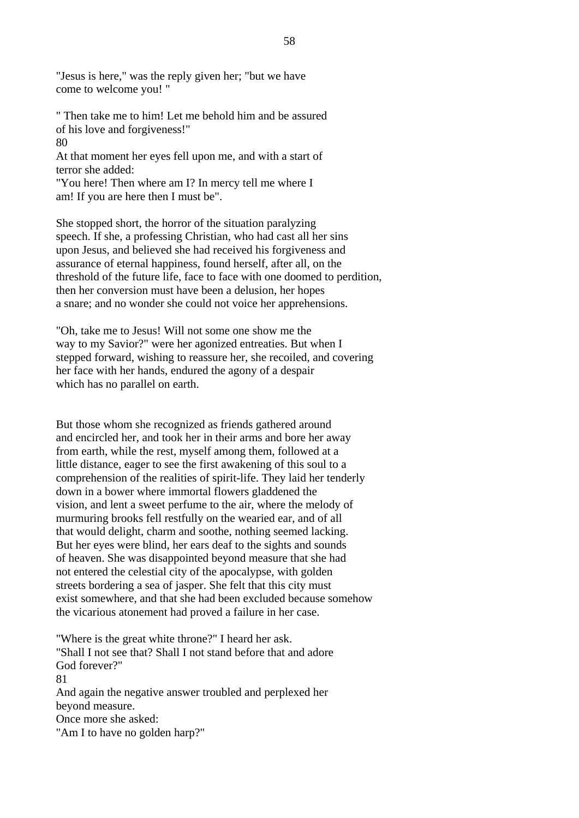"Jesus is here," was the reply given her; "but we have come to welcome you! "

" Then take me to him! Let me behold him and be assured of his love and forgiveness!" 80

At that moment her eyes fell upon me, and with a start of terror she added:

"You here! Then where am I? In mercy tell me where I am! If you are here then I must be".

She stopped short, the horror of the situation paralyzing speech. If she, a professing Christian, who had cast all her sins upon Jesus, and believed she had received his forgiveness and assurance of eternal happiness, found herself, after all, on the threshold of the future life, face to face with one doomed to perdition, then her conversion must have been a delusion, her hopes a snare; and no wonder she could not voice her apprehensions.

"Oh, take me to Jesus! Will not some one show me the way to my Savior?" were her agonized entreaties. But when I stepped forward, wishing to reassure her, she recoiled, and covering her face with her hands, endured the agony of a despair which has no parallel on earth.

But those whom she recognized as friends gathered around and encircled her, and took her in their arms and bore her away from earth, while the rest, myself among them, followed at a little distance, eager to see the first awakening of this soul to a comprehension of the realities of spirit-life. They laid her tenderly down in a bower where immortal flowers gladdened the vision, and lent a sweet perfume to the air, where the melody of murmuring brooks fell restfully on the wearied ear, and of all that would delight, charm and soothe, nothing seemed lacking. But her eyes were blind, her ears deaf to the sights and sounds of heaven. She was disappointed beyond measure that she had not entered the celestial city of the apocalypse, with golden streets bordering a sea of jasper. She felt that this city must exist somewhere, and that she had been excluded because somehow the vicarious atonement had proved a failure in her case.

"Where is the great white throne?" I heard her ask. "Shall I not see that? Shall I not stand before that and adore God forever?" 81 And again the negative answer troubled and perplexed her beyond measure. Once more she asked: "Am I to have no golden harp?"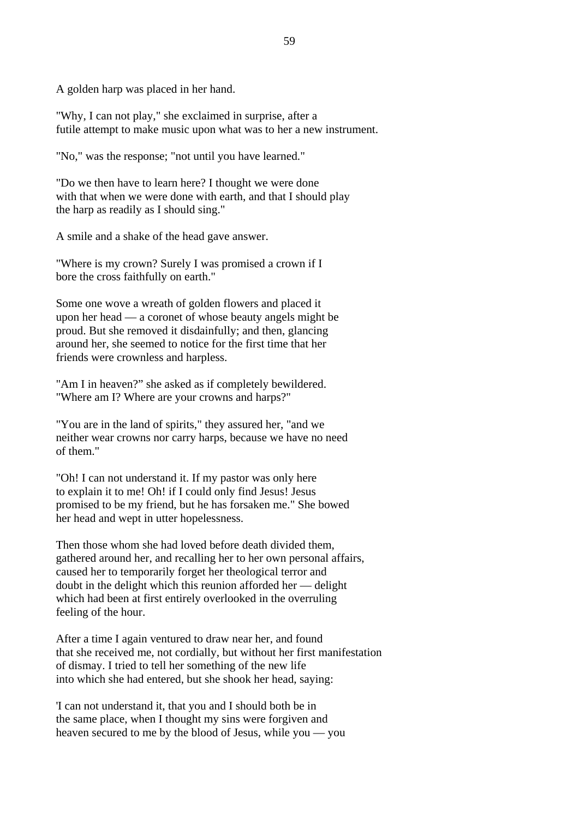A golden harp was placed in her hand.

"Why, I can not play," she exclaimed in surprise, after a futile attempt to make music upon what was to her a new instrument.

"No," was the response; "not until you have learned."

"Do we then have to learn here? I thought we were done with that when we were done with earth, and that I should play the harp as readily as I should sing."

A smile and a shake of the head gave answer.

"Where is my crown? Surely I was promised a crown if I bore the cross faithfully on earth."

Some one wove a wreath of golden flowers and placed it upon her head — a coronet of whose beauty angels might be proud. But she removed it disdainfully; and then, glancing around her, she seemed to notice for the first time that her friends were crownless and harpless.

"Am I in heaven?" she asked as if completely bewildered. "Where am I? Where are your crowns and harps?"

"You are in the land of spirits," they assured her, "and we neither wear crowns nor carry harps, because we have no need of them."

"Oh! I can not understand it. If my pastor was only here to explain it to me! Oh! if I could only find Jesus! Jesus promised to be my friend, but he has forsaken me." She bowed her head and wept in utter hopelessness.

Then those whom she had loved before death divided them, gathered around her, and recalling her to her own personal affairs, caused her to temporarily forget her theological terror and doubt in the delight which this reunion afforded her — delight which had been at first entirely overlooked in the overruling feeling of the hour.

After a time I again ventured to draw near her, and found that she received me, not cordially, but without her first manifestation of dismay. I tried to tell her something of the new life into which she had entered, but she shook her head, saying:

'I can not understand it, that you and I should both be in the same place, when I thought my sins were forgiven and heaven secured to me by the blood of Jesus, while you — you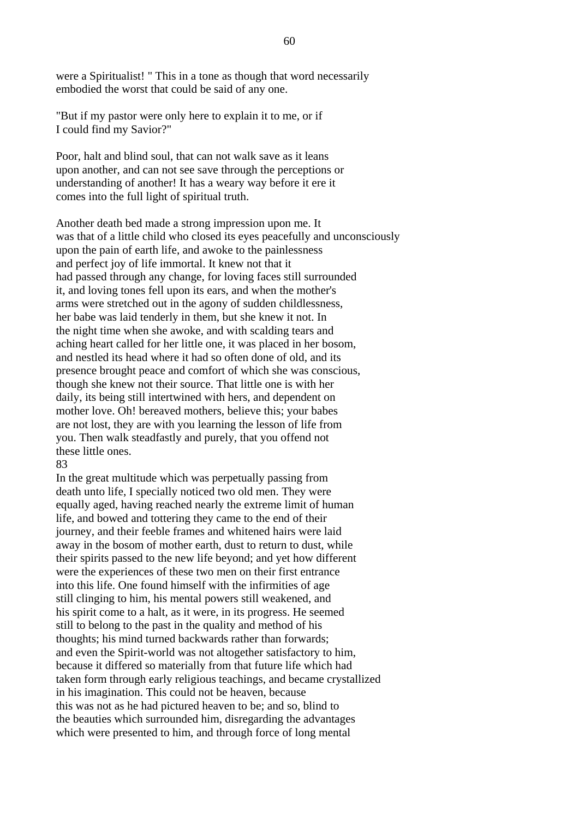were a Spiritualist! " This in a tone as though that word necessarily embodied the worst that could be said of any one.

"But if my pastor were only here to explain it to me, or if I could find my Savior?"

Poor, halt and blind soul, that can not walk save as it leans upon another, and can not see save through the perceptions or understanding of another! It has a weary way before it ere it comes into the full light of spiritual truth.

Another death bed made a strong impression upon me. It was that of a little child who closed its eyes peacefully and unconsciously upon the pain of earth life, and awoke to the painlessness and perfect joy of life immortal. It knew not that it had passed through any change, for loving faces still surrounded it, and loving tones fell upon its ears, and when the mother's arms were stretched out in the agony of sudden childlessness, her babe was laid tenderly in them, but she knew it not. In the night time when she awoke, and with scalding tears and aching heart called for her little one, it was placed in her bosom, and nestled its head where it had so often done of old, and its presence brought peace and comfort of which she was conscious, though she knew not their source. That little one is with her daily, its being still intertwined with hers, and dependent on mother love. Oh! bereaved mothers, believe this; your babes are not lost, they are with you learning the lesson of life from you. Then walk steadfastly and purely, that you offend not these little ones.

#### 83

In the great multitude which was perpetually passing from death unto life, I specially noticed two old men. They were equally aged, having reached nearly the extreme limit of human life, and bowed and tottering they came to the end of their journey, and their feeble frames and whitened hairs were laid away in the bosom of mother earth, dust to return to dust, while their spirits passed to the new life beyond; and yet how different were the experiences of these two men on their first entrance into this life. One found himself with the infirmities of age still clinging to him, his mental powers still weakened, and his spirit come to a halt, as it were, in its progress. He seemed still to belong to the past in the quality and method of his thoughts; his mind turned backwards rather than forwards; and even the Spirit-world was not altogether satisfactory to him, because it differed so materially from that future life which had taken form through early religious teachings, and became crystallized in his imagination. This could not be heaven, because this was not as he had pictured heaven to be; and so, blind to the beauties which surrounded him, disregarding the advantages which were presented to him, and through force of long mental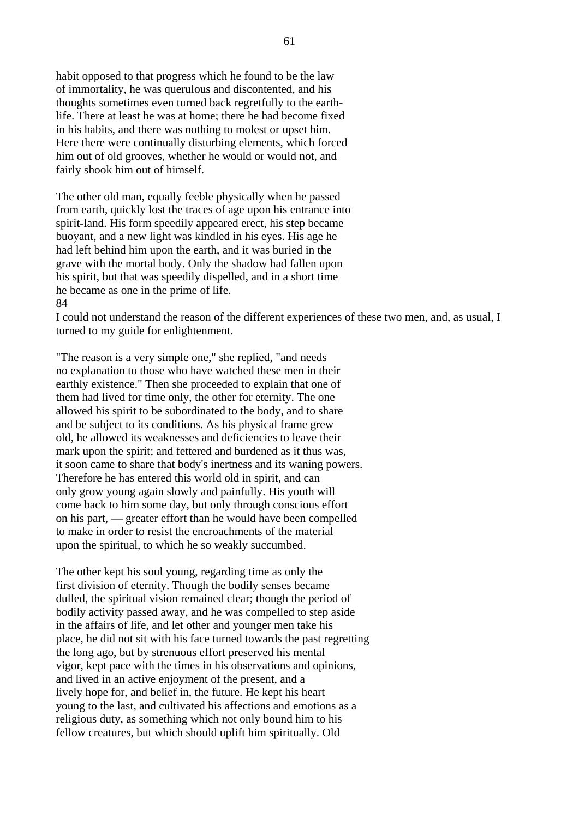habit opposed to that progress which he found to be the law of immortality, he was querulous and discontented, and his thoughts sometimes even turned back regretfully to the earthlife. There at least he was at home; there he had become fixed in his habits, and there was nothing to molest or upset him. Here there were continually disturbing elements, which forced him out of old grooves, whether he would or would not, and fairly shook him out of himself.

The other old man, equally feeble physically when he passed from earth, quickly lost the traces of age upon his entrance into spirit-land. His form speedily appeared erect, his step became buoyant, and a new light was kindled in his eyes. His age he had left behind him upon the earth, and it was buried in the grave with the mortal body. Only the shadow had fallen upon his spirit, but that was speedily dispelled, and in a short time he became as one in the prime of life. 84

I could not understand the reason of the different experiences of these two men, and, as usual, I turned to my guide for enlightenment.

"The reason is a very simple one," she replied, "and needs no explanation to those who have watched these men in their earthly existence." Then she proceeded to explain that one of them had lived for time only, the other for eternity. The one allowed his spirit to be subordinated to the body, and to share and be subject to its conditions. As his physical frame grew old, he allowed its weaknesses and deficiencies to leave their mark upon the spirit; and fettered and burdened as it thus was, it soon came to share that body's inertness and its waning powers. Therefore he has entered this world old in spirit, and can only grow young again slowly and painfully. His youth will come back to him some day, but only through conscious effort on his part, — greater effort than he would have been compelled to make in order to resist the encroachments of the material upon the spiritual, to which he so weakly succumbed.

The other kept his soul young, regarding time as only the first division of eternity. Though the bodily senses became dulled, the spiritual vision remained clear; though the period of bodily activity passed away, and he was compelled to step aside in the affairs of life, and let other and younger men take his place, he did not sit with his face turned towards the past regretting the long ago, but by strenuous effort preserved his mental vigor, kept pace with the times in his observations and opinions, and lived in an active enjoyment of the present, and a lively hope for, and belief in, the future. He kept his heart young to the last, and cultivated his affections and emotions as a religious duty, as something which not only bound him to his fellow creatures, but which should uplift him spiritually. Old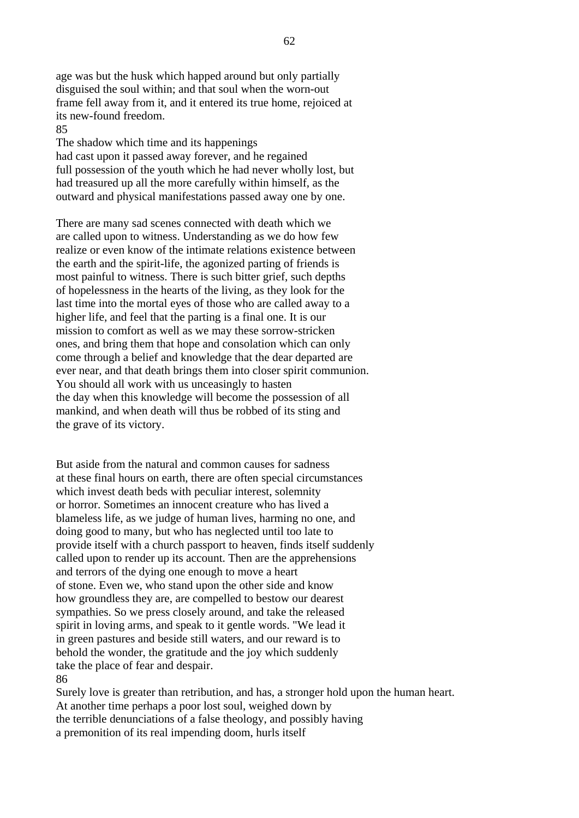age was but the husk which happed around but only partially disguised the soul within; and that soul when the worn-out frame fell away from it, and it entered its true home, rejoiced at its new-found freedom.

85

The shadow which time and its happenings had cast upon it passed away forever, and he regained full possession of the youth which he had never wholly lost, but had treasured up all the more carefully within himself, as the outward and physical manifestations passed away one by one.

There are many sad scenes connected with death which we are called upon to witness. Understanding as we do how few realize or even know of the intimate relations existence between the earth and the spirit-life, the agonized parting of friends is most painful to witness. There is such bitter grief, such depths of hopelessness in the hearts of the living, as they look for the last time into the mortal eyes of those who are called away to a higher life, and feel that the parting is a final one. It is our mission to comfort as well as we may these sorrow-stricken ones, and bring them that hope and consolation which can only come through a belief and knowledge that the dear departed are ever near, and that death brings them into closer spirit communion. You should all work with us unceasingly to hasten the day when this knowledge will become the possession of all mankind, and when death will thus be robbed of its sting and the grave of its victory.

But aside from the natural and common causes for sadness at these final hours on earth, there are often special circumstances which invest death beds with peculiar interest, solemnity or horror. Sometimes an innocent creature who has lived a blameless life, as we judge of human lives, harming no one, and doing good to many, but who has neglected until too late to provide itself with a church passport to heaven, finds itself suddenly called upon to render up its account. Then are the apprehensions and terrors of the dying one enough to move a heart of stone. Even we, who stand upon the other side and know how groundless they are, are compelled to bestow our dearest sympathies. So we press closely around, and take the released spirit in loving arms, and speak to it gentle words. "We lead it in green pastures and beside still waters, and our reward is to behold the wonder, the gratitude and the joy which suddenly take the place of fear and despair. 86

Surely love is greater than retribution, and has, a stronger hold upon the human heart. At another time perhaps a poor lost soul, weighed down by the terrible denunciations of a false theology, and possibly having a premonition of its real impending doom, hurls itself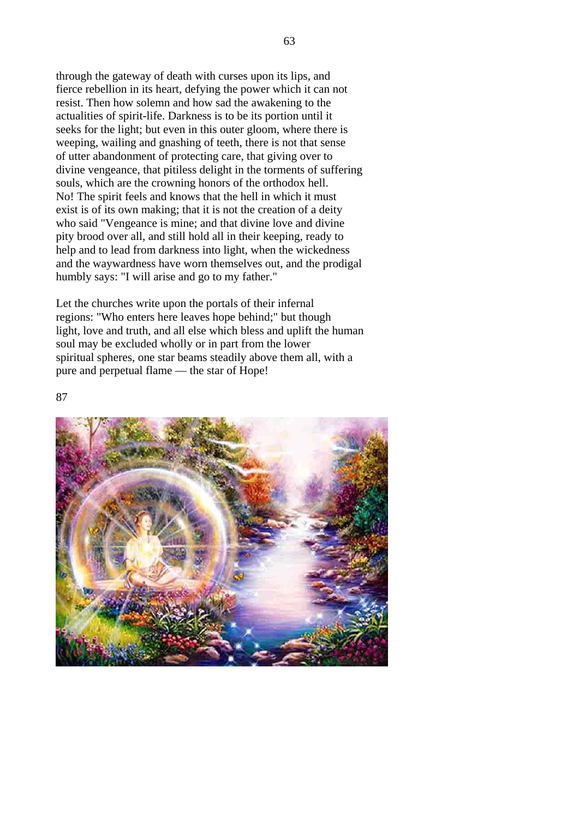through the gateway of death with curses upon its lips, and fierce rebellion in its heart, defying the power which it can not resist. Then how solemn and how sad the awakening to the actualities of spirit-life. Darkness is to be its portion until it seeks for the light; but even in this outer gloom, where there is weeping, wailing and gnashing of teeth, there is not that sense of utter abandonment of protecting care, that giving over to divine vengeance, that pitiless delight in the torments of suffering souls, which are the crowning honors of the orthodox hell. No! The spirit feels and knows that the hell in which it must exist is of its own making; that it is not the creation of a deity who said "Vengeance is mine; and that divine love and divine pity brood over all, and still hold all in their keeping, ready to help and to lead from darkness into light, when the wickedness and the waywardness have worn themselves out, and the prodigal humbly says: "I will arise and go to my father."

Let the churches write upon the portals of their infernal regions: "Who enters here leaves hope behind;" but though light, love and truth, and all else which bless and uplift the human soul may be excluded wholly or in part from the lower spiritual spheres, one star beams steadily above them all, with a pure and perpetual flame — the star of Hope!

87

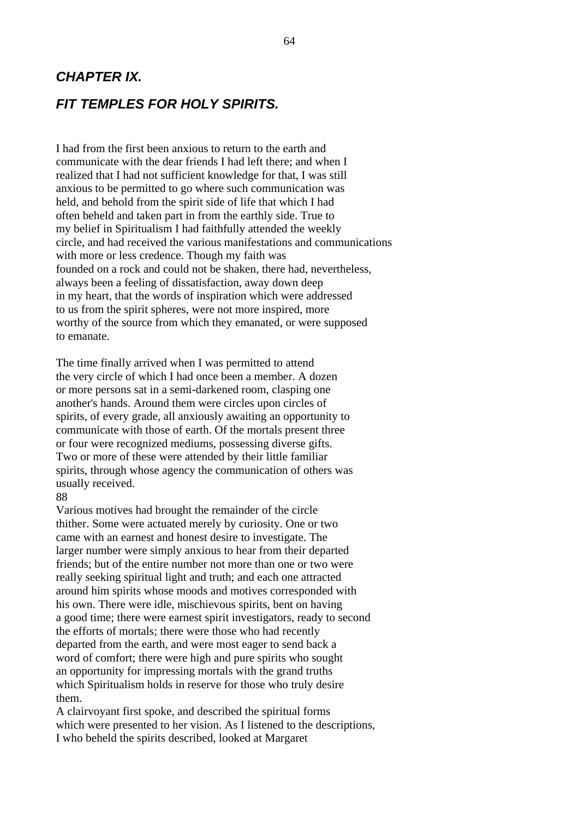# *CHAPTER IX. FIT TEMPLES FOR HOLY SPIRITS.*

I had from the first been anxious to return to the earth and communicate with the dear friends I had left there; and when I realized that I had not sufficient knowledge for that, I was still anxious to be permitted to go where such communication was held, and behold from the spirit side of life that which I had often beheld and taken part in from the earthly side. True to my belief in Spiritualism I had faithfully attended the weekly circle, and had received the various manifestations and communications with more or less credence. Though my faith was founded on a rock and could not be shaken, there had, nevertheless, always been a feeling of dissatisfaction, away down deep in my heart, that the words of inspiration which were addressed to us from the spirit spheres, were not more inspired, more worthy of the source from which they emanated, or were supposed to emanate.

The time finally arrived when I was permitted to attend the very circle of which I had once been a member. A dozen or more persons sat in a semi-darkened room, clasping one another's hands. Around them were circles upon circles of spirits, of every grade, all anxiously awaiting an opportunity to communicate with those of earth. Of the mortals present three or four were recognized mediums, possessing diverse gifts. Two or more of these were attended by their little familiar spirits, through whose agency the communication of others was usually received.

#### 88

Various motives had brought the remainder of the circle thither. Some were actuated merely by curiosity. One or two came with an earnest and honest desire to investigate. The larger number were simply anxious to hear from their departed friends; but of the entire number not more than one or two were really seeking spiritual light and truth; and each one attracted around him spirits whose moods and motives corresponded with his own. There were idle, mischievous spirits, bent on having a good time; there were earnest spirit investigators, ready to second the efforts of mortals; there were those who had recently departed from the earth, and were most eager to send back a word of comfort; there were high and pure spirits who sought an opportunity for impressing mortals with the grand truths which Spiritualism holds in reserve for those who truly desire them.

A clairvoyant first spoke, and described the spiritual forms which were presented to her vision. As I listened to the descriptions, I who beheld the spirits described, looked at Margaret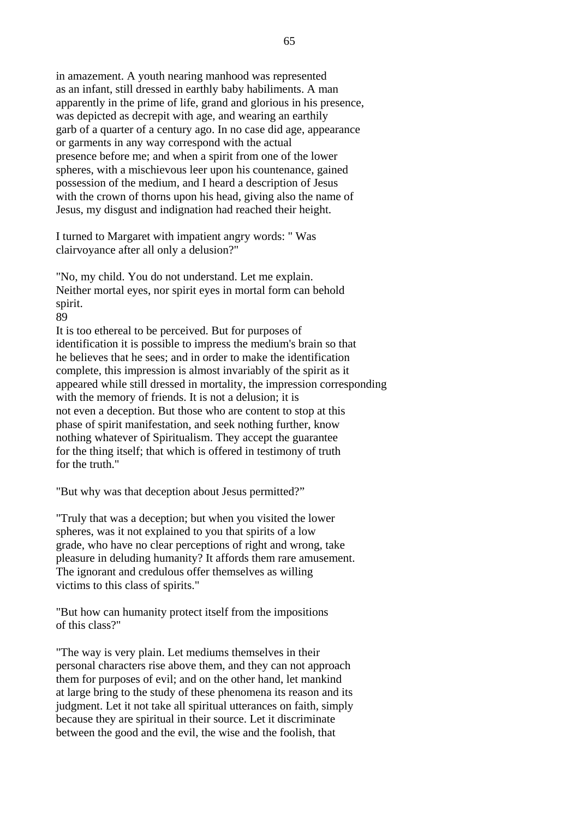in amazement. A youth nearing manhood was represented as an infant, still dressed in earthly baby habiliments. A man apparently in the prime of life, grand and glorious in his presence, was depicted as decrepit with age, and wearing an earthily garb of a quarter of a century ago. In no case did age, appearance or garments in any way correspond with the actual presence before me; and when a spirit from one of the lower spheres, with a mischievous leer upon his countenance, gained possession of the medium, and I heard a description of Jesus with the crown of thorns upon his head, giving also the name of Jesus, my disgust and indignation had reached their height.

I turned to Margaret with impatient angry words: " Was clairvoyance after all only a delusion?"

"No, my child. You do not understand. Let me explain. Neither mortal eyes, nor spirit eyes in mortal form can behold spirit.

89

It is too ethereal to be perceived. But for purposes of identification it is possible to impress the medium's brain so that he believes that he sees; and in order to make the identification complete, this impression is almost invariably of the spirit as it appeared while still dressed in mortality, the impression corresponding with the memory of friends. It is not a delusion; it is not even a deception. But those who are content to stop at this phase of spirit manifestation, and seek nothing further, know nothing whatever of Spiritualism. They accept the guarantee for the thing itself; that which is offered in testimony of truth for the truth."

"But why was that deception about Jesus permitted?"

"Truly that was a deception; but when you visited the lower spheres, was it not explained to you that spirits of a low grade, who have no clear perceptions of right and wrong, take pleasure in deluding humanity? It affords them rare amusement. The ignorant and credulous offer themselves as willing victims to this class of spirits."

"But how can humanity protect itself from the impositions of this class?"

"The way is very plain. Let mediums themselves in their personal characters rise above them, and they can not approach them for purposes of evil; and on the other hand, let mankind at large bring to the study of these phenomena its reason and its judgment. Let it not take all spiritual utterances on faith, simply because they are spiritual in their source. Let it discriminate between the good and the evil, the wise and the foolish, that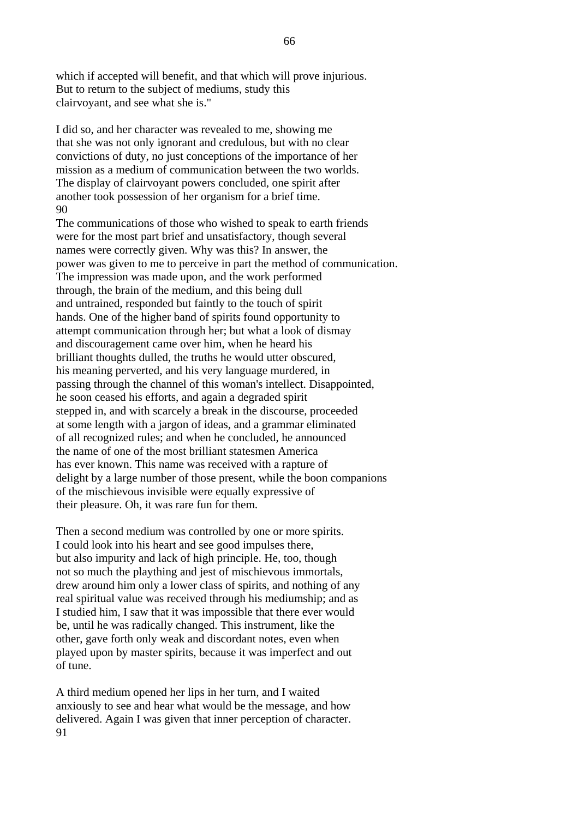which if accepted will benefit, and that which will prove injurious. But to return to the subject of mediums, study this clairvoyant, and see what she is."

I did so, and her character was revealed to me, showing me that she was not only ignorant and credulous, but with no clear convictions of duty, no just conceptions of the importance of her mission as a medium of communication between the two worlds. The display of clairvoyant powers concluded, one spirit after another took possession of her organism for a brief time. 90

The communications of those who wished to speak to earth friends were for the most part brief and unsatisfactory, though several names were correctly given. Why was this? In answer, the power was given to me to perceive in part the method of communication. The impression was made upon, and the work performed through, the brain of the medium, and this being dull and untrained, responded but faintly to the touch of spirit hands. One of the higher band of spirits found opportunity to attempt communication through her; but what a look of dismay and discouragement came over him, when he heard his brilliant thoughts dulled, the truths he would utter obscured, his meaning perverted, and his very language murdered, in passing through the channel of this woman's intellect. Disappointed, he soon ceased his efforts, and again a degraded spirit stepped in, and with scarcely a break in the discourse, proceeded at some length with a jargon of ideas, and a grammar eliminated of all recognized rules; and when he concluded, he announced the name of one of the most brilliant statesmen America has ever known. This name was received with a rapture of delight by a large number of those present, while the boon companions of the mischievous invisible were equally expressive of their pleasure. Oh, it was rare fun for them.

Then a second medium was controlled by one or more spirits. I could look into his heart and see good impulses there, but also impurity and lack of high principle. He, too, though not so much the plaything and jest of mischievous immortals, drew around him only a lower class of spirits, and nothing of any real spiritual value was received through his mediumship; and as I studied him, I saw that it was impossible that there ever would be, until he was radically changed. This instrument, like the other, gave forth only weak and discordant notes, even when played upon by master spirits, because it was imperfect and out of tune.

A third medium opened her lips in her turn, and I waited anxiously to see and hear what would be the message, and how delivered. Again I was given that inner perception of character. 91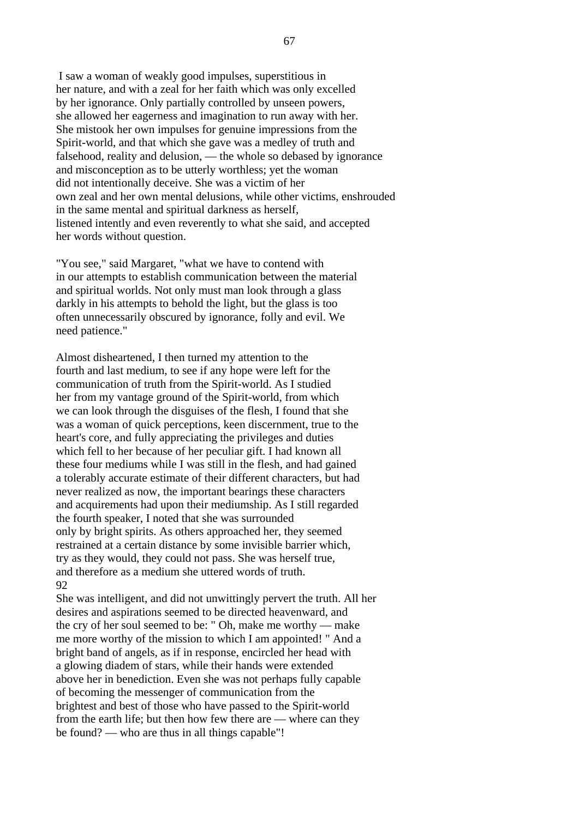I saw a woman of weakly good impulses, superstitious in her nature, and with a zeal for her faith which was only excelled by her ignorance. Only partially controlled by unseen powers, she allowed her eagerness and imagination to run away with her. She mistook her own impulses for genuine impressions from the Spirit-world, and that which she gave was a medley of truth and falsehood, reality and delusion, — the whole so debased by ignorance and misconception as to be utterly worthless; yet the woman did not intentionally deceive. She was a victim of her own zeal and her own mental delusions, while other victims, enshrouded in the same mental and spiritual darkness as herself, listened intently and even reverently to what she said, and accepted her words without question.

"You see," said Margaret, "what we have to contend with in our attempts to establish communication between the material and spiritual worlds. Not only must man look through a glass darkly in his attempts to behold the light, but the glass is too often unnecessarily obscured by ignorance, folly and evil. We need patience."

Almost disheartened, I then turned my attention to the fourth and last medium, to see if any hope were left for the communication of truth from the Spirit-world. As I studied her from my vantage ground of the Spirit-world, from which we can look through the disguises of the flesh, I found that she was a woman of quick perceptions, keen discernment, true to the heart's core, and fully appreciating the privileges and duties which fell to her because of her peculiar gift. I had known all these four mediums while I was still in the flesh, and had gained a tolerably accurate estimate of their different characters, but had never realized as now, the important bearings these characters and acquirements had upon their mediumship. As I still regarded the fourth speaker, I noted that she was surrounded only by bright spirits. As others approached her, they seemed restrained at a certain distance by some invisible barrier which, try as they would, they could not pass. She was herself true, and therefore as a medium she uttered words of truth. 92

She was intelligent, and did not unwittingly pervert the truth. All her desires and aspirations seemed to be directed heavenward, and the cry of her soul seemed to be: " Oh, make me worthy — make me more worthy of the mission to which I am appointed! " And a bright band of angels, as if in response, encircled her head with a glowing diadem of stars, while their hands were extended above her in benediction. Even she was not perhaps fully capable of becoming the messenger of communication from the brightest and best of those who have passed to the Spirit-world from the earth life; but then how few there are — where can they be found? — who are thus in all things capable"!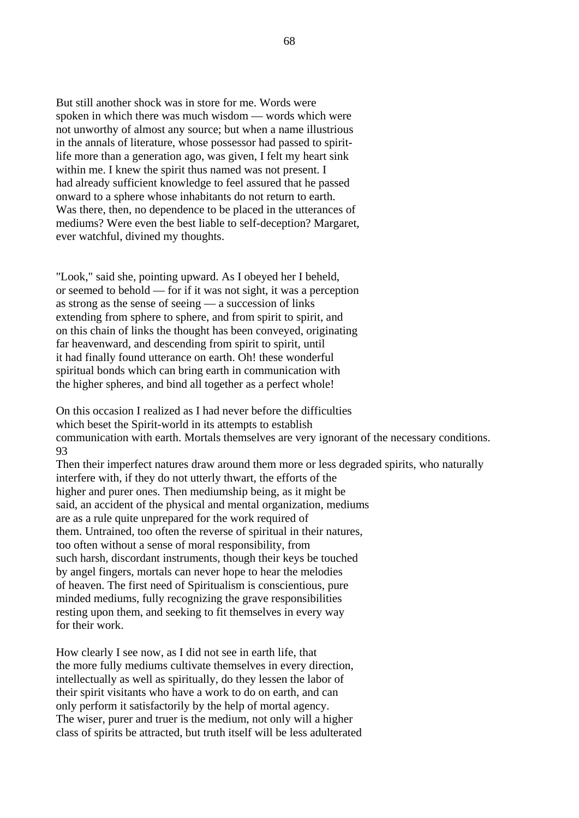But still another shock was in store for me. Words were spoken in which there was much wisdom — words which were not unworthy of almost any source; but when a name illustrious in the annals of literature, whose possessor had passed to spiritlife more than a generation ago, was given, I felt my heart sink within me. I knew the spirit thus named was not present. I had already sufficient knowledge to feel assured that he passed onward to a sphere whose inhabitants do not return to earth. Was there, then, no dependence to be placed in the utterances of mediums? Were even the best liable to self-deception? Margaret, ever watchful, divined my thoughts.

"Look," said she, pointing upward. As I obeyed her I beheld, or seemed to behold — for if it was not sight, it was a perception as strong as the sense of seeing — a succession of links extending from sphere to sphere, and from spirit to spirit, and on this chain of links the thought has been conveyed, originating far heavenward, and descending from spirit to spirit, until it had finally found utterance on earth. Oh! these wonderful spiritual bonds which can bring earth in communication with the higher spheres, and bind all together as a perfect whole!

On this occasion I realized as I had never before the difficulties which beset the Spirit-world in its attempts to establish communication with earth. Mortals themselves are very ignorant of the necessary conditions. 93

Then their imperfect natures draw around them more or less degraded spirits, who naturally interfere with, if they do not utterly thwart, the efforts of the higher and purer ones. Then mediumship being, as it might be said, an accident of the physical and mental organization, mediums are as a rule quite unprepared for the work required of them. Untrained, too often the reverse of spiritual in their natures, too often without a sense of moral responsibility, from such harsh, discordant instruments, though their keys be touched by angel fingers, mortals can never hope to hear the melodies of heaven. The first need of Spiritualism is conscientious, pure minded mediums, fully recognizing the grave responsibilities resting upon them, and seeking to fit themselves in every way for their work.

How clearly I see now, as I did not see in earth life, that the more fully mediums cultivate themselves in every direction, intellectually as well as spiritually, do they lessen the labor of their spirit visitants who have a work to do on earth, and can only perform it satisfactorily by the help of mortal agency. The wiser, purer and truer is the medium, not only will a higher class of spirits be attracted, but truth itself will be less adulterated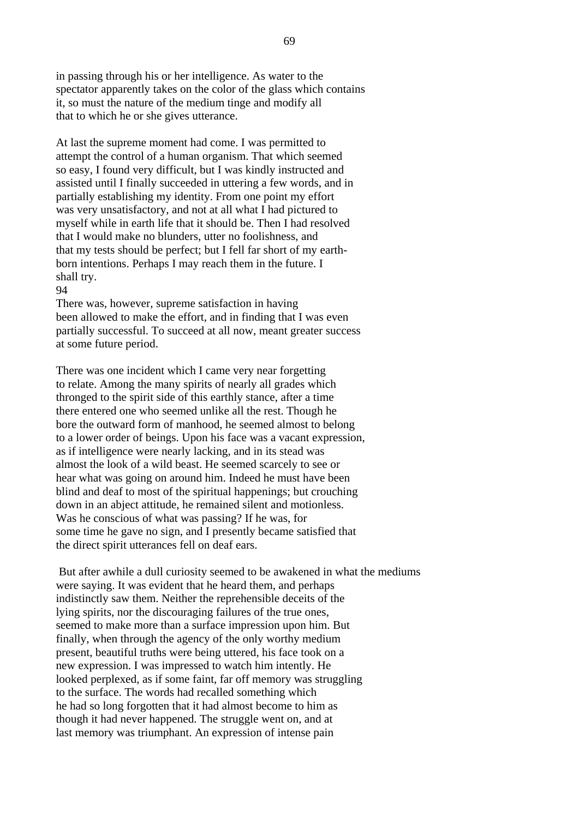in passing through his or her intelligence. As water to the spectator apparently takes on the color of the glass which contains it, so must the nature of the medium tinge and modify all that to which he or she gives utterance.

At last the supreme moment had come. I was permitted to attempt the control of a human organism. That which seemed so easy, I found very difficult, but I was kindly instructed and assisted until I finally succeeded in uttering a few words, and in partially establishing my identity. From one point my effort was very unsatisfactory, and not at all what I had pictured to myself while in earth life that it should be. Then I had resolved that I would make no blunders, utter no foolishness, and that my tests should be perfect; but I fell far short of my earthborn intentions. Perhaps I may reach them in the future. I shall try.

94

There was, however, supreme satisfaction in having been allowed to make the effort, and in finding that I was even partially successful. To succeed at all now, meant greater success at some future period.

There was one incident which I came very near forgetting to relate. Among the many spirits of nearly all grades which thronged to the spirit side of this earthly stance, after a time there entered one who seemed unlike all the rest. Though he bore the outward form of manhood, he seemed almost to belong to a lower order of beings. Upon his face was a vacant expression, as if intelligence were nearly lacking, and in its stead was almost the look of a wild beast. He seemed scarcely to see or hear what was going on around him. Indeed he must have been blind and deaf to most of the spiritual happenings; but crouching down in an abject attitude, he remained silent and motionless. Was he conscious of what was passing? If he was, for some time he gave no sign, and I presently became satisfied that the direct spirit utterances fell on deaf ears.

 But after awhile a dull curiosity seemed to be awakened in what the mediums were saying. It was evident that he heard them, and perhaps indistinctly saw them. Neither the reprehensible deceits of the lying spirits, nor the discouraging failures of the true ones, seemed to make more than a surface impression upon him. But finally, when through the agency of the only worthy medium present, beautiful truths were being uttered, his face took on a new expression. I was impressed to watch him intently. He looked perplexed, as if some faint, far off memory was struggling to the surface. The words had recalled something which he had so long forgotten that it had almost become to him as though it had never happened. The struggle went on, and at last memory was triumphant. An expression of intense pain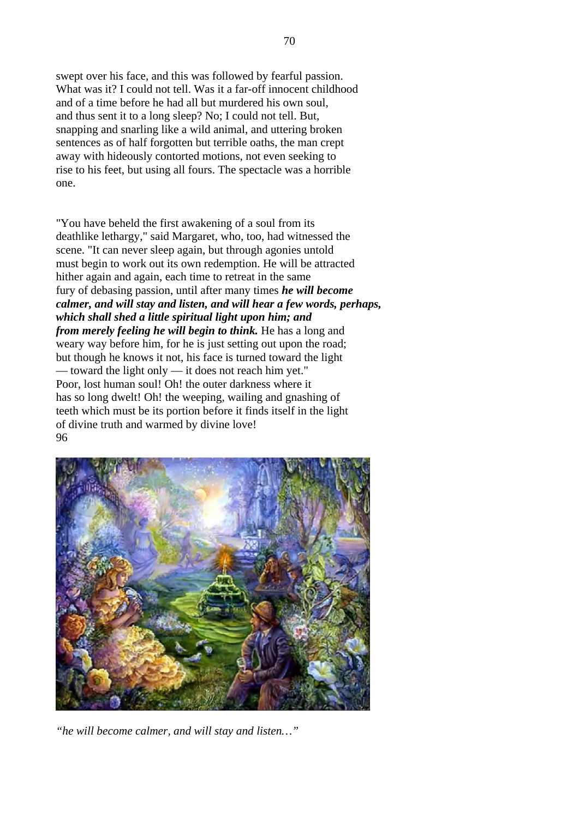swept over his face, and this was followed by fearful passion. What was it? I could not tell. Was it a far-off innocent childhood and of a time before he had all but murdered his own soul, and thus sent it to a long sleep? No; I could not tell. But, snapping and snarling like a wild animal, and uttering broken sentences as of half forgotten but terrible oaths, the man crept away with hideously contorted motions, not even seeking to rise to his feet, but using all fours. The spectacle was a horrible one.

"You have beheld the first awakening of a soul from its deathlike lethargy," said Margaret, who, too, had witnessed the scene. "It can never sleep again, but through agonies untold must begin to work out its own redemption. He will be attracted hither again and again, each time to retreat in the same fury of debasing passion, until after many times *he will become calmer, and will stay and listen, and will hear a few words, perhaps, which shall shed a little spiritual light upon him; and from merely feeling he will begin to think.* He has a long and weary way before him, for he is just setting out upon the road; but though he knows it not, his face is turned toward the light — toward the light only — it does not reach him yet." Poor, lost human soul! Oh! the outer darkness where it has so long dwelt! Oh! the weeping, wailing and gnashing of teeth which must be its portion before it finds itself in the light of divine truth and warmed by divine love! 96



*"he will become calmer, and will stay and listen…"*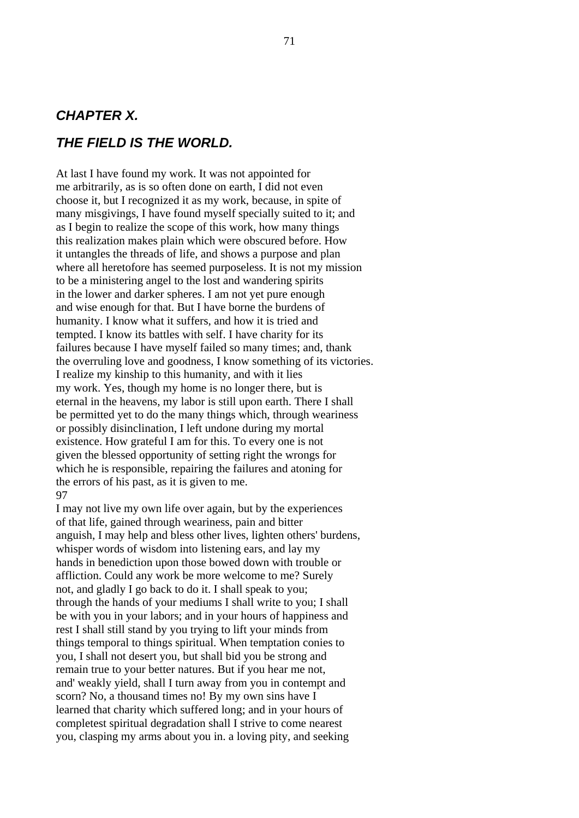# *CHAPTER X. THE FIELD IS THE WORLD.*

At last I have found my work. It was not appointed for me arbitrarily, as is so often done on earth, I did not even choose it, but I recognized it as my work, because, in spite of many misgivings, I have found myself specially suited to it; and as I begin to realize the scope of this work, how many things this realization makes plain which were obscured before. How it untangles the threads of life, and shows a purpose and plan where all heretofore has seemed purposeless. It is not my mission to be a ministering angel to the lost and wandering spirits in the lower and darker spheres. I am not yet pure enough and wise enough for that. But I have borne the burdens of humanity. I know what it suffers, and how it is tried and tempted. I know its battles with self. I have charity for its failures because I have myself failed so many times; and, thank the overruling love and goodness, I know something of its victories. I realize my kinship to this humanity, and with it lies my work. Yes, though my home is no longer there, but is eternal in the heavens, my labor is still upon earth. There I shall be permitted yet to do the many things which, through weariness or possibly disinclination, I left undone during my mortal existence. How grateful I am for this. To every one is not given the blessed opportunity of setting right the wrongs for which he is responsible, repairing the failures and atoning for the errors of his past, as it is given to me. 97

I may not live my own life over again, but by the experiences of that life, gained through weariness, pain and bitter anguish, I may help and bless other lives, lighten others' burdens, whisper words of wisdom into listening ears, and lay my hands in benediction upon those bowed down with trouble or affliction. Could any work be more welcome to me? Surely not, and gladly I go back to do it. I shall speak to you; through the hands of your mediums I shall write to you; I shall be with you in your labors; and in your hours of happiness and rest I shall still stand by you trying to lift your minds from things temporal to things spiritual. When temptation conies to you, I shall not desert you, but shall bid you be strong and remain true to your better natures. But if you hear me not, and' weakly yield, shall I turn away from you in contempt and scorn? No, a thousand times no! By my own sins have I learned that charity which suffered long; and in your hours of completest spiritual degradation shall I strive to come nearest you, clasping my arms about you in. a loving pity, and seeking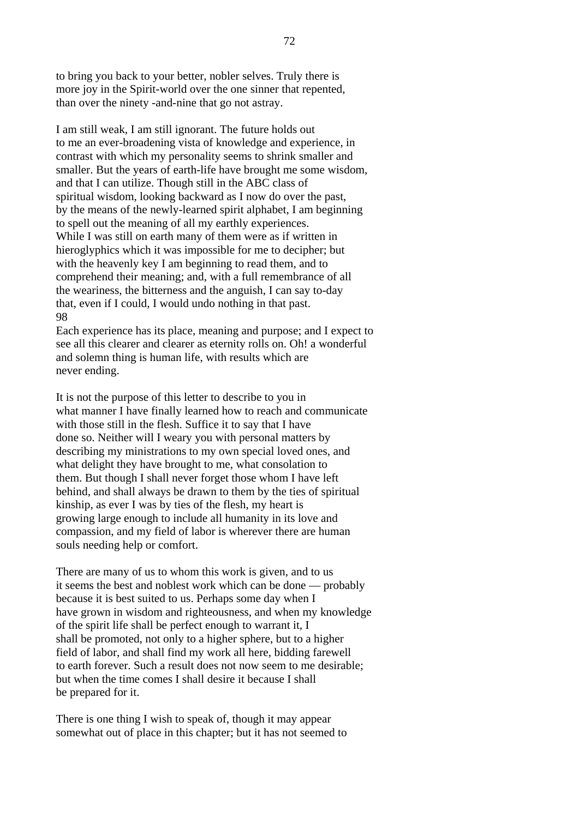to bring you back to your better, nobler selves. Truly there is more joy in the Spirit-world over the one sinner that repented, than over the ninety -and-nine that go not astray.

I am still weak, I am still ignorant. The future holds out to me an ever-broadening vista of knowledge and experience, in contrast with which my personality seems to shrink smaller and smaller. But the years of earth-life have brought me some wisdom, and that I can utilize. Though still in the ABC class of spiritual wisdom, looking backward as I now do over the past, by the means of the newly-learned spirit alphabet, I am beginning to spell out the meaning of all my earthly experiences. While I was still on earth many of them were as if written in hieroglyphics which it was impossible for me to decipher; but with the heavenly key I am beginning to read them, and to comprehend their meaning; and, with a full remembrance of all the weariness, the bitterness and the anguish, I can say to-day that, even if I could, I would undo nothing in that past. 98

Each experience has its place, meaning and purpose; and I expect to see all this clearer and clearer as eternity rolls on. Oh! a wonderful and solemn thing is human life, with results which are never ending.

It is not the purpose of this letter to describe to you in what manner I have finally learned how to reach and communicate with those still in the flesh. Suffice it to say that I have done so. Neither will I weary you with personal matters by describing my ministrations to my own special loved ones, and what delight they have brought to me, what consolation to them. But though I shall never forget those whom I have left behind, and shall always be drawn to them by the ties of spiritual kinship, as ever I was by ties of the flesh, my heart is growing large enough to include all humanity in its love and compassion, and my field of labor is wherever there are human souls needing help or comfort.

There are many of us to whom this work is given, and to us it seems the best and noblest work which can be done — probably because it is best suited to us. Perhaps some day when I have grown in wisdom and righteousness, and when my knowledge of the spirit life shall be perfect enough to warrant it, I shall be promoted, not only to a higher sphere, but to a higher field of labor, and shall find my work all here, bidding farewell to earth forever. Such a result does not now seem to me desirable; but when the time comes I shall desire it because I shall be prepared for it.

There is one thing I wish to speak of, though it may appear somewhat out of place in this chapter; but it has not seemed to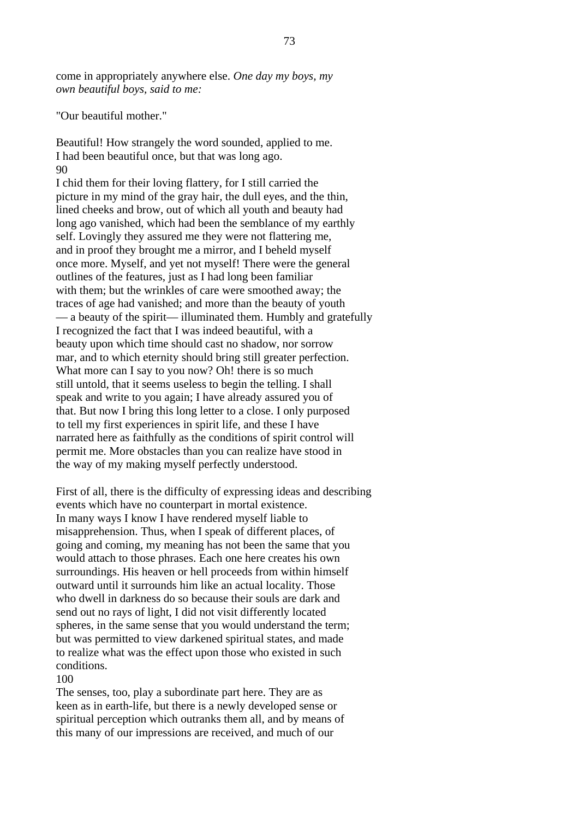come in appropriately anywhere else. *One day my boys, my own beautiful boys, said to me:* 

"Our beautiful mother."

Beautiful! How strangely the word sounded, applied to me. I had been beautiful once, but that was long ago. 90

I chid them for their loving flattery, for I still carried the picture in my mind of the gray hair, the dull eyes, and the thin, lined cheeks and brow, out of which all youth and beauty had long ago vanished, which had been the semblance of my earthly self. Lovingly they assured me they were not flattering me, and in proof they brought me a mirror, and I beheld myself once more. Myself, and yet not myself! There were the general outlines of the features, just as I had long been familiar with them; but the wrinkles of care were smoothed away; the traces of age had vanished; and more than the beauty of youth — a beauty of the spirit— illuminated them. Humbly and gratefully I recognized the fact that I was indeed beautiful, with a beauty upon which time should cast no shadow, nor sorrow mar, and to which eternity should bring still greater perfection. What more can I say to you now? Oh! there is so much still untold, that it seems useless to begin the telling. I shall speak and write to you again; I have already assured you of that. But now I bring this long letter to a close. I only purposed to tell my first experiences in spirit life, and these I have narrated here as faithfully as the conditions of spirit control will permit me. More obstacles than you can realize have stood in the way of my making myself perfectly understood.

First of all, there is the difficulty of expressing ideas and describing events which have no counterpart in mortal existence. In many ways I know I have rendered myself liable to misapprehension. Thus, when I speak of different places, of going and coming, my meaning has not been the same that you would attach to those phrases. Each one here creates his own surroundings. His heaven or hell proceeds from within himself outward until it surrounds him like an actual locality. Those who dwell in darkness do so because their souls are dark and send out no rays of light, I did not visit differently located spheres, in the same sense that you would understand the term; but was permitted to view darkened spiritual states, and made to realize what was the effect upon those who existed in such conditions.

## 100

The senses, too, play a subordinate part here. They are as keen as in earth-life, but there is a newly developed sense or spiritual perception which outranks them all, and by means of this many of our impressions are received, and much of our